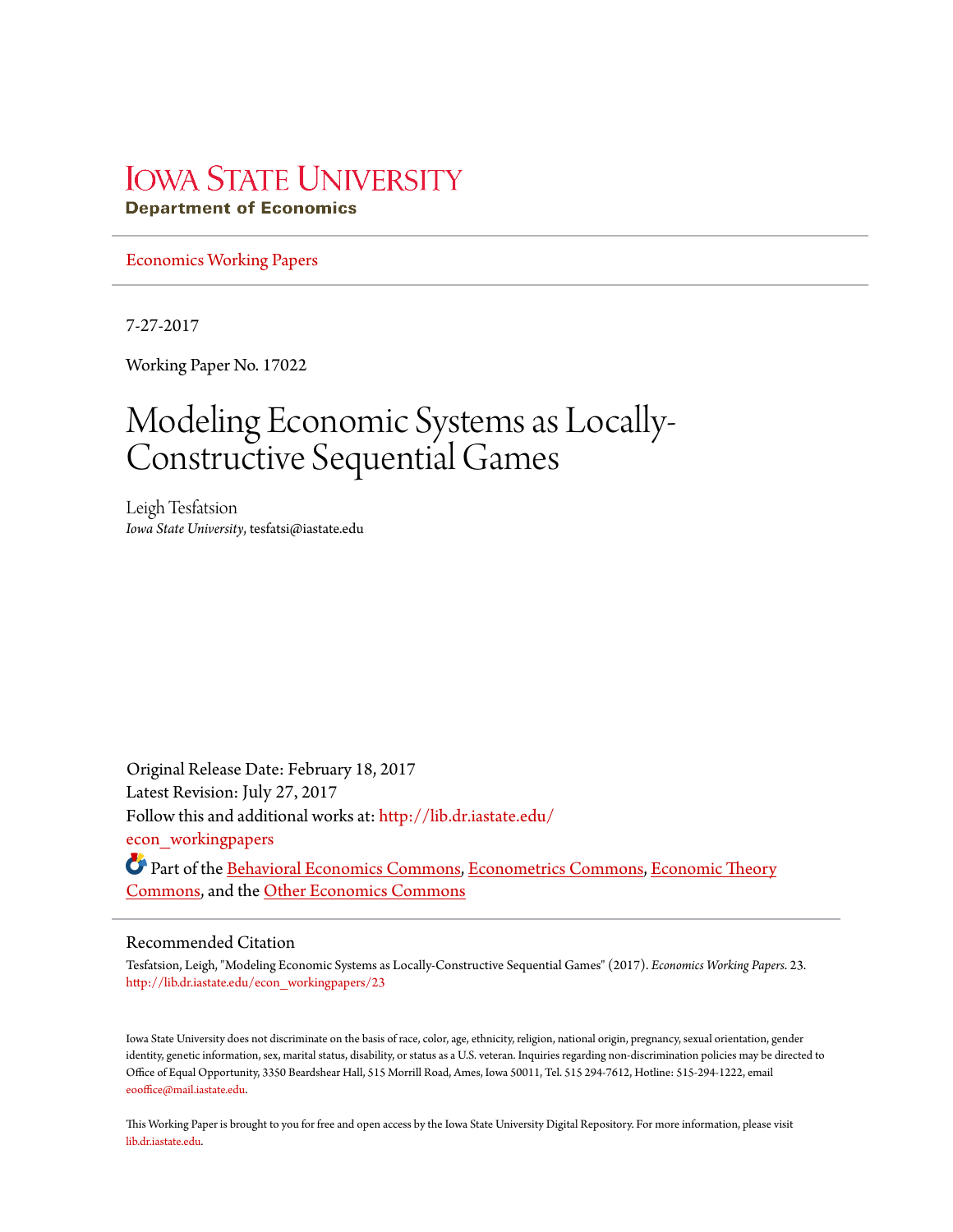# **IOWA STATE UNIVERSITY Department of Economics**

[Economics Working Papers](http://lib.dr.iastate.edu/econ_workingpapers?utm_source=lib.dr.iastate.edu%2Fecon_workingpapers%2F23&utm_medium=PDF&utm_campaign=PDFCoverPages)

7-27-2017

Working Paper No. 17022

# Modeling Economic Systems as Locally-Constructive Sequential Games

Leigh Tesfatsion *Iowa State University*, tesfatsi@iastate.edu

Original Release Date: February 18, 2017 Latest Revision: July 27, 2017 Follow this and additional works at: http://lib.dr.iastate.edu/ econ\_workingpapers Part of the [Behavioral Economics Commons](http://network.bepress.com/hgg/discipline/341?utm_source=lib.dr.iastate.edu%2Fecon_workingpapers%2F23&utm_medium=PDF&utm_campaign=PDFCoverPages), [Econometrics Commons,](http://network.bepress.com/hgg/discipline/342?utm_source=lib.dr.iastate.edu%2Fecon_workingpapers%2F23&utm_medium=PDF&utm_campaign=PDFCoverPages) [Economic Theory](http://network.bepress.com/hgg/discipline/344?utm_source=lib.dr.iastate.edu%2Fecon_workingpapers%2F23&utm_medium=PDF&utm_campaign=PDFCoverPages) [Commons,](http://network.bepress.com/hgg/discipline/344?utm_source=lib.dr.iastate.edu%2Fecon_workingpapers%2F23&utm_medium=PDF&utm_campaign=PDFCoverPages) and the [Other Economics Commons](http://network.bepress.com/hgg/discipline/353?utm_source=lib.dr.iastate.edu%2Fecon_workingpapers%2F23&utm_medium=PDF&utm_campaign=PDFCoverPages)

# Recommended Citation

Tesfatsion, Leigh, "Modeling Economic Systems as Locally-Constructive Sequential Games" (2017). *Economics Working Papers*. 23. [http://lib.dr.iastate.edu/econ\\_workingpapers/23](http://lib.dr.iastate.edu/econ_workingpapers/23?utm_source=lib.dr.iastate.edu%2Fecon_workingpapers%2F23&utm_medium=PDF&utm_campaign=PDFCoverPages)

Iowa State University does not discriminate on the basis of race, color, age, ethnicity, religion, national origin, pregnancy, sexual orientation, gender identity, genetic information, sex, marital status, disability, or status as a U.S. veteran. Inquiries regarding non-discrimination policies may be directed to Office of Equal Opportunity, 3350 Beardshear Hall, 515 Morrill Road, Ames, Iowa 50011, Tel. 515 294-7612, Hotline: 515-294-1222, email [eooffice@mail.iastate.edu.](mailto:eooffice@iastate.edu)

This Working Paper is brought to you for free and open access by the Iowa State University Digital Repository. For more information, please visit [lib.dr.iastate.edu](http://lib.dr.iastate.edu).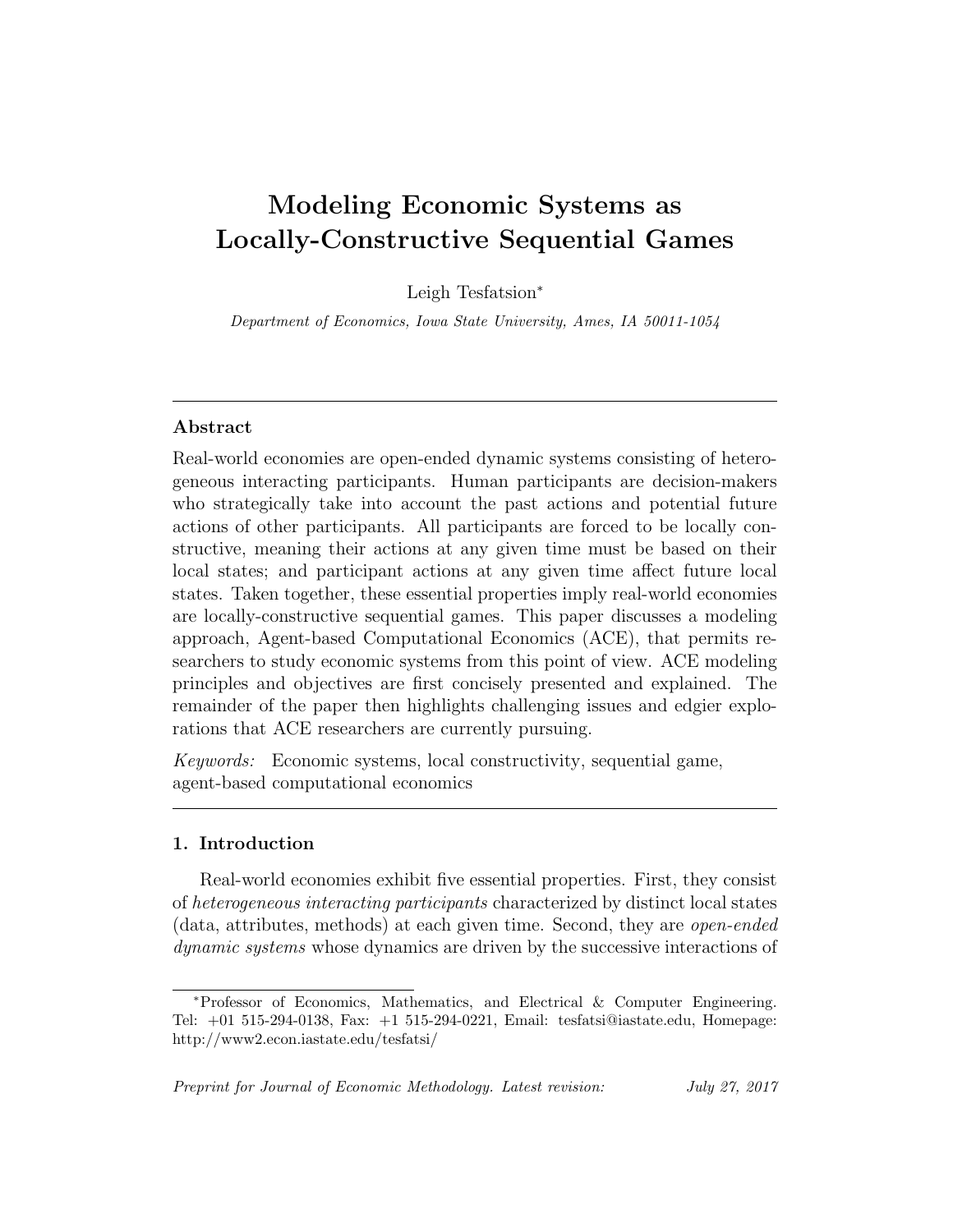# Modeling Economic Systems as Locally-Constructive Sequential Games

Leigh Tesfatsion<sup>∗</sup>

Department of Economics, Iowa State University, Ames, IA 50011-1054

# Abstract

Real-world economies are open-ended dynamic systems consisting of heterogeneous interacting participants. Human participants are decision-makers who strategically take into account the past actions and potential future actions of other participants. All participants are forced to be locally constructive, meaning their actions at any given time must be based on their local states; and participant actions at any given time affect future local states. Taken together, these essential properties imply real-world economies are locally-constructive sequential games. This paper discusses a modeling approach, Agent-based Computational Economics (ACE), that permits researchers to study economic systems from this point of view. ACE modeling principles and objectives are first concisely presented and explained. The remainder of the paper then highlights challenging issues and edgier explorations that ACE researchers are currently pursuing.

Keywords: Economic systems, local constructivity, sequential game, agent-based computational economics

# 1. Introduction

Real-world economies exhibit five essential properties. First, they consist of heterogeneous interacting participants characterized by distinct local states (data, attributes, methods) at each given time. Second, they are open-ended dynamic systems whose dynamics are driven by the successive interactions of

<sup>∗</sup>Professor of Economics, Mathematics, and Electrical & Computer Engineering. Tel: +01 515-294-0138, Fax: +1 515-294-0221, Email: tesfatsi@iastate.edu, Homepage: http://www2.econ.iastate.edu/tesfatsi/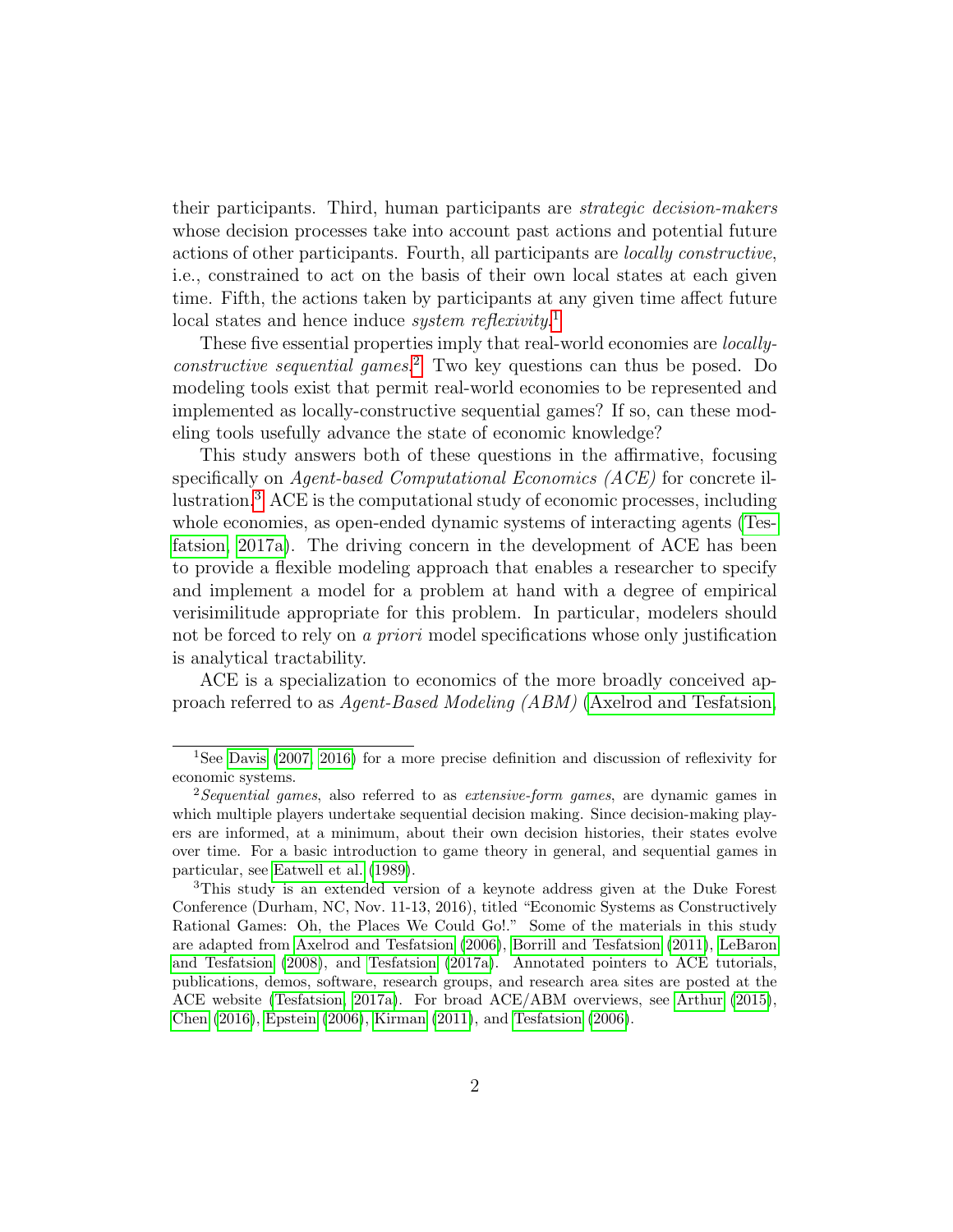their participants. Third, human participants are strategic decision-makers whose decision processes take into account past actions and potential future actions of other participants. Fourth, all participants are locally constructive, i.e., constrained to act on the basis of their own local states at each given time. Fifth, the actions taken by participants at any given time affect future local states and hence induce system reflexivity.<sup>[1](#page-2-0)</sup>

These five essential properties imply that real-world economies are locallyconstructive sequential games. [2](#page-2-1) Two key questions can thus be posed. Do modeling tools exist that permit real-world economies to be represented and implemented as locally-constructive sequential games? If so, can these modeling tools usefully advance the state of economic knowledge?

This study answers both of these questions in the affirmative, focusing specifically on Agent-based Computational Economics (ACE) for concrete illustration.[3](#page-2-2) ACE is the computational study of economic processes, including whole economies, as open-ended dynamic systems of interacting agents [\(Tes](#page-37-0)[fatsion, 2017a\)](#page-37-0). The driving concern in the development of ACE has been to provide a flexible modeling approach that enables a researcher to specify and implement a model for a problem at hand with a degree of empirical verisimilitude appropriate for this problem. In particular, modelers should not be forced to rely on a *priori* model specifications whose only justification is analytical tractability.

ACE is a specialization to economics of the more broadly conceived approach referred to as Agent-Based Modeling (ABM) [\(Axelrod and Tesfatsion,](#page-33-0)

<span id="page-2-0"></span><sup>&</sup>lt;sup>1</sup>See [Davis](#page-34-0) [\(2007,](#page-34-0) [2016\)](#page-34-1) for a more precise definition and discussion of reflexivity for economic systems.

<span id="page-2-1"></span> $2$ Sequential games, also referred to as extensive-form games, are dynamic games in which multiple players undertake sequential decision making. Since decision-making players are informed, at a minimum, about their own decision histories, their states evolve over time. For a basic introduction to game theory in general, and sequential games in particular, see [Eatwell et al.](#page-34-2) [\(1989\)](#page-34-2).

<span id="page-2-2"></span><sup>&</sup>lt;sup>3</sup>This study is an extended version of a keynote address given at the Duke Forest Conference (Durham, NC, Nov. 11-13, 2016), titled "Economic Systems as Constructively Rational Games: Oh, the Places We Could Go!." Some of the materials in this study are adapted from [Axelrod and Tesfatsion](#page-33-0) [\(2006\)](#page-33-0), [Borrill and Tesfatsion](#page-34-3) [\(2011\)](#page-34-3), [LeBaron](#page-36-0) [and Tesfatsion](#page-36-0) [\(2008\)](#page-36-0), and [Tesfatsion](#page-37-0) [\(2017a\)](#page-37-0). Annotated pointers to ACE tutorials, publications, demos, software, research groups, and research area sites are posted at the ACE website [\(Tesfatsion, 2017a\)](#page-37-0). For broad ACE/ABM overviews, see [Arthur](#page-33-1) [\(2015\)](#page-33-1), [Chen](#page-34-4) [\(2016\)](#page-34-4), [Epstein](#page-35-0) [\(2006\)](#page-35-0), [Kirman](#page-36-1) [\(2011\)](#page-36-1), and [Tesfatsion](#page-37-1) [\(2006\)](#page-37-1).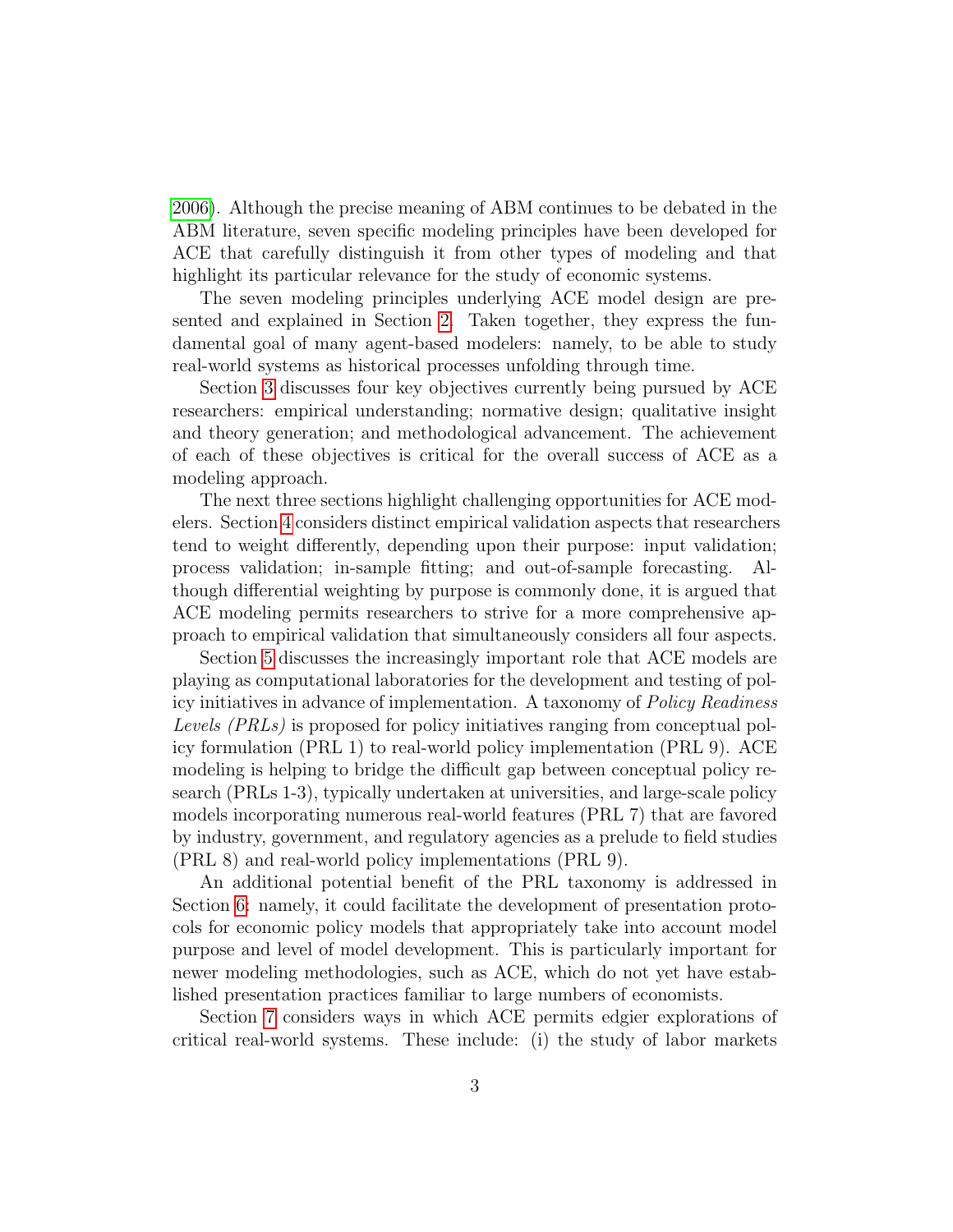[2006\)](#page-33-0). Although the precise meaning of ABM continues to be debated in the ABM literature, seven specific modeling principles have been developed for ACE that carefully distinguish it from other types of modeling and that highlight its particular relevance for the study of economic systems.

The seven modeling principles underlying ACE model design are presented and explained in Section [2.](#page-4-0) Taken together, they express the fundamental goal of many agent-based modelers: namely, to be able to study real-world systems as historical processes unfolding through time.

Section [3](#page-12-0) discusses four key objectives currently being pursued by ACE researchers: empirical understanding; normative design; qualitative insight and theory generation; and methodological advancement. The achievement of each of these objectives is critical for the overall success of ACE as a modeling approach.

The next three sections highlight challenging opportunities for ACE modelers. Section [4](#page-14-0) considers distinct empirical validation aspects that researchers tend to weight differently, depending upon their purpose: input validation; process validation; in-sample fitting; and out-of-sample forecasting. Although differential weighting by purpose is commonly done, it is argued that ACE modeling permits researchers to strive for a more comprehensive approach to empirical validation that simultaneously considers all four aspects.

Section [5](#page-15-0) discusses the increasingly important role that ACE models are playing as computational laboratories for the development and testing of policy initiatives in advance of implementation. A taxonomy of Policy Readiness Levels (PRLs) is proposed for policy initiatives ranging from conceptual policy formulation (PRL 1) to real-world policy implementation (PRL 9). ACE modeling is helping to bridge the difficult gap between conceptual policy research (PRLs 1-3), typically undertaken at universities, and large-scale policy models incorporating numerous real-world features (PRL 7) that are favored by industry, government, and regulatory agencies as a prelude to field studies (PRL 8) and real-world policy implementations (PRL 9).

An additional potential benefit of the PRL taxonomy is addressed in Section [6:](#page-18-0) namely, it could facilitate the development of presentation protocols for economic policy models that appropriately take into account model purpose and level of model development. This is particularly important for newer modeling methodologies, such as ACE, which do not yet have established presentation practices familiar to large numbers of economists.

Section [7](#page-21-0) considers ways in which ACE permits edgier explorations of critical real-world systems. These include: (i) the study of labor markets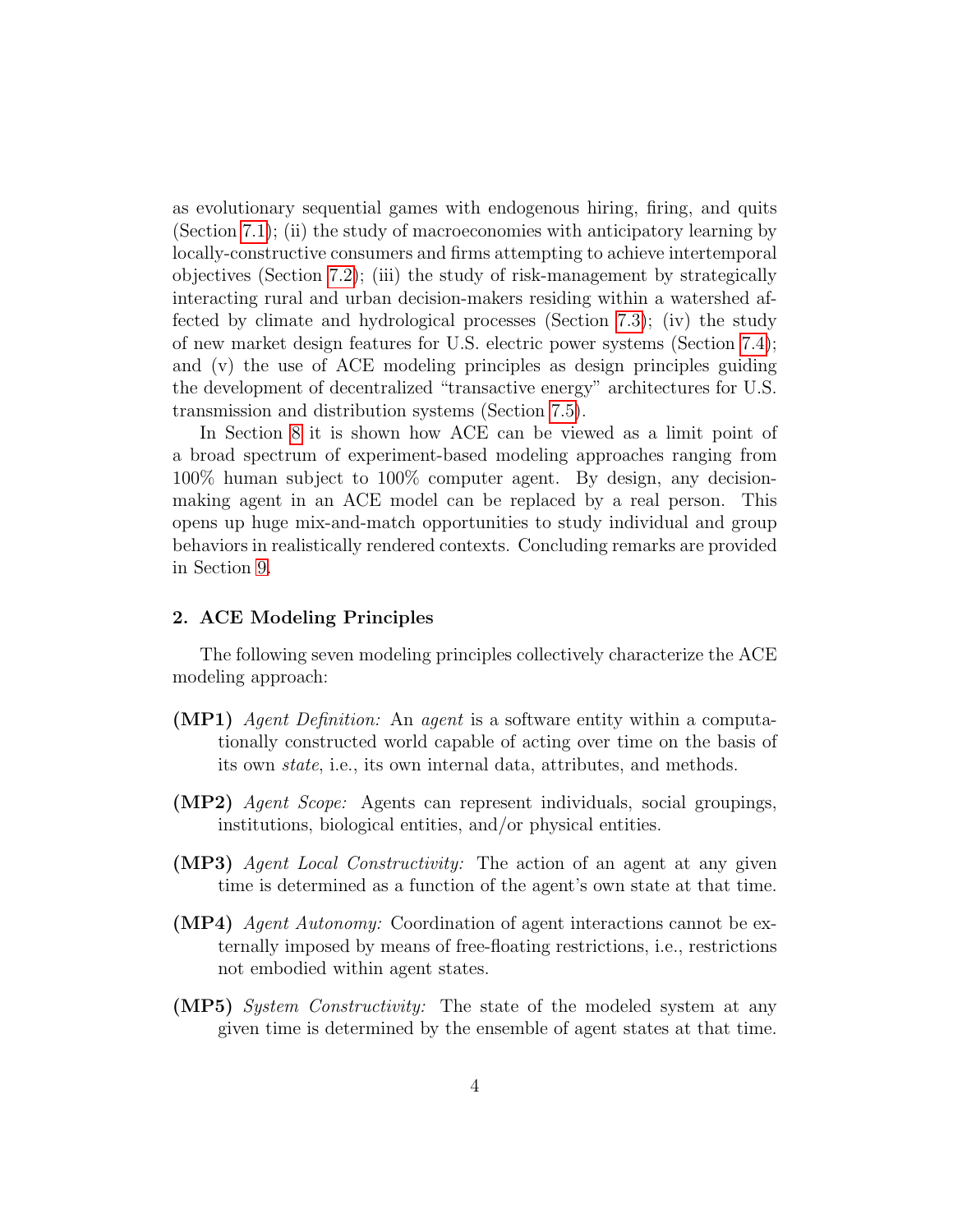as evolutionary sequential games with endogenous hiring, firing, and quits (Section [7.1\)](#page-21-1); (ii) the study of macroeconomies with anticipatory learning by locally-constructive consumers and firms attempting to achieve intertemporal objectives (Section [7.2\)](#page-23-0); (iii) the study of risk-management by strategically interacting rural and urban decision-makers residing within a watershed affected by climate and hydrological processes (Section [7.3\)](#page-26-0); (iv) the study of new market design features for U.S. electric power systems (Section [7.4\)](#page-27-0); and (v) the use of ACE modeling principles as design principles guiding the development of decentralized "transactive energy" architectures for U.S. transmission and distribution systems (Section [7.5\)](#page-29-0).

In Section [8](#page-31-0) it is shown how ACE can be viewed as a limit point of a broad spectrum of experiment-based modeling approaches ranging from 100% human subject to 100% computer agent. By design, any decisionmaking agent in an ACE model can be replaced by a real person. This opens up huge mix-and-match opportunities to study individual and group behaviors in realistically rendered contexts. Concluding remarks are provided in Section [9.](#page-32-0)

#### <span id="page-4-0"></span>2. ACE Modeling Principles

The following seven modeling principles collectively characterize the ACE modeling approach:

- (MP1) Agent Definition: An agent is a software entity within a computationally constructed world capable of acting over time on the basis of its own state, i.e., its own internal data, attributes, and methods.
- (MP2) Agent Scope: Agents can represent individuals, social groupings, institutions, biological entities, and/or physical entities.
- (MP3) Agent Local Constructivity: The action of an agent at any given time is determined as a function of the agent's own state at that time.
- (MP4) Agent Autonomy: Coordination of agent interactions cannot be externally imposed by means of free-floating restrictions, i.e., restrictions not embodied within agent states.
- (MP5) System Constructivity: The state of the modeled system at any given time is determined by the ensemble of agent states at that time.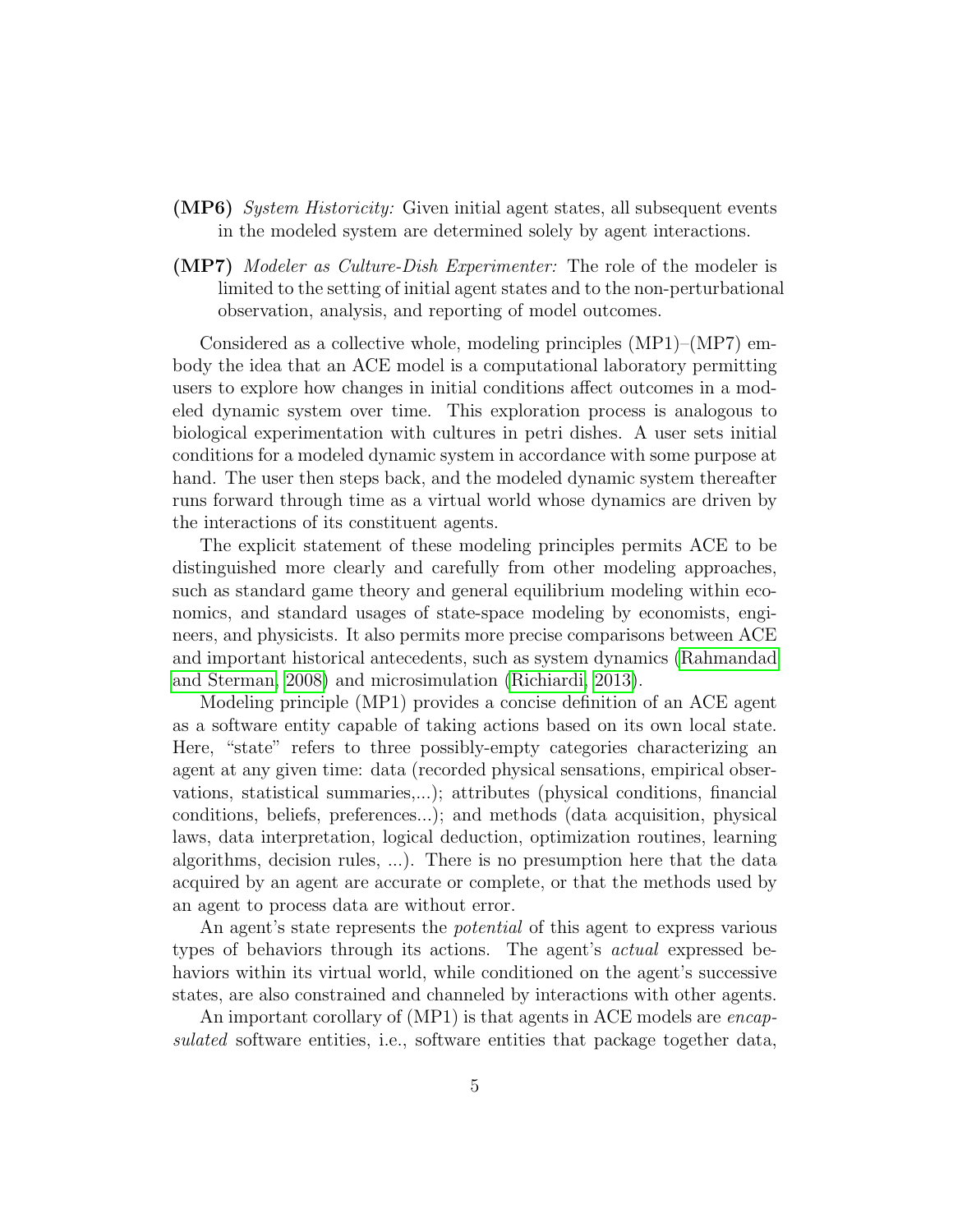- (MP6) System Historicity: Given initial agent states, all subsequent events in the modeled system are determined solely by agent interactions.
- (MP7) Modeler as Culture-Dish Experimenter: The role of the modeler is limited to the setting of initial agent states and to the non-perturbational observation, analysis, and reporting of model outcomes.

Considered as a collective whole, modeling principles (MP1)–(MP7) embody the idea that an ACE model is a computational laboratory permitting users to explore how changes in initial conditions affect outcomes in a modeled dynamic system over time. This exploration process is analogous to biological experimentation with cultures in petri dishes. A user sets initial conditions for a modeled dynamic system in accordance with some purpose at hand. The user then steps back, and the modeled dynamic system thereafter runs forward through time as a virtual world whose dynamics are driven by the interactions of its constituent agents.

The explicit statement of these modeling principles permits ACE to be distinguished more clearly and carefully from other modeling approaches, such as standard game theory and general equilibrium modeling within economics, and standard usages of state-space modeling by economists, engineers, and physicists. It also permits more precise comparisons between ACE and important historical antecedents, such as system dynamics [\(Rahmandad](#page-36-2) [and Sterman, 2008\)](#page-36-2) and microsimulation [\(Richiardi, 2013\)](#page-36-3).

Modeling principle (MP1) provides a concise definition of an ACE agent as a software entity capable of taking actions based on its own local state. Here, "state" refers to three possibly-empty categories characterizing an agent at any given time: data (recorded physical sensations, empirical observations, statistical summaries,...); attributes (physical conditions, financial conditions, beliefs, preferences...); and methods (data acquisition, physical laws, data interpretation, logical deduction, optimization routines, learning algorithms, decision rules, ...). There is no presumption here that the data acquired by an agent are accurate or complete, or that the methods used by an agent to process data are without error.

An agent's state represents the *potential* of this agent to express various types of behaviors through its actions. The agent's actual expressed behaviors within its virtual world, while conditioned on the agent's successive states, are also constrained and channeled by interactions with other agents.

An important corollary of (MP1) is that agents in ACE models are *encap*sulated software entities, i.e., software entities that package together data,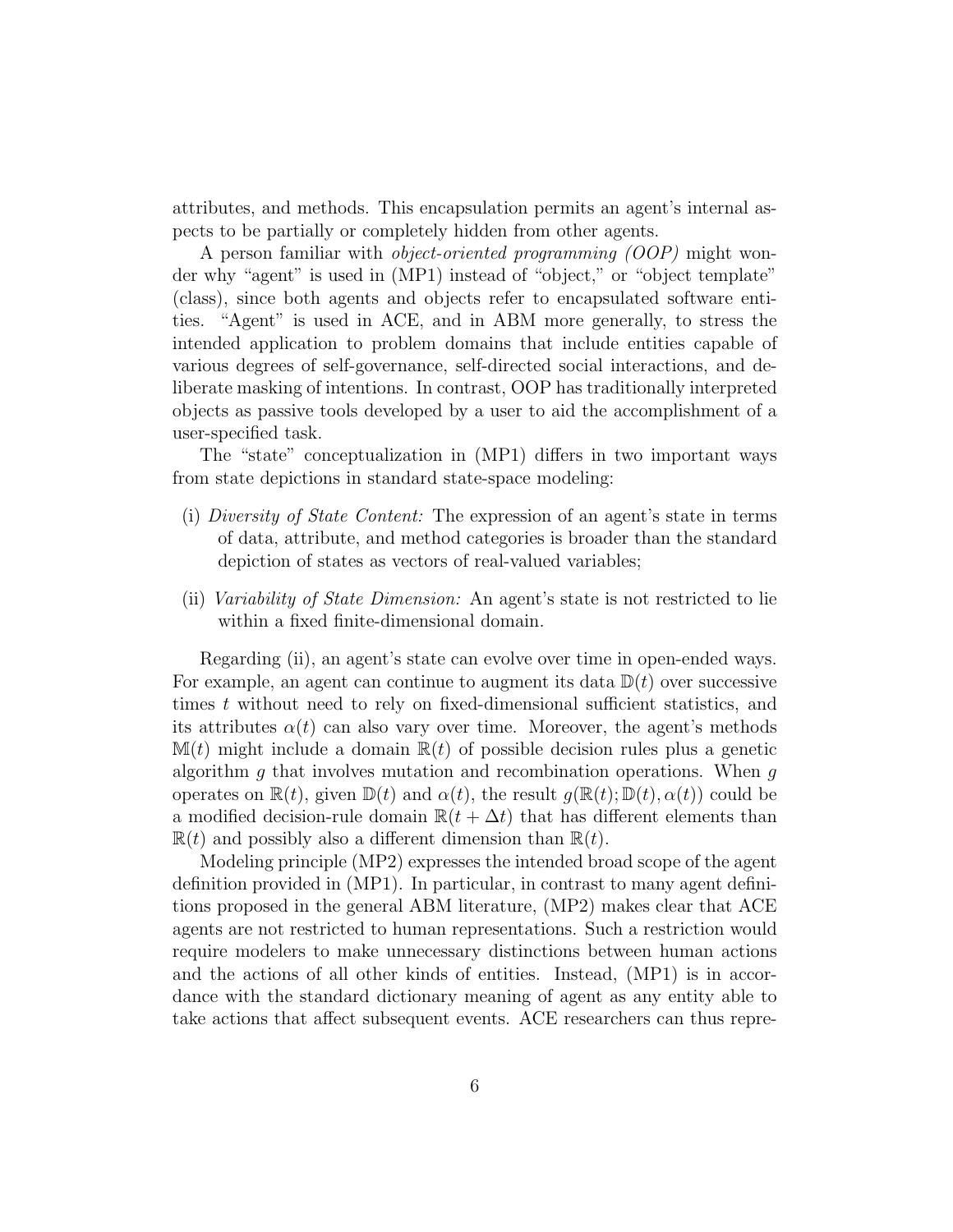attributes, and methods. This encapsulation permits an agent's internal aspects to be partially or completely hidden from other agents.

A person familiar with object-oriented programming (OOP) might wonder why "agent" is used in (MP1) instead of "object," or "object template" (class), since both agents and objects refer to encapsulated software entities. "Agent" is used in ACE, and in ABM more generally, to stress the intended application to problem domains that include entities capable of various degrees of self-governance, self-directed social interactions, and deliberate masking of intentions. In contrast, OOP has traditionally interpreted objects as passive tools developed by a user to aid the accomplishment of a user-specified task.

The "state" conceptualization in (MP1) differs in two important ways from state depictions in standard state-space modeling:

- (i) Diversity of State Content: The expression of an agent's state in terms of data, attribute, and method categories is broader than the standard depiction of states as vectors of real-valued variables;
- (ii) Variability of State Dimension: An agent's state is not restricted to lie within a fixed finite-dimensional domain.

Regarding (ii), an agent's state can evolve over time in open-ended ways. For example, an agent can continue to augment its data  $\mathbb{D}(t)$  over successive times t without need to rely on fixed-dimensional sufficient statistics, and its attributes  $\alpha(t)$  can also vary over time. Moreover, the agent's methods  $M(t)$  might include a domain  $\mathbb{R}(t)$  of possible decision rules plus a genetic algorithm  $q$  that involves mutation and recombination operations. When  $q$ operates on  $\mathbb{R}(t)$ , given  $\mathbb{D}(t)$  and  $\alpha(t)$ , the result  $g(\mathbb{R}(t);\mathbb{D}(t),\alpha(t))$  could be a modified decision-rule domain  $\mathbb{R}(t + \Delta t)$  that has different elements than  $\mathbb{R}(t)$  and possibly also a different dimension than  $\mathbb{R}(t)$ .

Modeling principle (MP2) expresses the intended broad scope of the agent definition provided in (MP1). In particular, in contrast to many agent definitions proposed in the general ABM literature, (MP2) makes clear that ACE agents are not restricted to human representations. Such a restriction would require modelers to make unnecessary distinctions between human actions and the actions of all other kinds of entities. Instead, (MP1) is in accordance with the standard dictionary meaning of agent as any entity able to take actions that affect subsequent events. ACE researchers can thus repre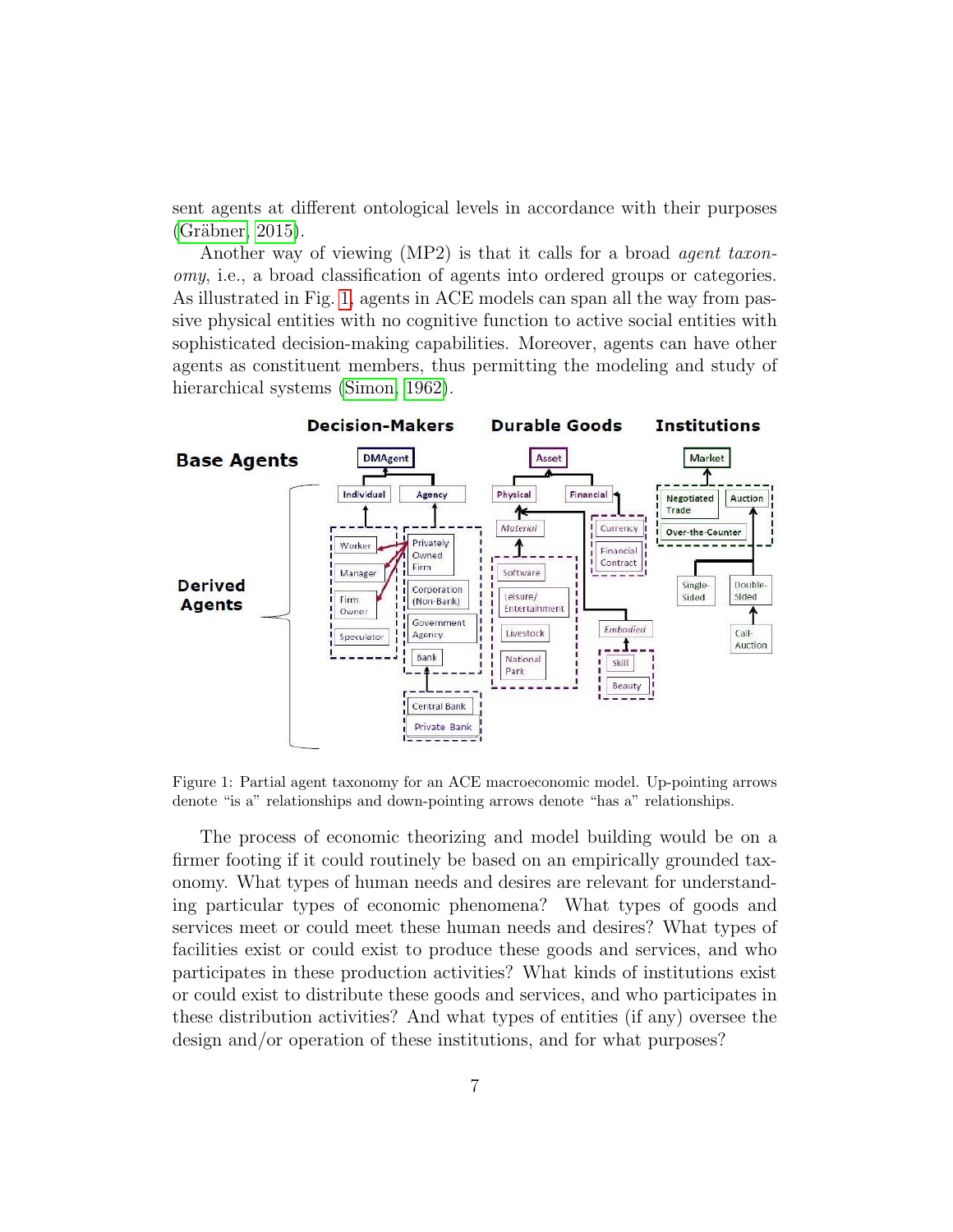sent agents at different ontological levels in accordance with their purposes  $(Gr\ddot{\text{a}}bner, 2015).$ 

Another way of viewing (MP2) is that it calls for a broad *agent taxon*omy, i.e., a broad classification of agents into ordered groups or categories. As illustrated in Fig. [1,](#page-7-0) agents in ACE models can span all the way from passive physical entities with no cognitive function to active social entities with sophisticated decision-making capabilities. Moreover, agents can have other agents as constituent members, thus permitting the modeling and study of hierarchical systems [\(Simon, 1962\)](#page-37-2).



<span id="page-7-0"></span>Figure 1: Partial agent taxonomy for an ACE macroeconomic model. Up-pointing arrows denote "is a" relationships and down-pointing arrows denote "has a" relationships.

The process of economic theorizing and model building would be on a firmer footing if it could routinely be based on an empirically grounded taxonomy. What types of human needs and desires are relevant for understanding particular types of economic phenomena? What types of goods and services meet or could meet these human needs and desires? What types of facilities exist or could exist to produce these goods and services, and who participates in these production activities? What kinds of institutions exist or could exist to distribute these goods and services, and who participates in these distribution activities? And what types of entities (if any) oversee the design and/or operation of these institutions, and for what purposes?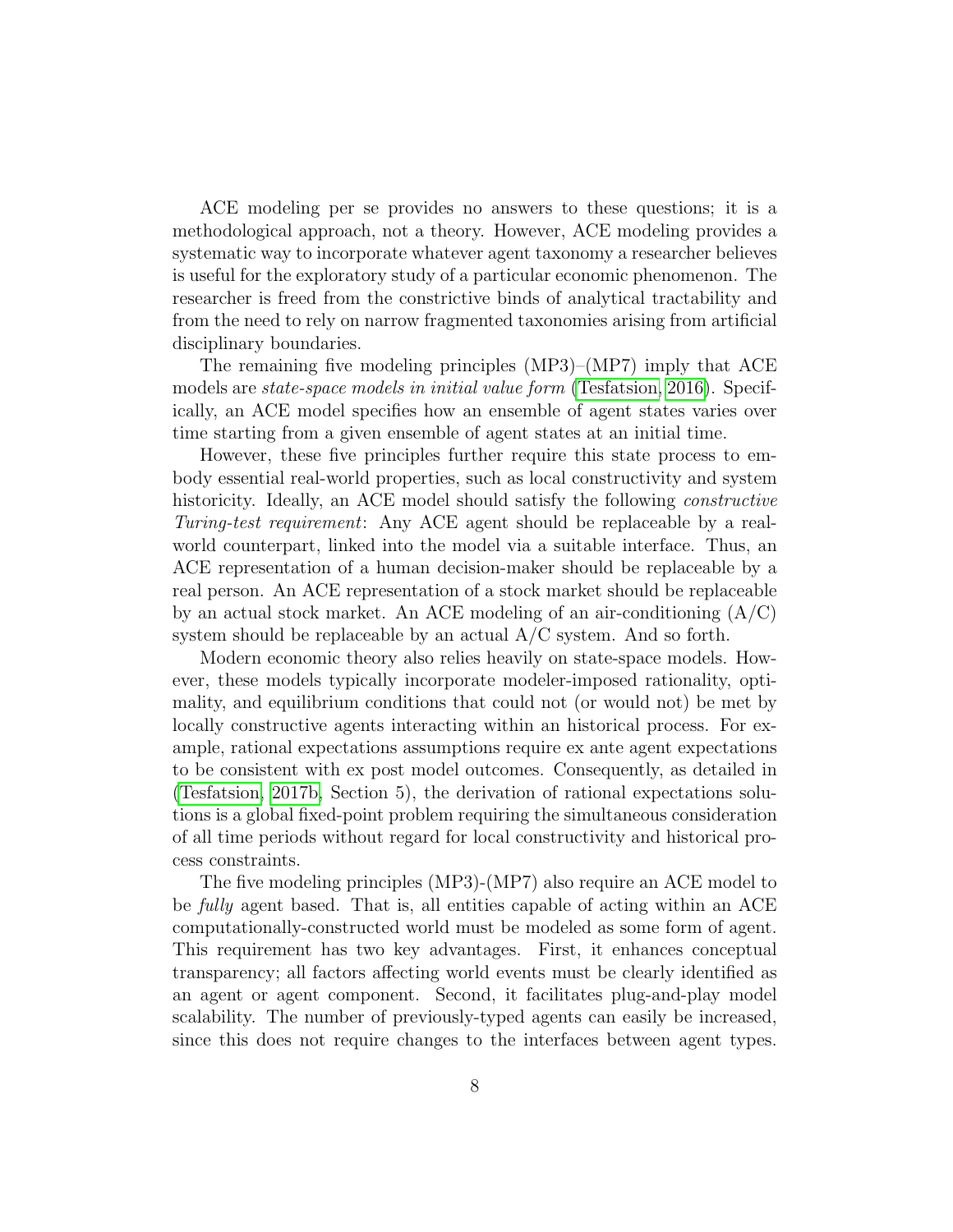ACE modeling per se provides no answers to these questions; it is a methodological approach, not a theory. However, ACE modeling provides a systematic way to incorporate whatever agent taxonomy a researcher believes is useful for the exploratory study of a particular economic phenomenon. The researcher is freed from the constrictive binds of analytical tractability and from the need to rely on narrow fragmented taxonomies arising from artificial disciplinary boundaries.

The remaining five modeling principles (MP3)–(MP7) imply that ACE models are state-space models in initial value form [\(Tesfatsion, 2016\)](#page-37-3). Specifically, an ACE model specifies how an ensemble of agent states varies over time starting from a given ensemble of agent states at an initial time.

However, these five principles further require this state process to embody essential real-world properties, such as local constructivity and system historicity. Ideally, an ACE model should satisfy the following *constructive* Turing-test requirement: Any ACE agent should be replaceable by a realworld counterpart, linked into the model via a suitable interface. Thus, an ACE representation of a human decision-maker should be replaceable by a real person. An ACE representation of a stock market should be replaceable by an actual stock market. An ACE modeling of an air-conditioning  $(A/C)$ system should be replaceable by an actual  $A/C$  system. And so forth.

Modern economic theory also relies heavily on state-space models. However, these models typically incorporate modeler-imposed rationality, optimality, and equilibrium conditions that could not (or would not) be met by locally constructive agents interacting within an historical process. For example, rational expectations assumptions require ex ante agent expectations to be consistent with ex post model outcomes. Consequently, as detailed in [\(Tesfatsion, 2017b,](#page-37-4) Section 5), the derivation of rational expectations solutions is a global fixed-point problem requiring the simultaneous consideration of all time periods without regard for local constructivity and historical process constraints.

The five modeling principles (MP3)-(MP7) also require an ACE model to be fully agent based. That is, all entities capable of acting within an ACE computationally-constructed world must be modeled as some form of agent. This requirement has two key advantages. First, it enhances conceptual transparency; all factors affecting world events must be clearly identified as an agent or agent component. Second, it facilitates plug-and-play model scalability. The number of previously-typed agents can easily be increased, since this does not require changes to the interfaces between agent types.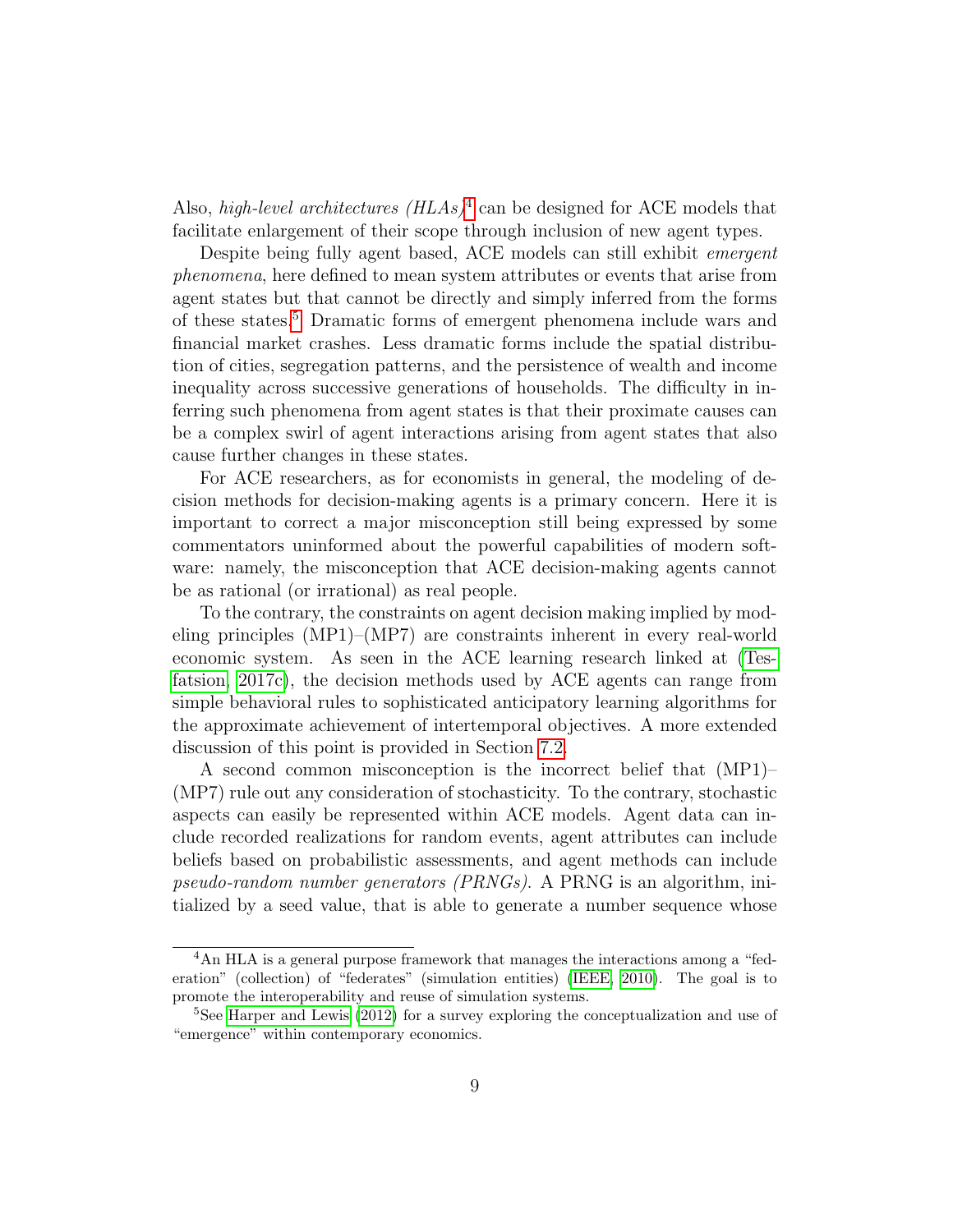Also, high-level architectures  $(HLAS)^4$  $(HLAS)^4$  can be designed for ACE models that facilitate enlargement of their scope through inclusion of new agent types.

Despite being fully agent based, ACE models can still exhibit emergent phenomena, here defined to mean system attributes or events that arise from agent states but that cannot be directly and simply inferred from the forms of these states.[5](#page-9-1) Dramatic forms of emergent phenomena include wars and financial market crashes. Less dramatic forms include the spatial distribution of cities, segregation patterns, and the persistence of wealth and income inequality across successive generations of households. The difficulty in inferring such phenomena from agent states is that their proximate causes can be a complex swirl of agent interactions arising from agent states that also cause further changes in these states.

For ACE researchers, as for economists in general, the modeling of decision methods for decision-making agents is a primary concern. Here it is important to correct a major misconception still being expressed by some commentators uninformed about the powerful capabilities of modern software: namely, the misconception that ACE decision-making agents cannot be as rational (or irrational) as real people.

To the contrary, the constraints on agent decision making implied by modeling principles (MP1)–(MP7) are constraints inherent in every real-world economic system. As seen in the ACE learning research linked at [\(Tes](#page-37-5)[fatsion, 2017c\)](#page-37-5), the decision methods used by ACE agents can range from simple behavioral rules to sophisticated anticipatory learning algorithms for the approximate achievement of intertemporal objectives. A more extended discussion of this point is provided in Section [7.2.](#page-23-0)

A second common misconception is the incorrect belief that (MP1)– (MP7) rule out any consideration of stochasticity. To the contrary, stochastic aspects can easily be represented within ACE models. Agent data can include recorded realizations for random events, agent attributes can include beliefs based on probabilistic assessments, and agent methods can include pseudo-random number generators (PRNGs). A PRNG is an algorithm, initialized by a seed value, that is able to generate a number sequence whose

<span id="page-9-0"></span><sup>&</sup>lt;sup>4</sup>An HLA is a general purpose framework that manages the interactions among a "federation" (collection) of "federates" (simulation entities) [\(IEEE, 2010\)](#page-35-2). The goal is to promote the interoperability and reuse of simulation systems.

<span id="page-9-1"></span><sup>&</sup>lt;sup>5</sup>See [Harper and Lewis](#page-35-3) [\(2012\)](#page-35-3) for a survey exploring the conceptualization and use of "emergence" within contemporary economics.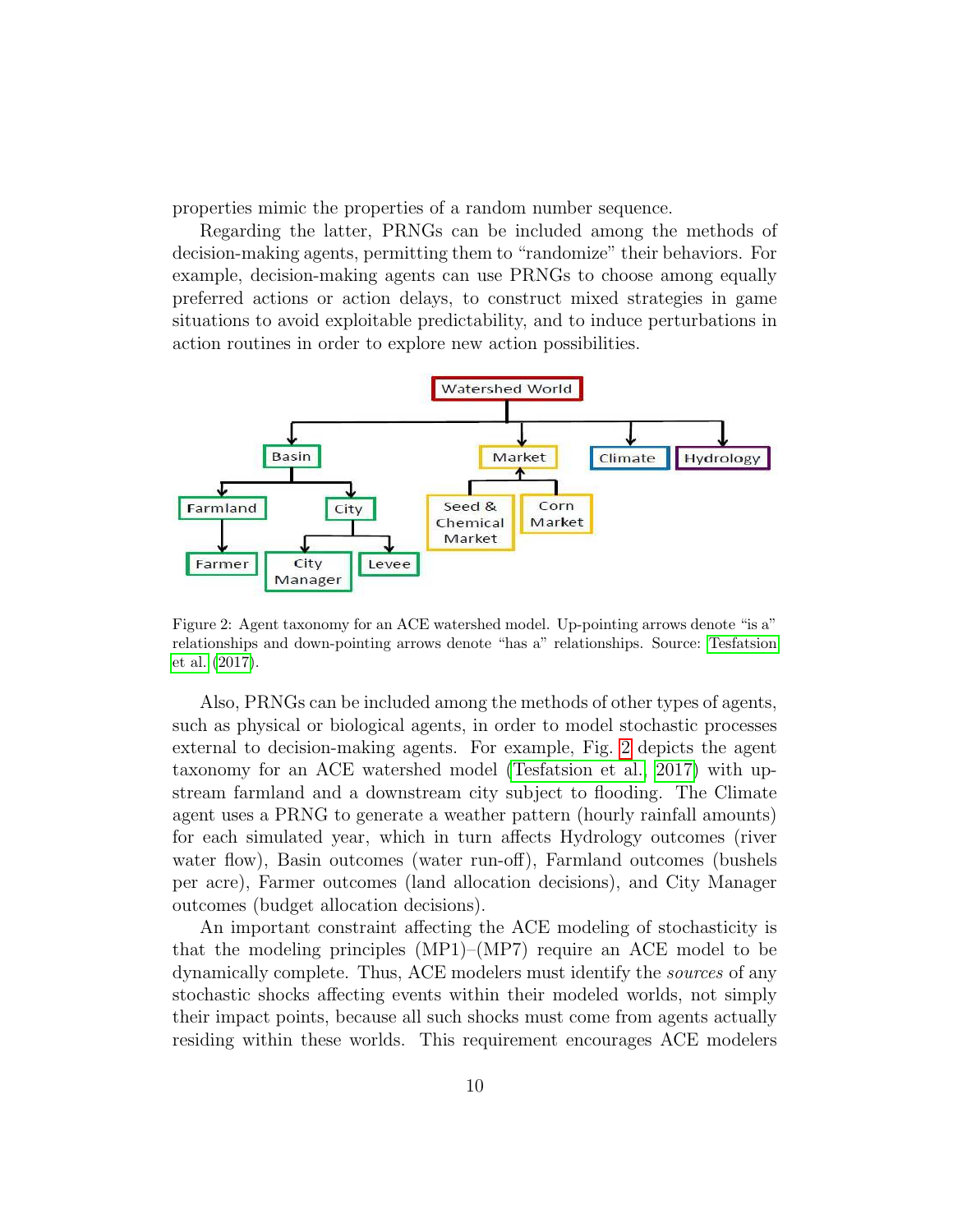properties mimic the properties of a random number sequence.

Regarding the latter, PRNGs can be included among the methods of decision-making agents, permitting them to "randomize" their behaviors. For example, decision-making agents can use PRNGs to choose among equally preferred actions or action delays, to construct mixed strategies in game situations to avoid exploitable predictability, and to induce perturbations in action routines in order to explore new action possibilities.



<span id="page-10-0"></span>Figure 2: Agent taxonomy for an ACE watershed model. Up-pointing arrows denote "is a" relationships and down-pointing arrows denote "has a" relationships. Source: [Tesfatsion](#page-38-0) [et al.](#page-38-0) [\(2017\)](#page-38-0).

Also, PRNGs can be included among the methods of other types of agents, such as physical or biological agents, in order to model stochastic processes external to decision-making agents. For example, Fig. [2](#page-10-0) depicts the agent taxonomy for an ACE watershed model [\(Tesfatsion et al., 2017\)](#page-38-0) with upstream farmland and a downstream city subject to flooding. The Climate agent uses a PRNG to generate a weather pattern (hourly rainfall amounts) for each simulated year, which in turn affects Hydrology outcomes (river water flow), Basin outcomes (water run-off), Farmland outcomes (bushels per acre), Farmer outcomes (land allocation decisions), and City Manager outcomes (budget allocation decisions).

An important constraint affecting the ACE modeling of stochasticity is that the modeling principles  $(MP1)–(MP7)$  require an ACE model to be dynamically complete. Thus, ACE modelers must identify the sources of any stochastic shocks affecting events within their modeled worlds, not simply their impact points, because all such shocks must come from agents actually residing within these worlds. This requirement encourages ACE modelers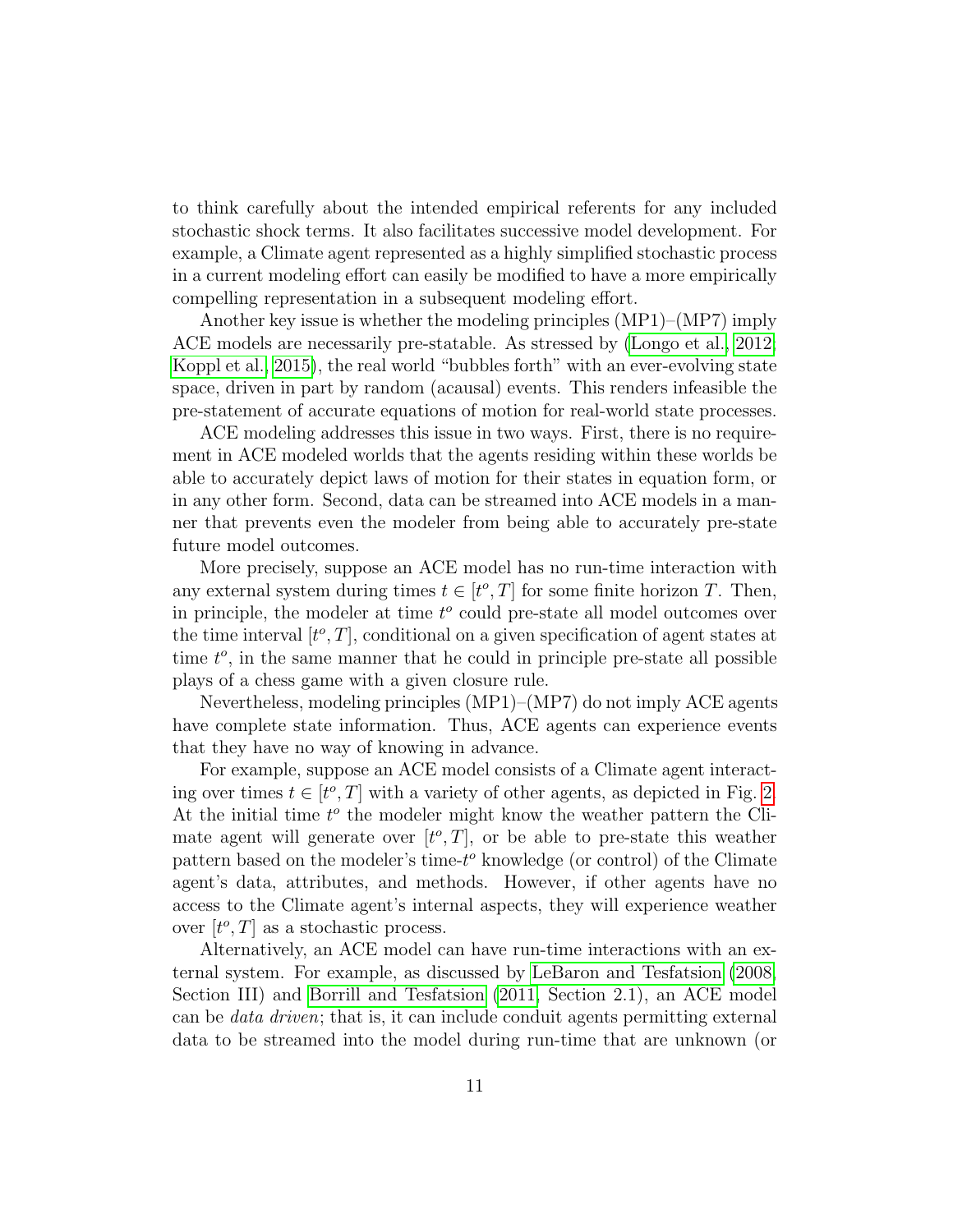to think carefully about the intended empirical referents for any included stochastic shock terms. It also facilitates successive model development. For example, a Climate agent represented as a highly simplified stochastic process in a current modeling effort can easily be modified to have a more empirically compelling representation in a subsequent modeling effort.

Another key issue is whether the modeling principles (MP1)–(MP7) imply ACE models are necessarily pre-statable. As stressed by [\(Longo et al., 2012;](#page-36-4) [Koppl et al., 2015\)](#page-36-5), the real world "bubbles forth" with an ever-evolving state space, driven in part by random (acausal) events. This renders infeasible the pre-statement of accurate equations of motion for real-world state processes.

ACE modeling addresses this issue in two ways. First, there is no requirement in ACE modeled worlds that the agents residing within these worlds be able to accurately depict laws of motion for their states in equation form, or in any other form. Second, data can be streamed into ACE models in a manner that prevents even the modeler from being able to accurately pre-state future model outcomes.

More precisely, suppose an ACE model has no run-time interaction with any external system during times  $t \in [t^o, T]$  for some finite horizon T. Then, in principle, the modeler at time  $t^o$  could pre-state all model outcomes over the time interval  $[t^o, T]$ , conditional on a given specification of agent states at time  $t^o$ , in the same manner that he could in principle pre-state all possible plays of a chess game with a given closure rule.

Nevertheless, modeling principles (MP1)–(MP7) do not imply ACE agents have complete state information. Thus, ACE agents can experience events that they have no way of knowing in advance.

For example, suppose an ACE model consists of a Climate agent interacting over times  $t \in [t^o, T]$  with a variety of other agents, as depicted in Fig. [2.](#page-10-0) At the initial time  $t^o$  the modeler might know the weather pattern the Climate agent will generate over  $[t^o, T]$ , or be able to pre-state this weather pattern based on the modeler's time-t<sup>o</sup> knowledge (or control) of the Climate agent's data, attributes, and methods. However, if other agents have no access to the Climate agent's internal aspects, they will experience weather over  $[t^o, T]$  as a stochastic process.

Alternatively, an ACE model can have run-time interactions with an external system. For example, as discussed by [LeBaron and Tesfatsion](#page-36-0) [\(2008,](#page-36-0) Section III) and [Borrill and Tesfatsion](#page-34-3) [\(2011,](#page-34-3) Section 2.1), an ACE model can be data driven; that is, it can include conduit agents permitting external data to be streamed into the model during run-time that are unknown (or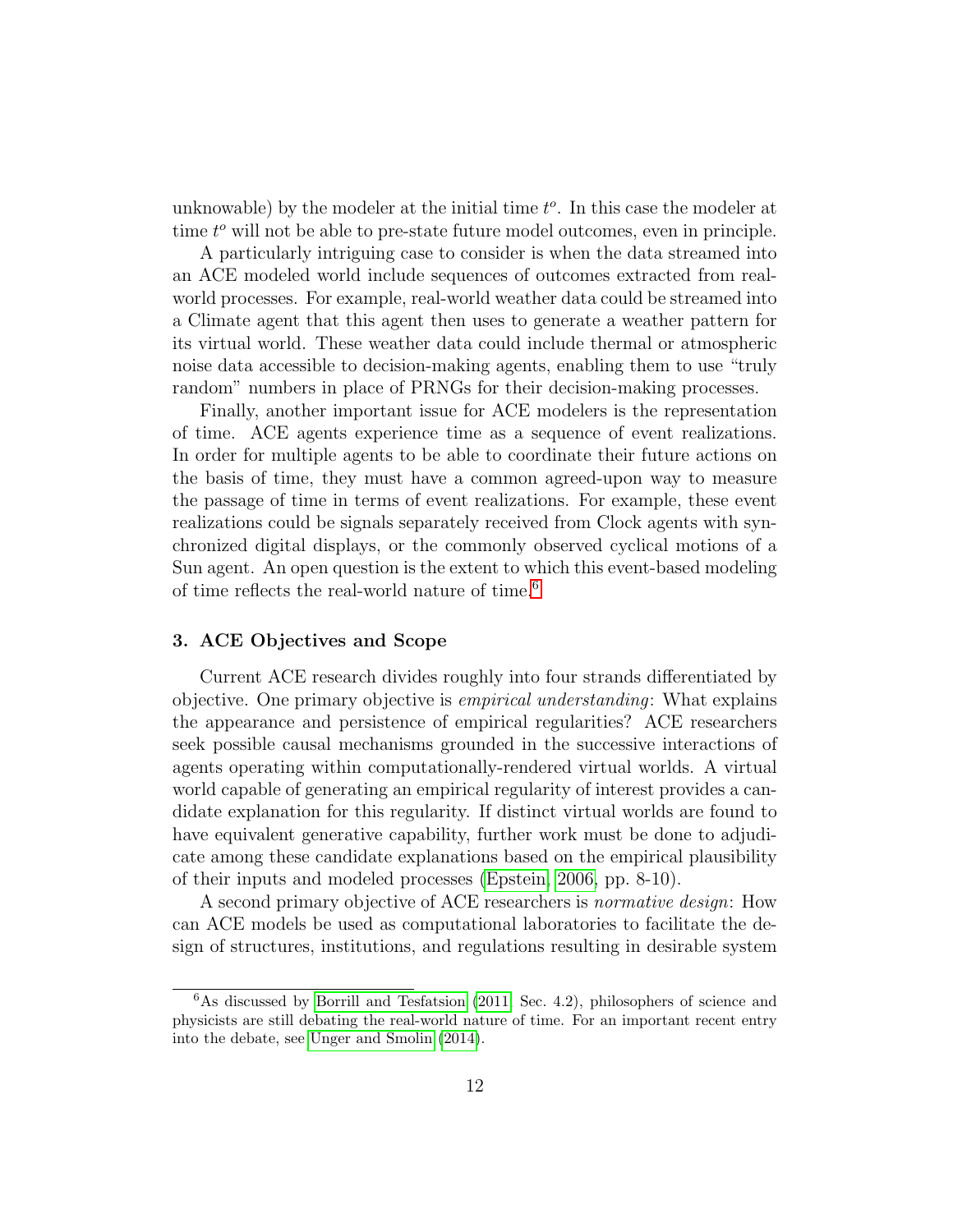unknowable) by the modeler at the initial time  $t^o$ . In this case the modeler at time  $t^o$  will not be able to pre-state future model outcomes, even in principle.

A particularly intriguing case to consider is when the data streamed into an ACE modeled world include sequences of outcomes extracted from realworld processes. For example, real-world weather data could be streamed into a Climate agent that this agent then uses to generate a weather pattern for its virtual world. These weather data could include thermal or atmospheric noise data accessible to decision-making agents, enabling them to use "truly random" numbers in place of PRNGs for their decision-making processes.

Finally, another important issue for ACE modelers is the representation of time. ACE agents experience time as a sequence of event realizations. In order for multiple agents to be able to coordinate their future actions on the basis of time, they must have a common agreed-upon way to measure the passage of time in terms of event realizations. For example, these event realizations could be signals separately received from Clock agents with synchronized digital displays, or the commonly observed cyclical motions of a Sun agent. An open question is the extent to which this event-based modeling of time reflects the real-world nature of time.[6](#page-12-1)

### <span id="page-12-0"></span>3. ACE Objectives and Scope

Current ACE research divides roughly into four strands differentiated by objective. One primary objective is empirical understanding: What explains the appearance and persistence of empirical regularities? ACE researchers seek possible causal mechanisms grounded in the successive interactions of agents operating within computationally-rendered virtual worlds. A virtual world capable of generating an empirical regularity of interest provides a candidate explanation for this regularity. If distinct virtual worlds are found to have equivalent generative capability, further work must be done to adjudicate among these candidate explanations based on the empirical plausibility of their inputs and modeled processes [\(Epstein, 2006,](#page-35-0) pp. 8-10).

A second primary objective of ACE researchers is normative design: How can ACE models be used as computational laboratories to facilitate the design of structures, institutions, and regulations resulting in desirable system

<span id="page-12-1"></span> $6$ As discussed by [Borrill and Tesfatsion](#page-34-3) [\(2011,](#page-34-3) Sec. 4.2), philosophers of science and physicists are still debating the real-world nature of time. For an important recent entry into the debate, see [Unger and Smolin](#page-38-1) [\(2014\)](#page-38-1).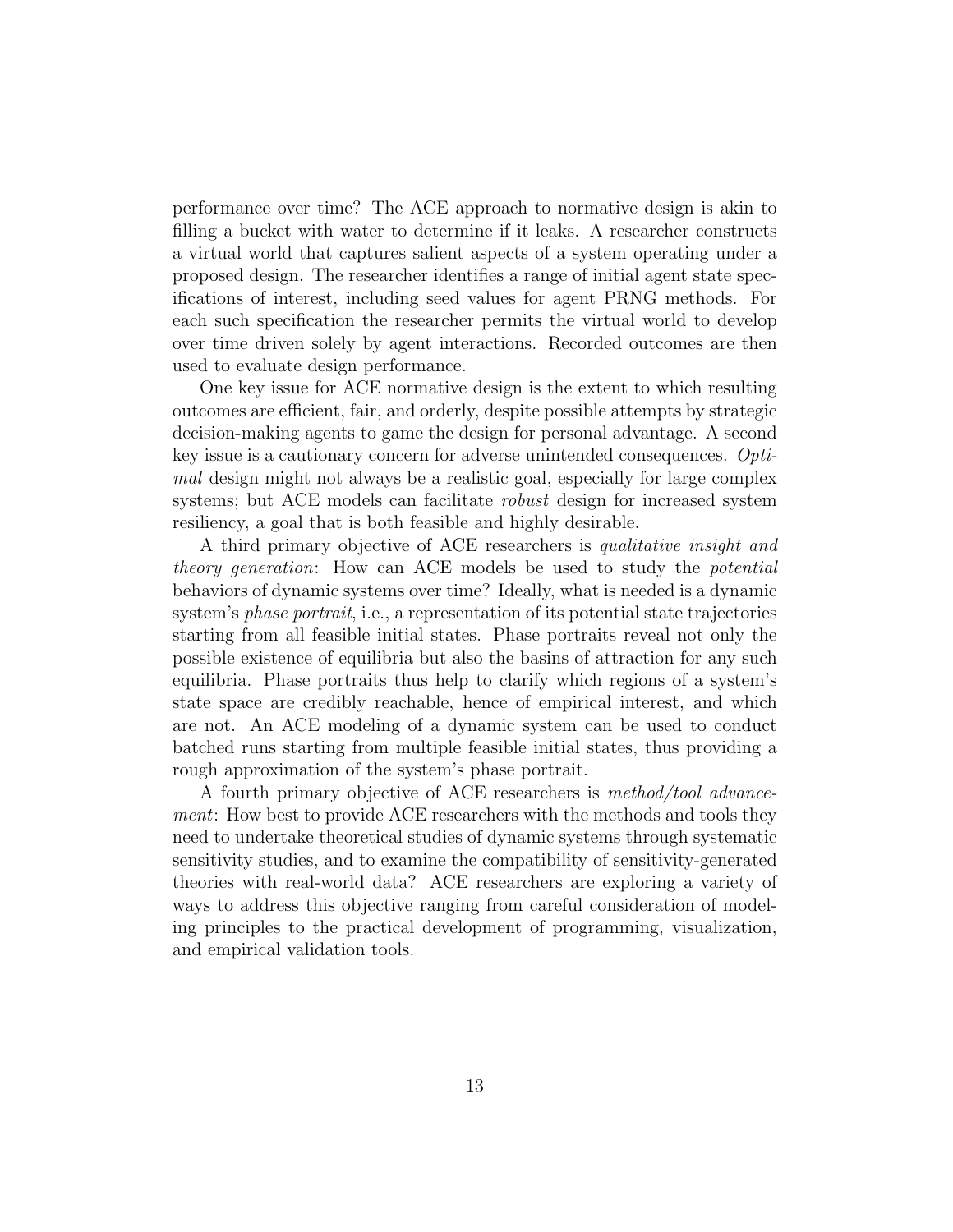performance over time? The ACE approach to normative design is akin to filling a bucket with water to determine if it leaks. A researcher constructs a virtual world that captures salient aspects of a system operating under a proposed design. The researcher identifies a range of initial agent state specifications of interest, including seed values for agent PRNG methods. For each such specification the researcher permits the virtual world to develop over time driven solely by agent interactions. Recorded outcomes are then used to evaluate design performance.

One key issue for ACE normative design is the extent to which resulting outcomes are efficient, fair, and orderly, despite possible attempts by strategic decision-making agents to game the design for personal advantage. A second key issue is a cautionary concern for adverse unintended consequences. Optimal design might not always be a realistic goal, especially for large complex systems; but ACE models can facilitate *robust* design for increased system resiliency, a goal that is both feasible and highly desirable.

A third primary objective of ACE researchers is qualitative insight and theory generation: How can ACE models be used to study the potential behaviors of dynamic systems over time? Ideally, what is needed is a dynamic system's *phase portrait*, i.e., a representation of its potential state trajectories starting from all feasible initial states. Phase portraits reveal not only the possible existence of equilibria but also the basins of attraction for any such equilibria. Phase portraits thus help to clarify which regions of a system's state space are credibly reachable, hence of empirical interest, and which are not. An ACE modeling of a dynamic system can be used to conduct batched runs starting from multiple feasible initial states, thus providing a rough approximation of the system's phase portrait.

A fourth primary objective of ACE researchers is method/tool advancement: How best to provide ACE researchers with the methods and tools they need to undertake theoretical studies of dynamic systems through systematic sensitivity studies, and to examine the compatibility of sensitivity-generated theories with real-world data? ACE researchers are exploring a variety of ways to address this objective ranging from careful consideration of modeling principles to the practical development of programming, visualization, and empirical validation tools.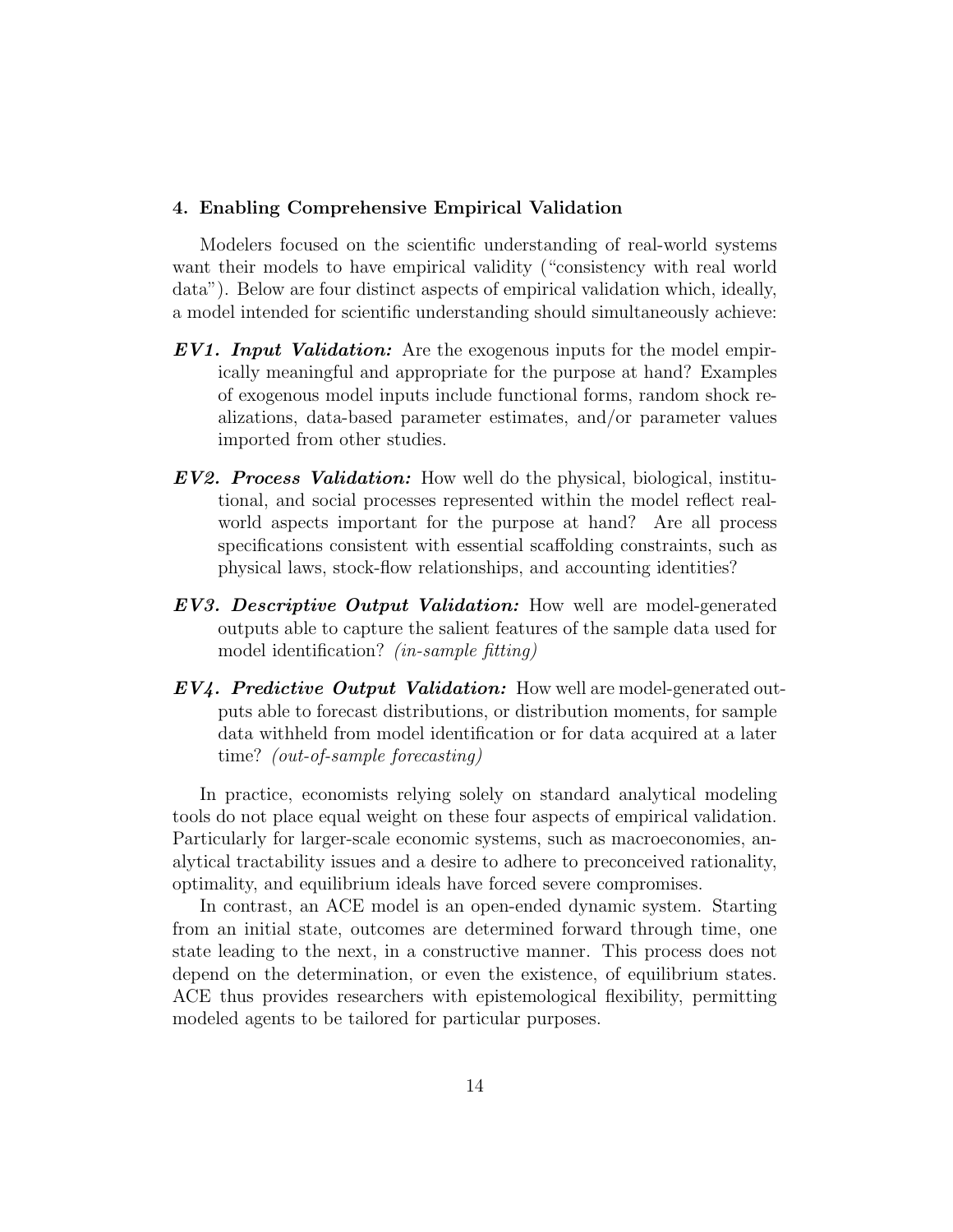#### <span id="page-14-0"></span>4. Enabling Comprehensive Empirical Validation

Modelers focused on the scientific understanding of real-world systems want their models to have empirical validity ("consistency with real world data"). Below are four distinct aspects of empirical validation which, ideally, a model intended for scientific understanding should simultaneously achieve:

- EV1. Input Validation: Are the exogenous inputs for the model empirically meaningful and appropriate for the purpose at hand? Examples of exogenous model inputs include functional forms, random shock realizations, data-based parameter estimates, and/or parameter values imported from other studies.
- EV2. Process Validation: How well do the physical, biological, institutional, and social processes represented within the model reflect realworld aspects important for the purpose at hand? Are all process specifications consistent with essential scaffolding constraints, such as physical laws, stock-flow relationships, and accounting identities?
- EV3. Descriptive Output Validation: How well are model-generated outputs able to capture the salient features of the sample data used for model identification? (in-sample fitting)
- $EV4$ . Predictive Output Validation: How well are model-generated outputs able to forecast distributions, or distribution moments, for sample data withheld from model identification or for data acquired at a later time? (out-of-sample forecasting)

In practice, economists relying solely on standard analytical modeling tools do not place equal weight on these four aspects of empirical validation. Particularly for larger-scale economic systems, such as macroeconomies, analytical tractability issues and a desire to adhere to preconceived rationality, optimality, and equilibrium ideals have forced severe compromises.

In contrast, an ACE model is an open-ended dynamic system. Starting from an initial state, outcomes are determined forward through time, one state leading to the next, in a constructive manner. This process does not depend on the determination, or even the existence, of equilibrium states. ACE thus provides researchers with epistemological flexibility, permitting modeled agents to be tailored for particular purposes.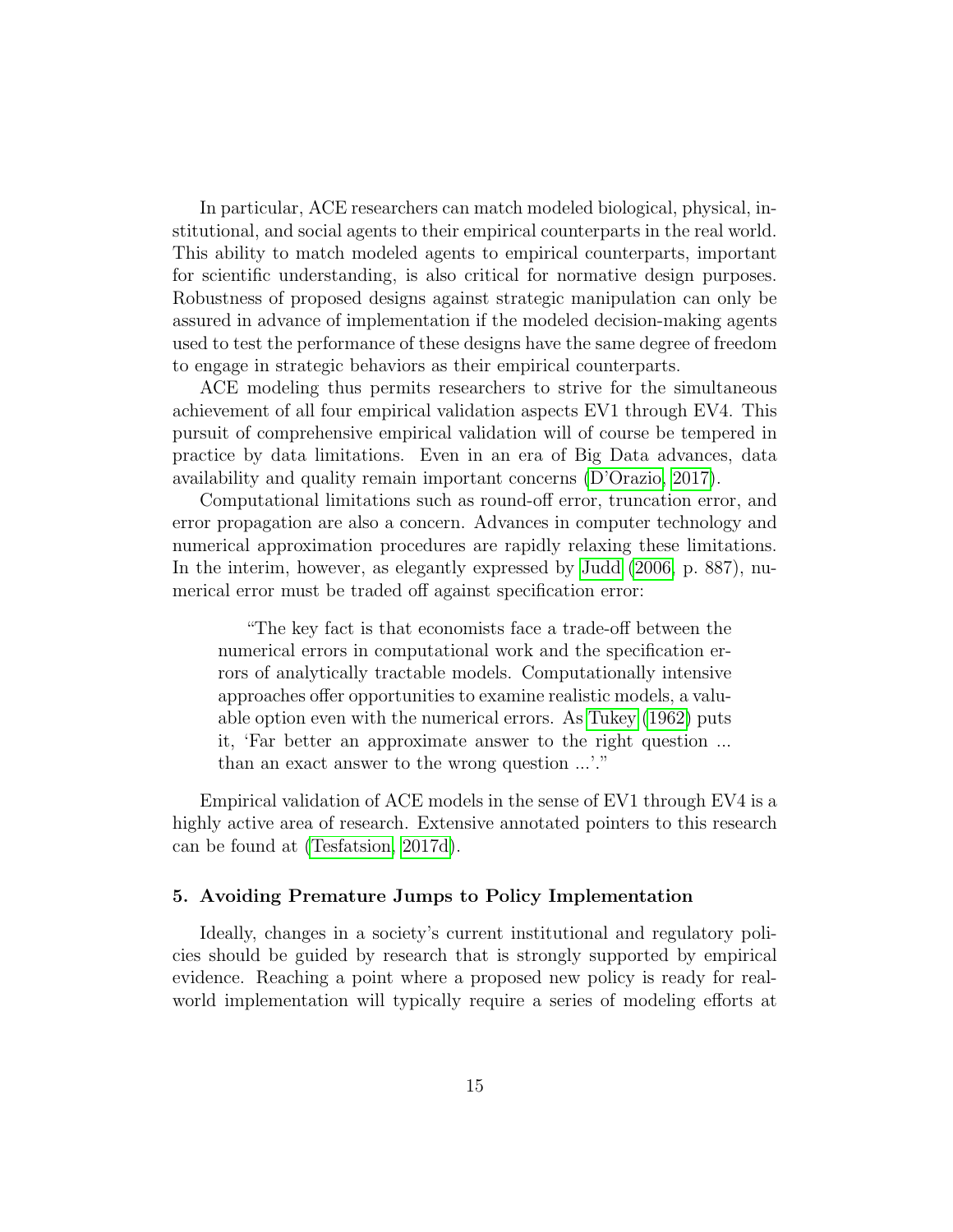In particular, ACE researchers can match modeled biological, physical, institutional, and social agents to their empirical counterparts in the real world. This ability to match modeled agents to empirical counterparts, important for scientific understanding, is also critical for normative design purposes. Robustness of proposed designs against strategic manipulation can only be assured in advance of implementation if the modeled decision-making agents used to test the performance of these designs have the same degree of freedom to engage in strategic behaviors as their empirical counterparts.

ACE modeling thus permits researchers to strive for the simultaneous achievement of all four empirical validation aspects EV1 through EV4. This pursuit of comprehensive empirical validation will of course be tempered in practice by data limitations. Even in an era of Big Data advances, data availability and quality remain important concerns [\(D'Orazio, 2017\)](#page-34-5).

Computational limitations such as round-off error, truncation error, and error propagation are also a concern. Advances in computer technology and numerical approximation procedures are rapidly relaxing these limitations. In the interim, however, as elegantly expressed by [Judd](#page-36-6) [\(2006,](#page-36-6) p. 887), numerical error must be traded off against specification error:

"The key fact is that economists face a trade-off between the numerical errors in computational work and the specification errors of analytically tractable models. Computationally intensive approaches offer opportunities to examine realistic models, a valuable option even with the numerical errors. As [Tukey](#page-38-2) [\(1962\)](#page-38-2) puts it, 'Far better an approximate answer to the right question ... than an exact answer to the wrong question ...'."

Empirical validation of ACE models in the sense of EV1 through EV4 is a highly active area of research. Extensive annotated pointers to this research can be found at [\(Tesfatsion, 2017d\)](#page-38-3).

#### <span id="page-15-0"></span>5. Avoiding Premature Jumps to Policy Implementation

Ideally, changes in a society's current institutional and regulatory policies should be guided by research that is strongly supported by empirical evidence. Reaching a point where a proposed new policy is ready for realworld implementation will typically require a series of modeling efforts at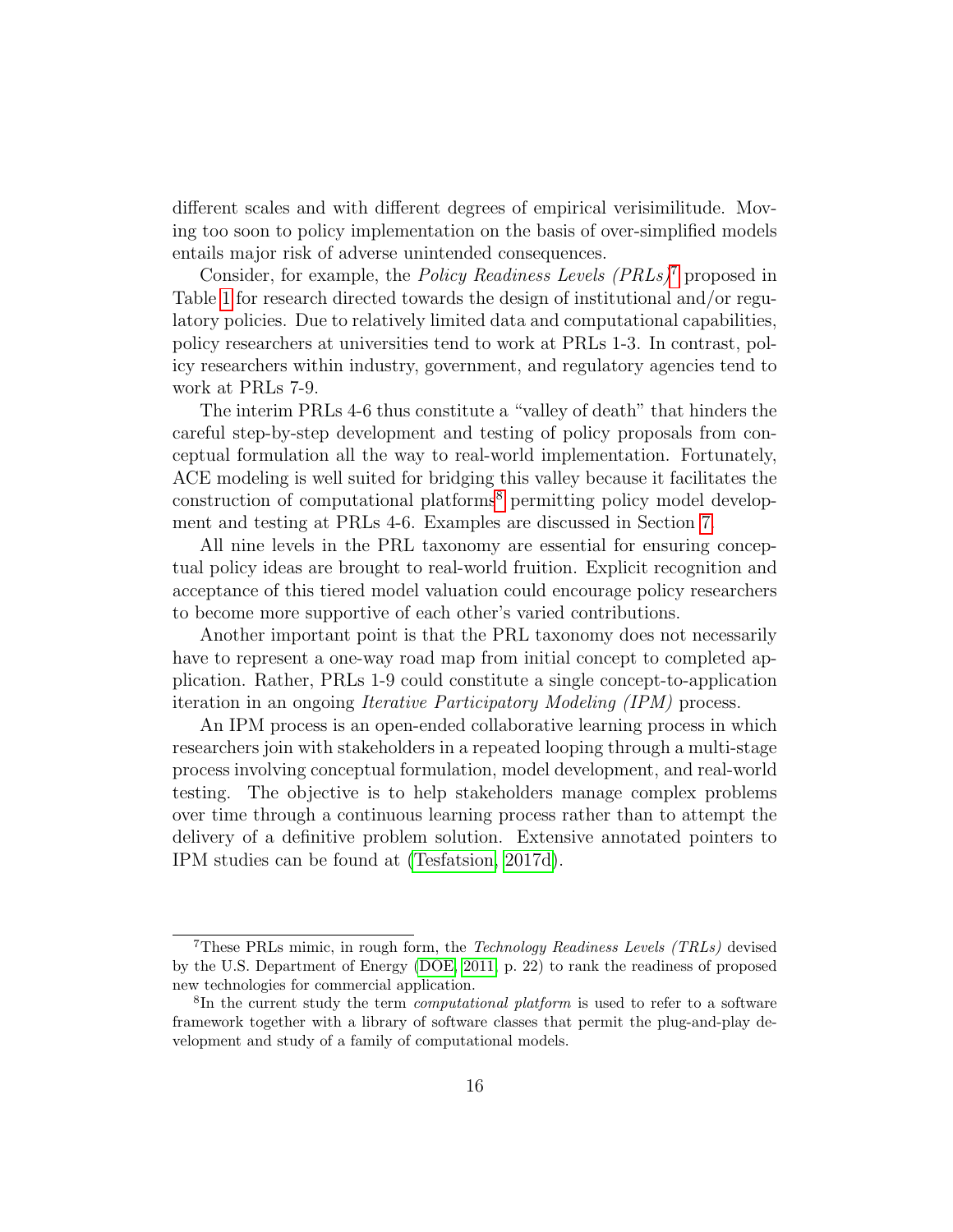different scales and with different degrees of empirical verisimilitude. Moving too soon to policy implementation on the basis of over-simplified models entails major risk of adverse unintended consequences.

Consider, for example, the *Policy Readiness Levels* (*PRLs*)<sup>[7](#page-16-0)</sup> proposed in Table [1](#page-17-0) for research directed towards the design of institutional and/or regulatory policies. Due to relatively limited data and computational capabilities, policy researchers at universities tend to work at PRLs 1-3. In contrast, policy researchers within industry, government, and regulatory agencies tend to work at PRLs 7-9.

The interim PRLs 4-6 thus constitute a "valley of death" that hinders the careful step-by-step development and testing of policy proposals from conceptual formulation all the way to real-world implementation. Fortunately, ACE modeling is well suited for bridging this valley because it facilitates the construction of computational platforms<sup>[8](#page-16-1)</sup> permitting policy model development and testing at PRLs 4-6. Examples are discussed in Section [7.](#page-21-0)

All nine levels in the PRL taxonomy are essential for ensuring conceptual policy ideas are brought to real-world fruition. Explicit recognition and acceptance of this tiered model valuation could encourage policy researchers to become more supportive of each other's varied contributions.

Another important point is that the PRL taxonomy does not necessarily have to represent a one-way road map from initial concept to completed application. Rather, PRLs 1-9 could constitute a single concept-to-application iteration in an ongoing Iterative Participatory Modeling (IPM) process.

An IPM process is an open-ended collaborative learning process in which researchers join with stakeholders in a repeated looping through a multi-stage process involving conceptual formulation, model development, and real-world testing. The objective is to help stakeholders manage complex problems over time through a continuous learning process rather than to attempt the delivery of a definitive problem solution. Extensive annotated pointers to IPM studies can be found at [\(Tesfatsion, 2017d\)](#page-38-3).

<span id="page-16-0"></span><sup>&</sup>lt;sup>7</sup>These PRLs mimic, in rough form, the *Technology Readiness Levels* (*TRLs*) devised by the U.S. Department of Energy [\(DOE, 2011,](#page-34-6) p. 22) to rank the readiness of proposed new technologies for commercial application.

<span id="page-16-1"></span><sup>&</sup>lt;sup>8</sup>In the current study the term *computational platform* is used to refer to a software framework together with a library of software classes that permit the plug-and-play development and study of a family of computational models.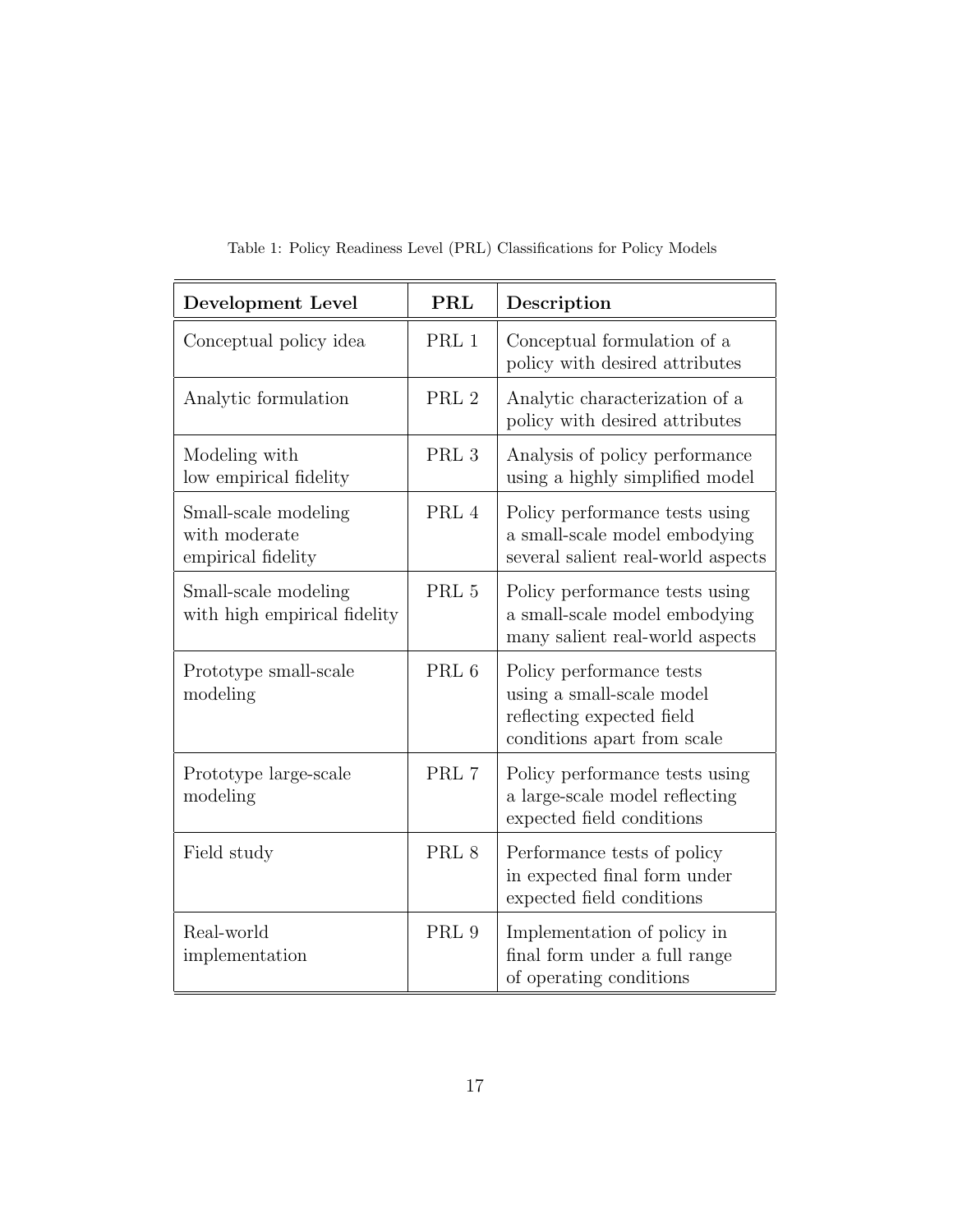| Development Level                                           | PRL              | Description                                                                                                       |
|-------------------------------------------------------------|------------------|-------------------------------------------------------------------------------------------------------------------|
| Conceptual policy idea                                      | PRL 1            | Conceptual formulation of a<br>policy with desired attributes                                                     |
| Analytic formulation                                        | PRL 2            | Analytic characterization of a<br>policy with desired attributes                                                  |
| Modeling with<br>low empirical fidelity                     | PRL <sub>3</sub> | Analysis of policy performance<br>using a highly simplified model                                                 |
| Small-scale modeling<br>with moderate<br>empirical fidelity | PRL 4            | Policy performance tests using<br>a small-scale model embodying<br>several salient real-world aspects             |
| Small-scale modeling<br>with high empirical fidelity        | PRL 5            | Policy performance tests using<br>a small-scale model embodying<br>many salient real-world aspects                |
| Prototype small-scale<br>modeling                           | PRL 6            | Policy performance tests<br>using a small-scale model<br>reflecting expected field<br>conditions apart from scale |
| Prototype large-scale<br>modeling                           | PRL 7            | Policy performance tests using<br>a large-scale model reflecting<br>expected field conditions                     |
| Field study                                                 | PRL <sub>8</sub> | Performance tests of policy<br>in expected final form under<br>expected field conditions                          |
| Real-world<br>implementation                                | PRL <sub>9</sub> | Implementation of policy in<br>final form under a full range<br>of operating conditions                           |

<span id="page-17-0"></span>Table 1: Policy Readiness Level (PRL) Classifications for Policy Models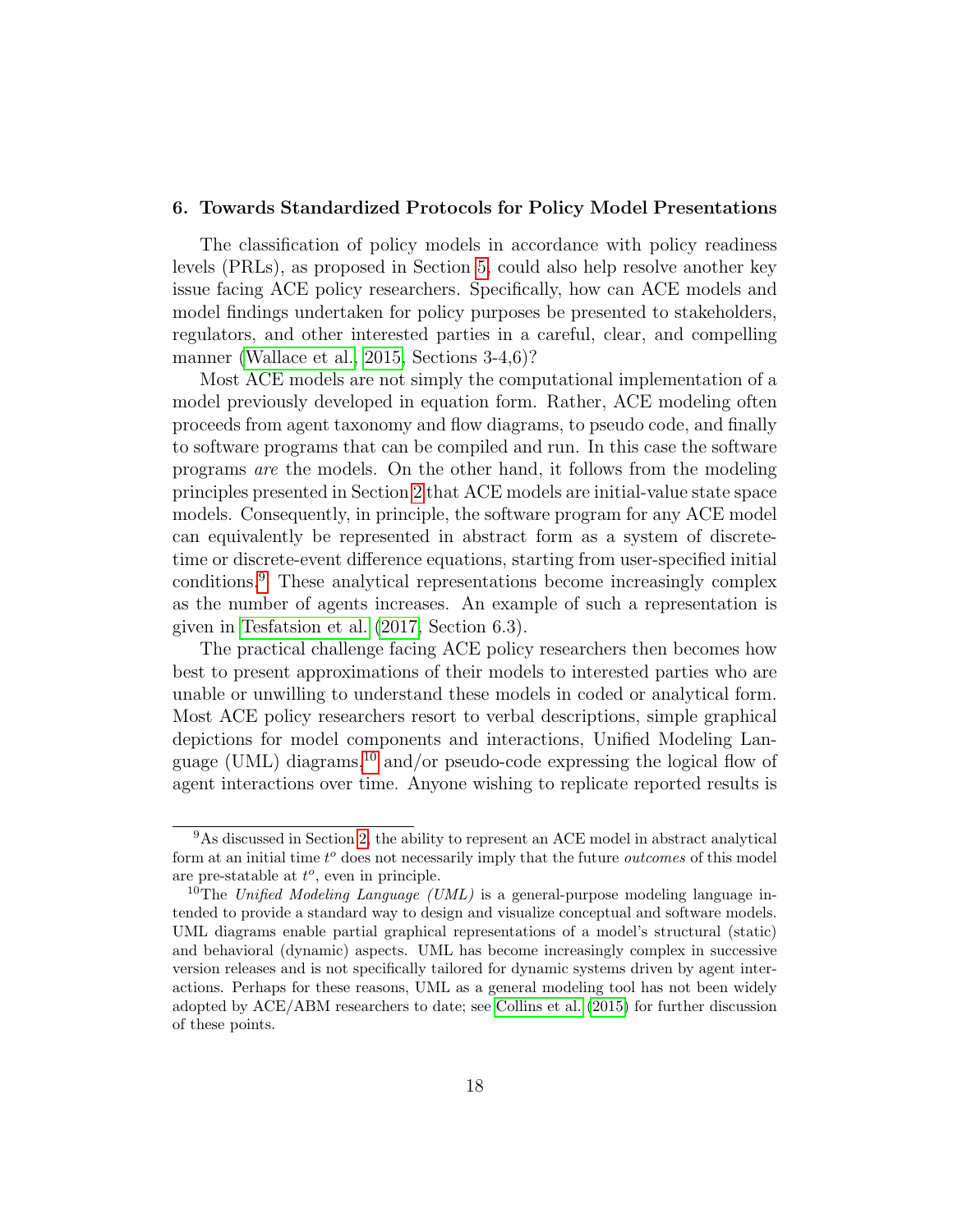#### <span id="page-18-0"></span>6. Towards Standardized Protocols for Policy Model Presentations

The classification of policy models in accordance with policy readiness levels (PRLs), as proposed in Section [5,](#page-15-0) could also help resolve another key issue facing ACE policy researchers. Specifically, how can ACE models and model findings undertaken for policy purposes be presented to stakeholders, regulators, and other interested parties in a careful, clear, and compelling manner [\(Wallace et al., 2015,](#page-39-0) Sections 3-4,6)?

Most ACE models are not simply the computational implementation of a model previously developed in equation form. Rather, ACE modeling often proceeds from agent taxonomy and flow diagrams, to pseudo code, and finally to software programs that can be compiled and run. In this case the software programs are the models. On the other hand, it follows from the modeling principles presented in Section [2](#page-4-0) that ACE models are initial-value state space models. Consequently, in principle, the software program for any ACE model can equivalently be represented in abstract form as a system of discretetime or discrete-event difference equations, starting from user-specified initial conditions.[9](#page-18-1) These analytical representations become increasingly complex as the number of agents increases. An example of such a representation is given in [Tesfatsion et al.](#page-38-0) [\(2017,](#page-38-0) Section 6.3).

The practical challenge facing ACE policy researchers then becomes how best to present approximations of their models to interested parties who are unable or unwilling to understand these models in coded or analytical form. Most ACE policy researchers resort to verbal descriptions, simple graphical depictions for model components and interactions, Unified Modeling Lan-guage (UML) diagrams,<sup>[10](#page-18-2)</sup> and/or pseudo-code expressing the logical flow of agent interactions over time. Anyone wishing to replicate reported results is

<span id="page-18-1"></span><sup>&</sup>lt;sup>9</sup>As discussed in Section [2,](#page-4-0) the ability to represent an ACE model in abstract analytical form at an initial time  $t^o$  does not necessarily imply that the future *outcomes* of this model are pre-statable at  $t^o$ , even in principle.

<span id="page-18-2"></span><sup>&</sup>lt;sup>10</sup>The Unified Modeling Language (UML) is a general-purpose modeling language intended to provide a standard way to design and visualize conceptual and software models. UML diagrams enable partial graphical representations of a model's structural (static) and behavioral (dynamic) aspects. UML has become increasingly complex in successive version releases and is not specifically tailored for dynamic systems driven by agent interactions. Perhaps for these reasons, UML as a general modeling tool has not been widely adopted by ACE/ABM researchers to date; see [Collins et al.](#page-34-7) [\(2015\)](#page-34-7) for further discussion of these points.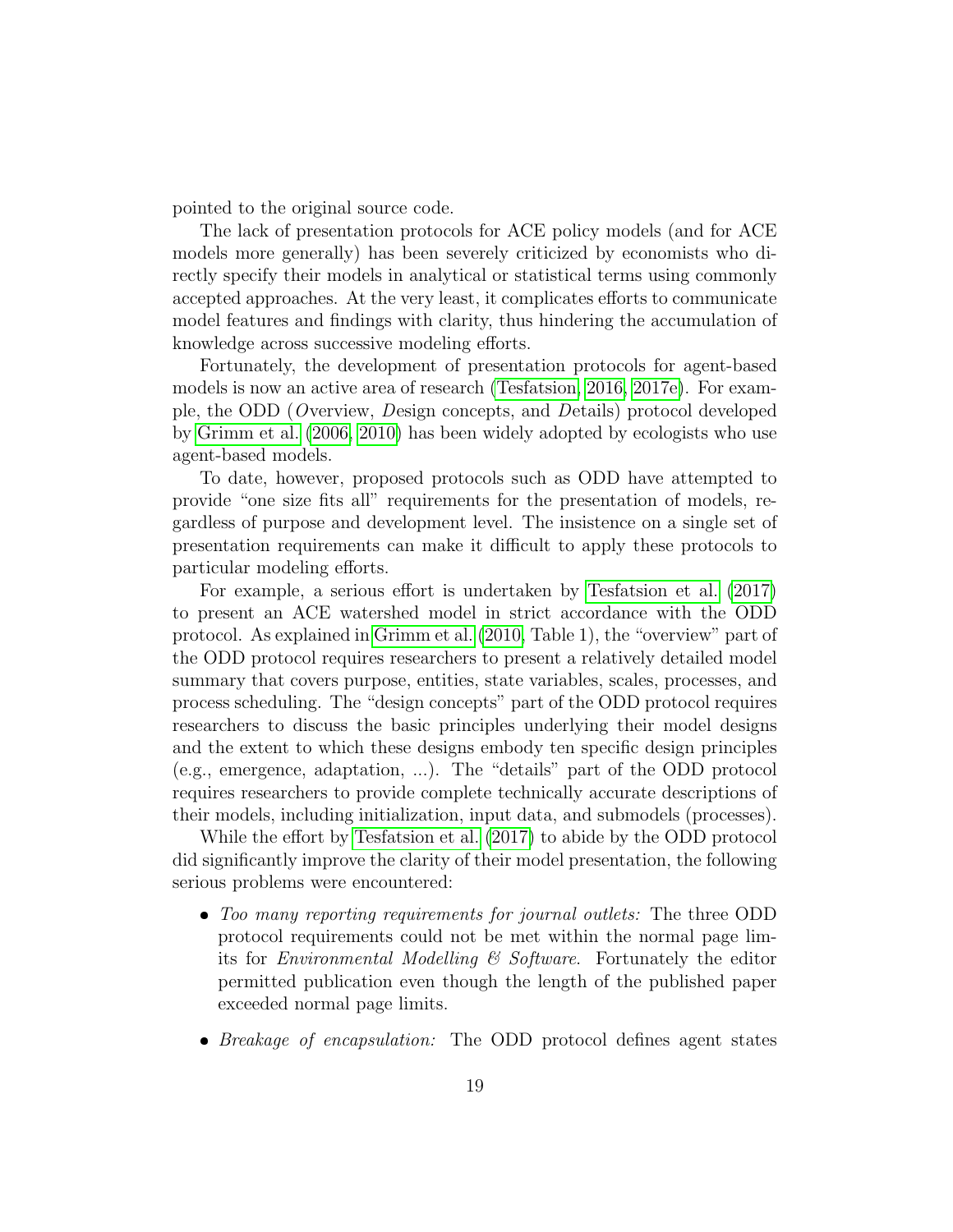pointed to the original source code.

The lack of presentation protocols for ACE policy models (and for ACE models more generally) has been severely criticized by economists who directly specify their models in analytical or statistical terms using commonly accepted approaches. At the very least, it complicates efforts to communicate model features and findings with clarity, thus hindering the accumulation of knowledge across successive modeling efforts.

Fortunately, the development of presentation protocols for agent-based models is now an active area of research [\(Tesfatsion, 2016,](#page-37-3) [2017e\)](#page-38-4). For example, the ODD (Overview, Design concepts, and Details) protocol developed by [Grimm et al.](#page-35-4) [\(2006,](#page-35-4) [2010\)](#page-35-5) has been widely adopted by ecologists who use agent-based models.

To date, however, proposed protocols such as ODD have attempted to provide "one size fits all" requirements for the presentation of models, regardless of purpose and development level. The insistence on a single set of presentation requirements can make it difficult to apply these protocols to particular modeling efforts.

For example, a serious effort is undertaken by [Tesfatsion et al.](#page-38-0) [\(2017\)](#page-38-0) to present an ACE watershed model in strict accordance with the ODD protocol. As explained in [Grimm et al.](#page-35-5) [\(2010,](#page-35-5) Table 1), the "overview" part of the ODD protocol requires researchers to present a relatively detailed model summary that covers purpose, entities, state variables, scales, processes, and process scheduling. The "design concepts" part of the ODD protocol requires researchers to discuss the basic principles underlying their model designs and the extent to which these designs embody ten specific design principles (e.g., emergence, adaptation, ...). The "details" part of the ODD protocol requires researchers to provide complete technically accurate descriptions of their models, including initialization, input data, and submodels (processes).

While the effort by [Tesfatsion et al.](#page-38-0) [\(2017\)](#page-38-0) to abide by the ODD protocol did significantly improve the clarity of their model presentation, the following serious problems were encountered:

- Too many reporting requirements for journal outlets: The three ODD protocol requirements could not be met within the normal page limits for *Environmental Modelling*  $\&$  *Software*. Fortunately the editor permitted publication even though the length of the published paper exceeded normal page limits.
- Breakage of encapsulation: The ODD protocol defines agent states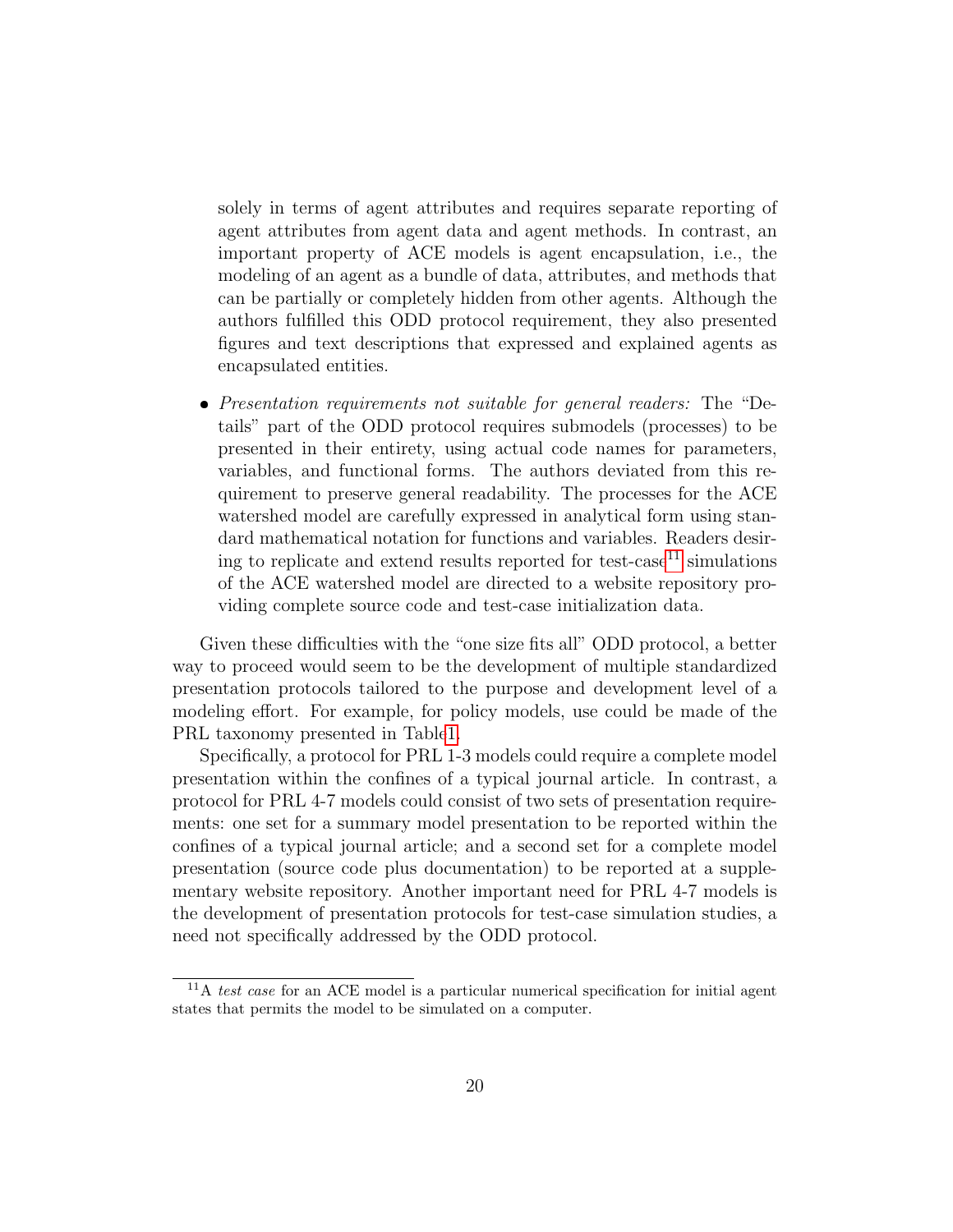solely in terms of agent attributes and requires separate reporting of agent attributes from agent data and agent methods. In contrast, an important property of ACE models is agent encapsulation, i.e., the modeling of an agent as a bundle of data, attributes, and methods that can be partially or completely hidden from other agents. Although the authors fulfilled this ODD protocol requirement, they also presented figures and text descriptions that expressed and explained agents as encapsulated entities.

• Presentation requirements not suitable for general readers: The "Details" part of the ODD protocol requires submodels (processes) to be presented in their entirety, using actual code names for parameters, variables, and functional forms. The authors deviated from this requirement to preserve general readability. The processes for the ACE watershed model are carefully expressed in analytical form using standard mathematical notation for functions and variables. Readers desir-ing to replicate and extend results reported for test-case<sup>[11](#page-20-0)</sup> simulations of the ACE watershed model are directed to a website repository providing complete source code and test-case initialization data.

Given these difficulties with the "one size fits all" ODD protocol, a better way to proceed would seem to be the development of multiple standardized presentation protocols tailored to the purpose and development level of a modeling effort. For example, for policy models, use could be made of the PRL taxonomy presented in Tabl[e1.](#page-17-0)

Specifically, a protocol for PRL 1-3 models could require a complete model presentation within the confines of a typical journal article. In contrast, a protocol for PRL 4-7 models could consist of two sets of presentation requirements: one set for a summary model presentation to be reported within the confines of a typical journal article; and a second set for a complete model presentation (source code plus documentation) to be reported at a supplementary website repository. Another important need for PRL 4-7 models is the development of presentation protocols for test-case simulation studies, a need not specifically addressed by the ODD protocol.

<span id="page-20-0"></span> $11A$  test case for an ACE model is a particular numerical specification for initial agent states that permits the model to be simulated on a computer.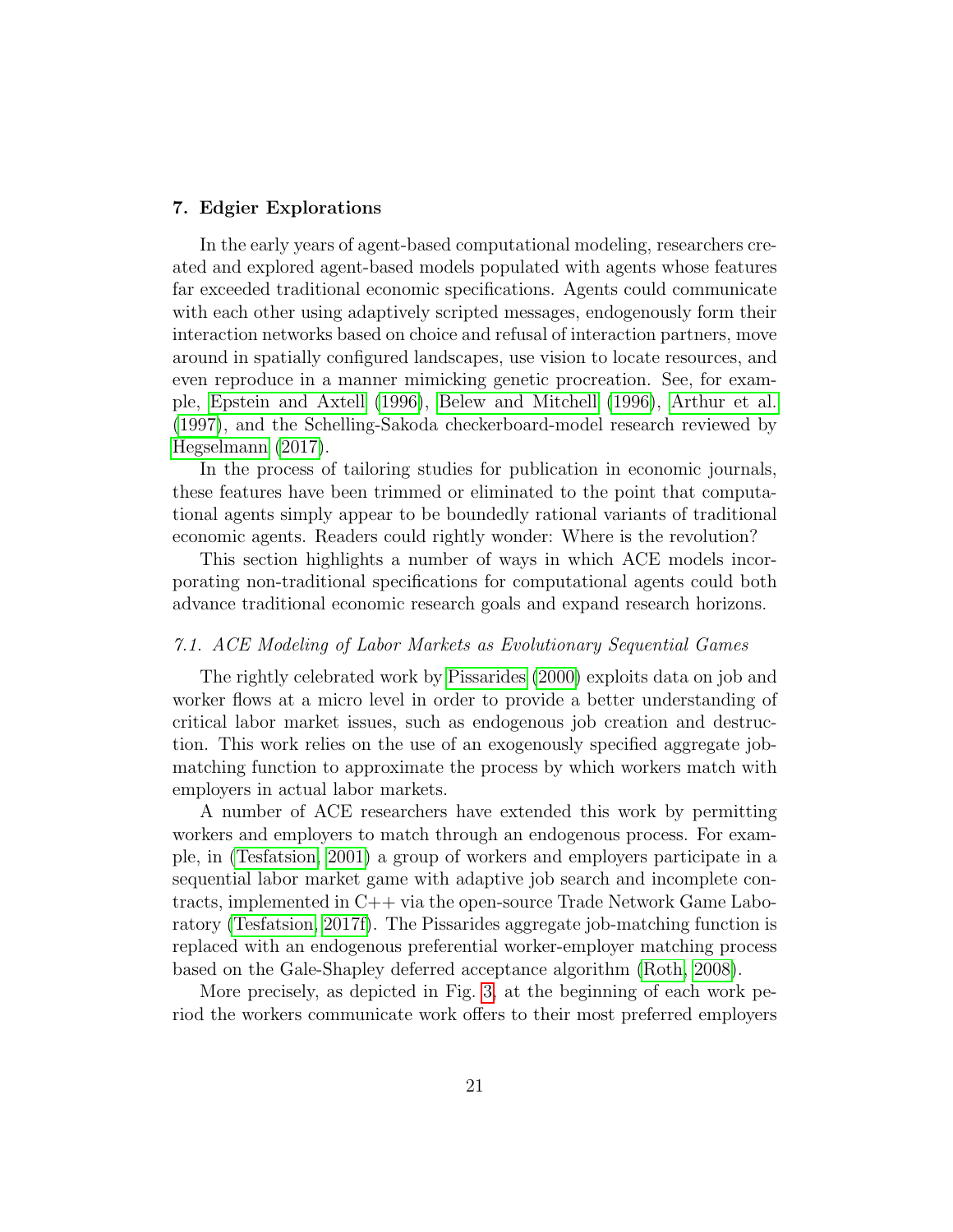#### <span id="page-21-0"></span>7. Edgier Explorations

In the early years of agent-based computational modeling, researchers created and explored agent-based models populated with agents whose features far exceeded traditional economic specifications. Agents could communicate with each other using adaptively scripted messages, endogenously form their interaction networks based on choice and refusal of interaction partners, move around in spatially configured landscapes, use vision to locate resources, and even reproduce in a manner mimicking genetic procreation. See, for example, [Epstein and Axtell](#page-34-8) [\(1996\)](#page-34-8), [Belew and Mitchell](#page-34-9) [\(1996\)](#page-34-9), [Arthur et al.](#page-33-2) [\(1997\)](#page-33-2), and the Schelling-Sakoda checkerboard-model research reviewed by [Hegselmann](#page-35-6) [\(2017\)](#page-35-6).

In the process of tailoring studies for publication in economic journals, these features have been trimmed or eliminated to the point that computational agents simply appear to be boundedly rational variants of traditional economic agents. Readers could rightly wonder: Where is the revolution?

This section highlights a number of ways in which ACE models incorporating non-traditional specifications for computational agents could both advance traditional economic research goals and expand research horizons.

#### <span id="page-21-1"></span>7.1. ACE Modeling of Labor Markets as Evolutionary Sequential Games

The rightly celebrated work by [Pissarides](#page-36-7) [\(2000\)](#page-36-7) exploits data on job and worker flows at a micro level in order to provide a better understanding of critical labor market issues, such as endogenous job creation and destruction. This work relies on the use of an exogenously specified aggregate jobmatching function to approximate the process by which workers match with employers in actual labor markets.

A number of ACE researchers have extended this work by permitting workers and employers to match through an endogenous process. For example, in [\(Tesfatsion, 2001\)](#page-37-6) a group of workers and employers participate in a sequential labor market game with adaptive job search and incomplete contracts, implemented in C++ via the open-source Trade Network Game Laboratory [\(Tesfatsion, 2017f\)](#page-38-5). The Pissarides aggregate job-matching function is replaced with an endogenous preferential worker-employer matching process based on the Gale-Shapley deferred acceptance algorithm [\(Roth, 2008\)](#page-37-7).

More precisely, as depicted in Fig. [3,](#page-22-0) at the beginning of each work period the workers communicate work offers to their most preferred employers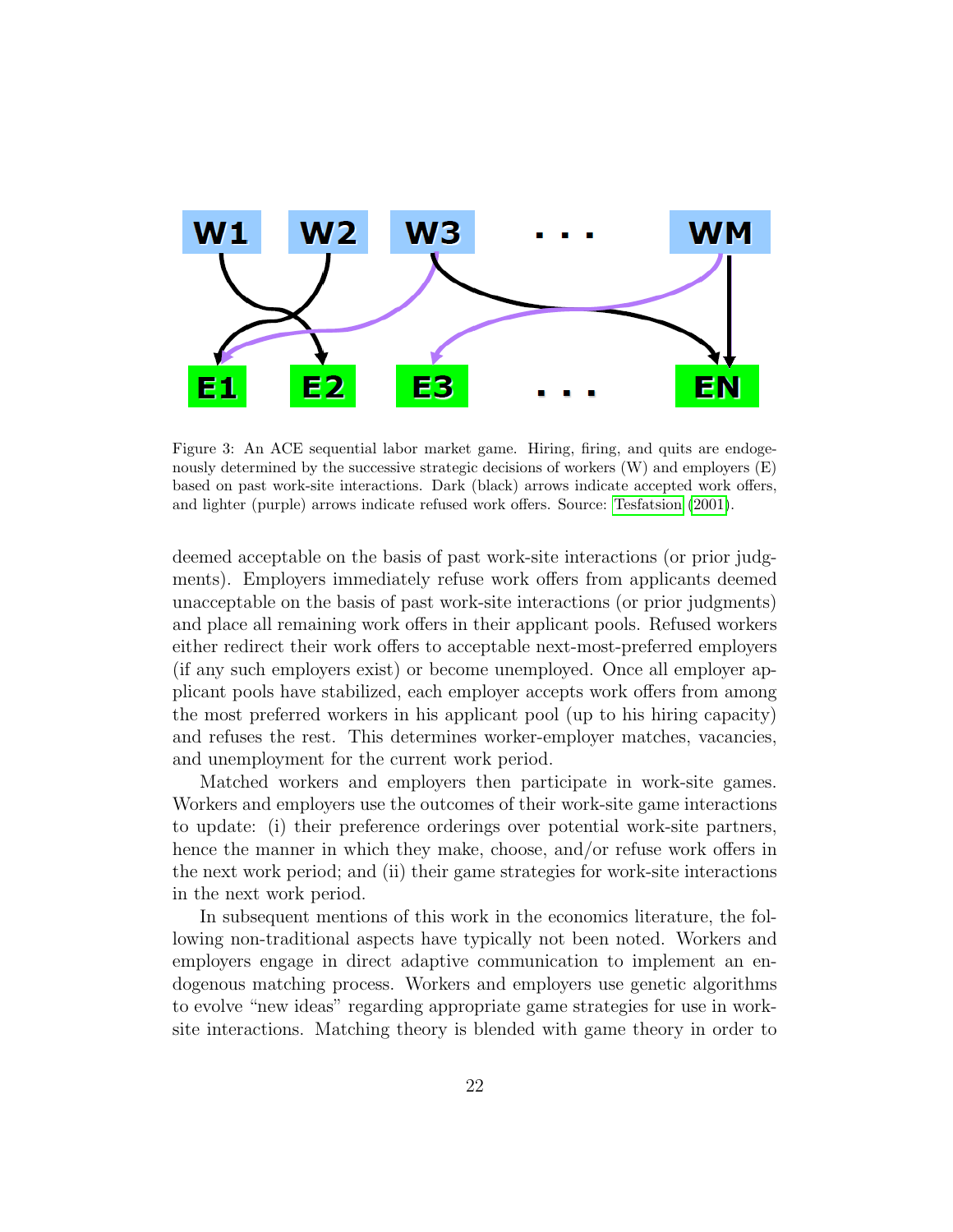

<span id="page-22-0"></span>Figure 3: An ACE sequential labor market game. Hiring, firing, and quits are endogenously determined by the successive strategic decisions of workers  $(W)$  and employers  $(E)$ based on past work-site interactions. Dark (black) arrows indicate accepted work offers, and lighter (purple) arrows indicate refused work offers. Source: [Tesfatsion](#page-37-6) [\(2001\)](#page-37-6).

deemed acceptable on the basis of past work-site interactions (or prior judgments). Employers immediately refuse work offers from applicants deemed unacceptable on the basis of past work-site interactions (or prior judgments) and place all remaining work offers in their applicant pools. Refused workers either redirect their work offers to acceptable next-most-preferred employers (if any such employers exist) or become unemployed. Once all employer applicant pools have stabilized, each employer accepts work offers from among the most preferred workers in his applicant pool (up to his hiring capacity) and refuses the rest. This determines worker-employer matches, vacancies, and unemployment for the current work period.

Matched workers and employers then participate in work-site games. Workers and employers use the outcomes of their work-site game interactions to update: (i) their preference orderings over potential work-site partners, hence the manner in which they make, choose, and/or refuse work offers in the next work period; and (ii) their game strategies for work-site interactions in the next work period.

In subsequent mentions of this work in the economics literature, the following non-traditional aspects have typically not been noted. Workers and employers engage in direct adaptive communication to implement an endogenous matching process. Workers and employers use genetic algorithms to evolve "new ideas" regarding appropriate game strategies for use in worksite interactions. Matching theory is blended with game theory in order to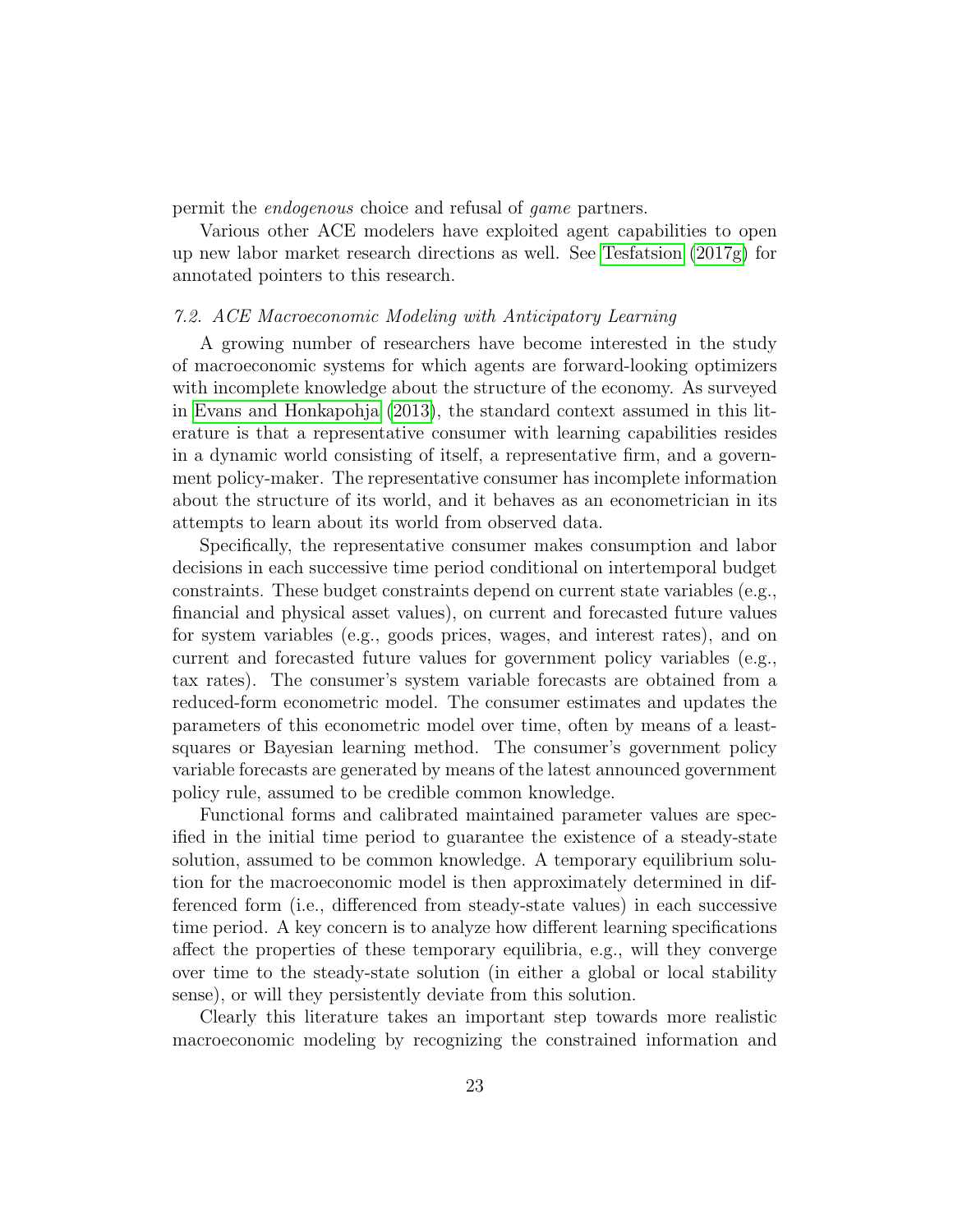permit the endogenous choice and refusal of game partners.

Various other ACE modelers have exploited agent capabilities to open up new labor market research directions as well. See [Tesfatsion](#page-38-6) [\(2017g\)](#page-38-6) for annotated pointers to this research.

### <span id="page-23-0"></span>7.2. ACE Macroeconomic Modeling with Anticipatory Learning

A growing number of researchers have become interested in the study of macroeconomic systems for which agents are forward-looking optimizers with incomplete knowledge about the structure of the economy. As surveyed in [Evans and Honkapohja](#page-35-7) [\(2013\)](#page-35-7), the standard context assumed in this literature is that a representative consumer with learning capabilities resides in a dynamic world consisting of itself, a representative firm, and a government policy-maker. The representative consumer has incomplete information about the structure of its world, and it behaves as an econometrician in its attempts to learn about its world from observed data.

Specifically, the representative consumer makes consumption and labor decisions in each successive time period conditional on intertemporal budget constraints. These budget constraints depend on current state variables (e.g., financial and physical asset values), on current and forecasted future values for system variables (e.g., goods prices, wages, and interest rates), and on current and forecasted future values for government policy variables (e.g., tax rates). The consumer's system variable forecasts are obtained from a reduced-form econometric model. The consumer estimates and updates the parameters of this econometric model over time, often by means of a leastsquares or Bayesian learning method. The consumer's government policy variable forecasts are generated by means of the latest announced government policy rule, assumed to be credible common knowledge.

Functional forms and calibrated maintained parameter values are specified in the initial time period to guarantee the existence of a steady-state solution, assumed to be common knowledge. A temporary equilibrium solution for the macroeconomic model is then approximately determined in differenced form (i.e., differenced from steady-state values) in each successive time period. A key concern is to analyze how different learning specifications affect the properties of these temporary equilibria, e.g., will they converge over time to the steady-state solution (in either a global or local stability sense), or will they persistently deviate from this solution.

Clearly this literature takes an important step towards more realistic macroeconomic modeling by recognizing the constrained information and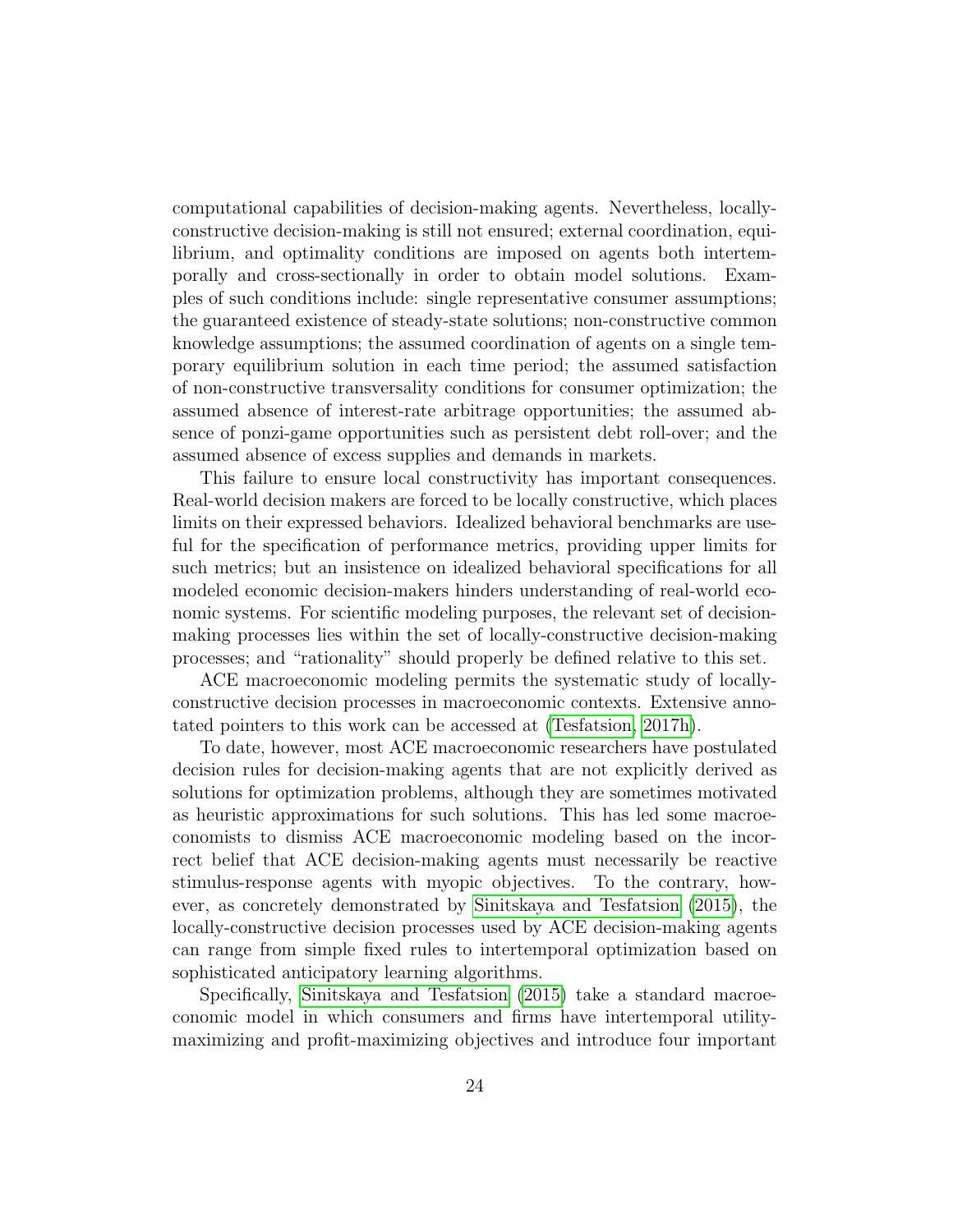computational capabilities of decision-making agents. Nevertheless, locallyconstructive decision-making is still not ensured; external coordination, equilibrium, and optimality conditions are imposed on agents both intertemporally and cross-sectionally in order to obtain model solutions. Examples of such conditions include: single representative consumer assumptions; the guaranteed existence of steady-state solutions; non-constructive common knowledge assumptions; the assumed coordination of agents on a single temporary equilibrium solution in each time period; the assumed satisfaction of non-constructive transversality conditions for consumer optimization; the assumed absence of interest-rate arbitrage opportunities; the assumed absence of ponzi-game opportunities such as persistent debt roll-over; and the assumed absence of excess supplies and demands in markets.

This failure to ensure local constructivity has important consequences. Real-world decision makers are forced to be locally constructive, which places limits on their expressed behaviors. Idealized behavioral benchmarks are useful for the specification of performance metrics, providing upper limits for such metrics; but an insistence on idealized behavioral specifications for all modeled economic decision-makers hinders understanding of real-world economic systems. For scientific modeling purposes, the relevant set of decisionmaking processes lies within the set of locally-constructive decision-making processes; and "rationality" should properly be defined relative to this set.

ACE macroeconomic modeling permits the systematic study of locallyconstructive decision processes in macroeconomic contexts. Extensive annotated pointers to this work can be accessed at [\(Tesfatsion, 2017h\)](#page-38-7).

To date, however, most ACE macroeconomic researchers have postulated decision rules for decision-making agents that are not explicitly derived as solutions for optimization problems, although they are sometimes motivated as heuristic approximations for such solutions. This has led some macroeconomists to dismiss ACE macroeconomic modeling based on the incorrect belief that ACE decision-making agents must necessarily be reactive stimulus-response agents with myopic objectives. To the contrary, however, as concretely demonstrated by [Sinitskaya and Tesfatsion](#page-37-8) [\(2015\)](#page-37-8), the locally-constructive decision processes used by ACE decision-making agents can range from simple fixed rules to intertemporal optimization based on sophisticated anticipatory learning algorithms.

Specifically, [Sinitskaya and Tesfatsion](#page-37-8) [\(2015\)](#page-37-8) take a standard macroeconomic model in which consumers and firms have intertemporal utilitymaximizing and profit-maximizing objectives and introduce four important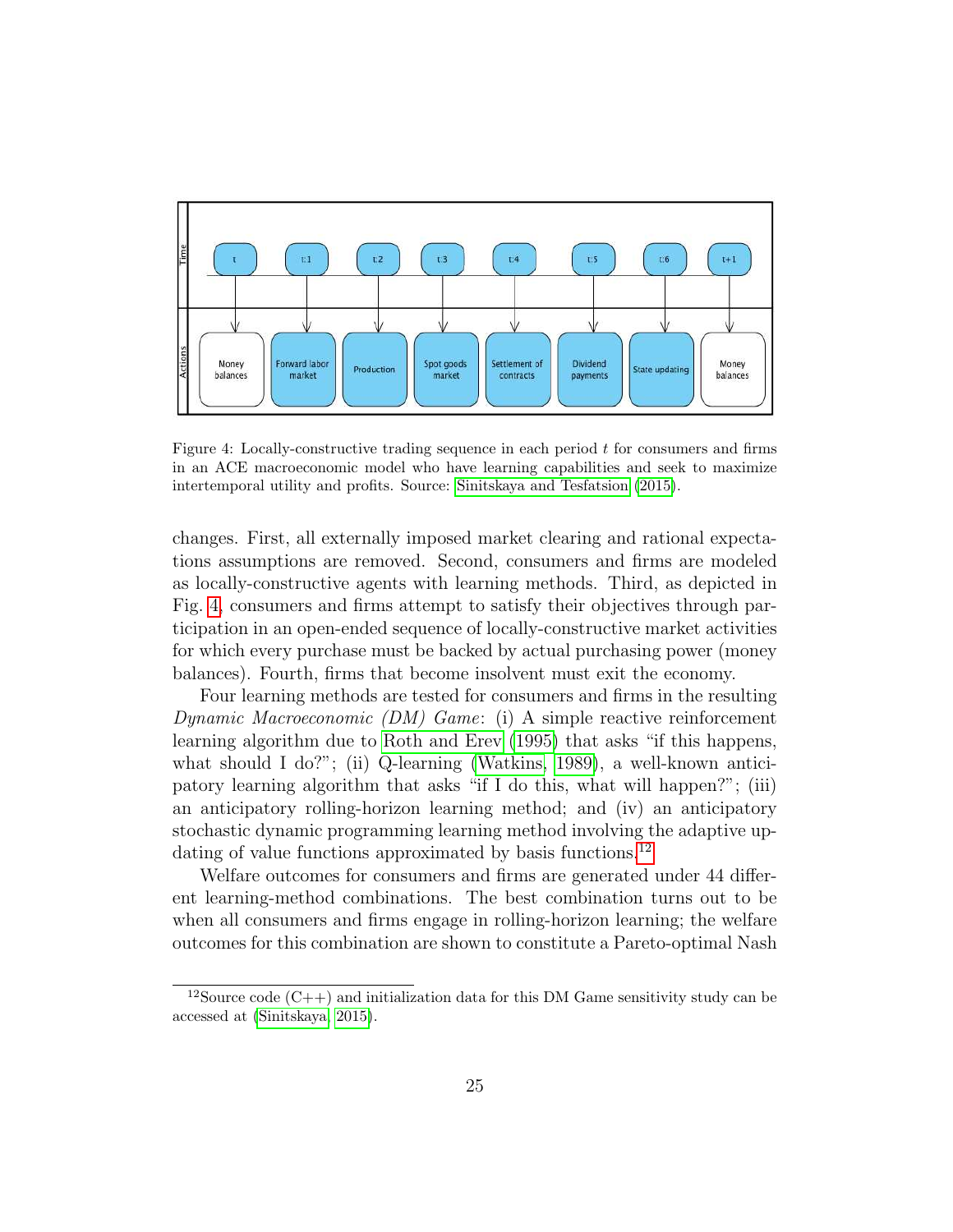

<span id="page-25-0"></span>Figure 4: Locally-constructive trading sequence in each period  $t$  for consumers and firms in an ACE macroeconomic model who have learning capabilities and seek to maximize intertemporal utility and profits. Source: [Sinitskaya and Tesfatsion](#page-37-8) [\(2015\)](#page-37-8).

changes. First, all externally imposed market clearing and rational expectations assumptions are removed. Second, consumers and firms are modeled as locally-constructive agents with learning methods. Third, as depicted in Fig. [4,](#page-25-0) consumers and firms attempt to satisfy their objectives through participation in an open-ended sequence of locally-constructive market activities for which every purchase must be backed by actual purchasing power (money balances). Fourth, firms that become insolvent must exit the economy.

Four learning methods are tested for consumers and firms in the resulting Dynamic Macroeconomic (DM) Game: (i) A simple reactive reinforcement learning algorithm due to [Roth and Erev](#page-37-9) [\(1995\)](#page-37-9) that asks "if this happens, what should I do?"; (ii) Q-learning [\(Watkins, 1989\)](#page-39-1), a well-known anticipatory learning algorithm that asks "if I do this, what will happen?"; (iii) an anticipatory rolling-horizon learning method; and (iv) an anticipatory stochastic dynamic programming learning method involving the adaptive up-dating of value functions approximated by basis functions.<sup>[12](#page-25-1)</sup>

Welfare outcomes for consumers and firms are generated under 44 different learning-method combinations. The best combination turns out to be when all consumers and firms engage in rolling-horizon learning; the welfare outcomes for this combination are shown to constitute a Pareto-optimal Nash

<span id="page-25-1"></span><sup>&</sup>lt;sup>12</sup>Source code  $(C++)$  and initialization data for this DM Game sensitivity study can be accessed at [\(Sinitskaya, 2015\)](#page-37-10).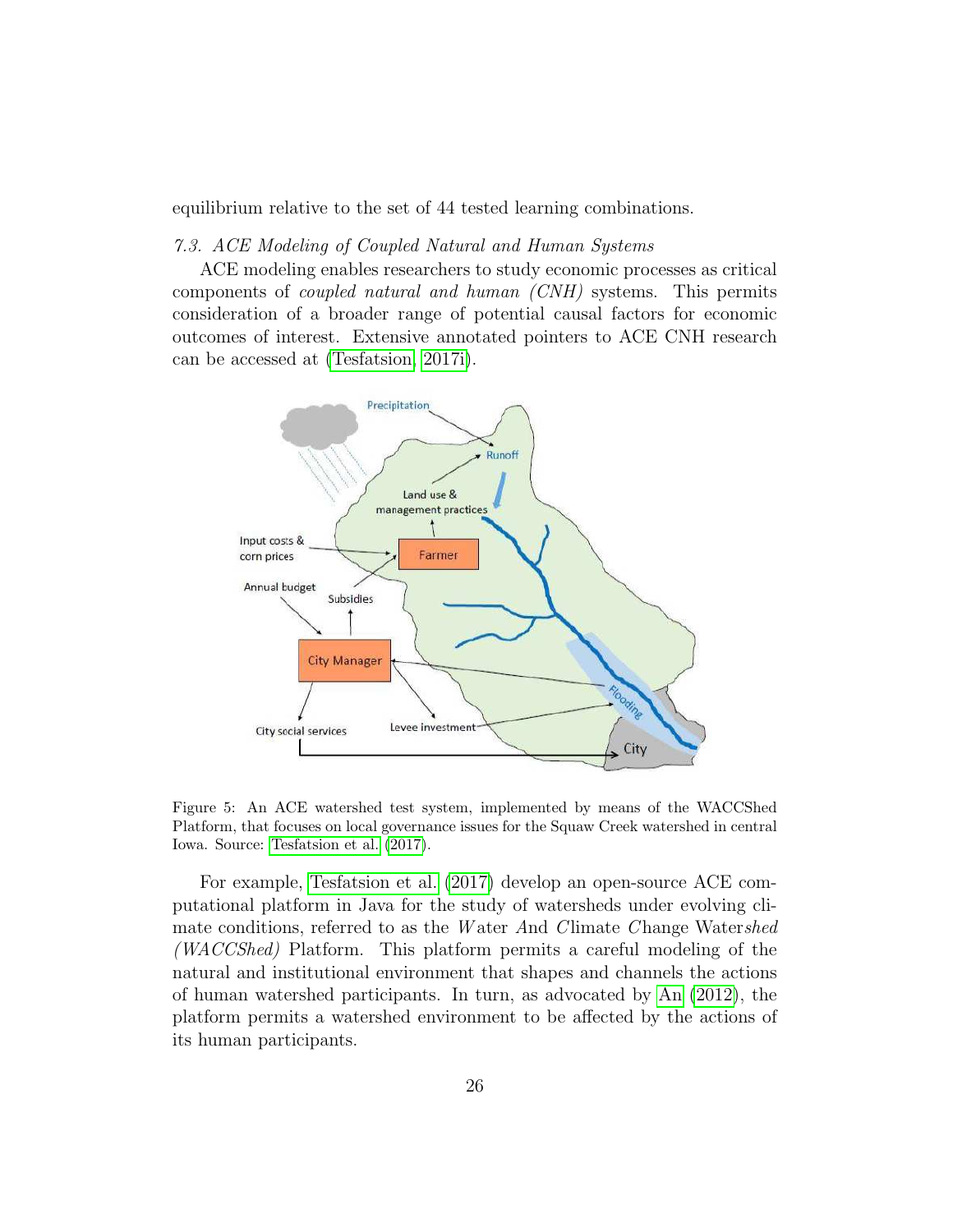equilibrium relative to the set of 44 tested learning combinations.

#### <span id="page-26-0"></span>7.3. ACE Modeling of Coupled Natural and Human Systems

ACE modeling enables researchers to study economic processes as critical components of coupled natural and human (CNH) systems. This permits consideration of a broader range of potential causal factors for economic outcomes of interest. Extensive annotated pointers to ACE CNH research can be accessed at [\(Tesfatsion, 2017i\)](#page-38-8).



<span id="page-26-1"></span>Figure 5: An ACE watershed test system, implemented by means of the WACCShed Platform, that focuses on local governance issues for the Squaw Creek watershed in central Iowa. Source: [Tesfatsion et al.](#page-38-0) [\(2017\)](#page-38-0).

For example, [Tesfatsion et al.](#page-38-0) [\(2017\)](#page-38-0) develop an open-source ACE computational platform in Java for the study of watersheds under evolving climate conditions, referred to as the W ater And Climate Change Watershed (WACCShed) Platform. This platform permits a careful modeling of the natural and institutional environment that shapes and channels the actions of human watershed participants. In turn, as advocated by [An](#page-33-3) [\(2012\)](#page-33-3), the platform permits a watershed environment to be affected by the actions of its human participants.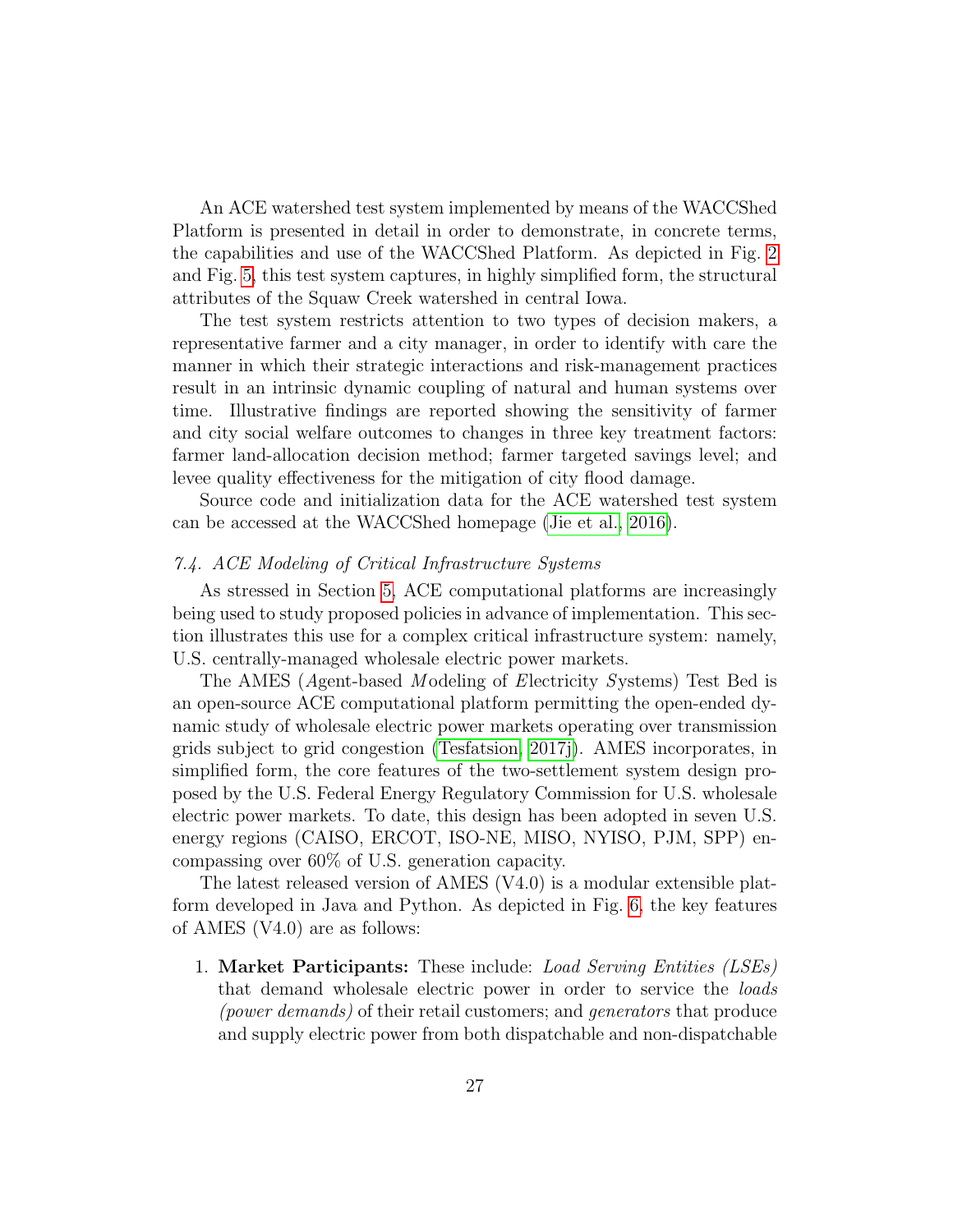An ACE watershed test system implemented by means of the WACCShed Platform is presented in detail in order to demonstrate, in concrete terms, the capabilities and use of the WACCShed Platform. As depicted in Fig. [2](#page-10-0) and Fig. [5,](#page-26-1) this test system captures, in highly simplified form, the structural attributes of the Squaw Creek watershed in central Iowa.

The test system restricts attention to two types of decision makers, a representative farmer and a city manager, in order to identify with care the manner in which their strategic interactions and risk-management practices result in an intrinsic dynamic coupling of natural and human systems over time. Illustrative findings are reported showing the sensitivity of farmer and city social welfare outcomes to changes in three key treatment factors: farmer land-allocation decision method; farmer targeted savings level; and levee quality effectiveness for the mitigation of city flood damage.

Source code and initialization data for the ACE watershed test system can be accessed at the WACCShed homepage [\(Jie et al., 2016\)](#page-36-8).

## <span id="page-27-0"></span>7.4. ACE Modeling of Critical Infrastructure Systems

As stressed in Section [5,](#page-15-0) ACE computational platforms are increasingly being used to study proposed policies in advance of implementation. This section illustrates this use for a complex critical infrastructure system: namely, U.S. centrally-managed wholesale electric power markets.

The AMES (Agent-based Modeling of Electricity Systems) Test Bed is an open-source ACE computational platform permitting the open-ended dynamic study of wholesale electric power markets operating over transmission grids subject to grid congestion [\(Tesfatsion, 2017j\)](#page-38-9). AMES incorporates, in simplified form, the core features of the two-settlement system design proposed by the U.S. Federal Energy Regulatory Commission for U.S. wholesale electric power markets. To date, this design has been adopted in seven U.S. energy regions (CAISO, ERCOT, ISO-NE, MISO, NYISO, PJM, SPP) encompassing over 60% of U.S. generation capacity.

The latest released version of AMES (V4.0) is a modular extensible platform developed in Java and Python. As depicted in Fig. [6,](#page-28-0) the key features of AMES (V4.0) are as follows:

1. Market Participants: These include: Load Serving Entities (LSEs) that demand wholesale electric power in order to service the loads (power demands) of their retail customers; and generators that produce and supply electric power from both dispatchable and non-dispatchable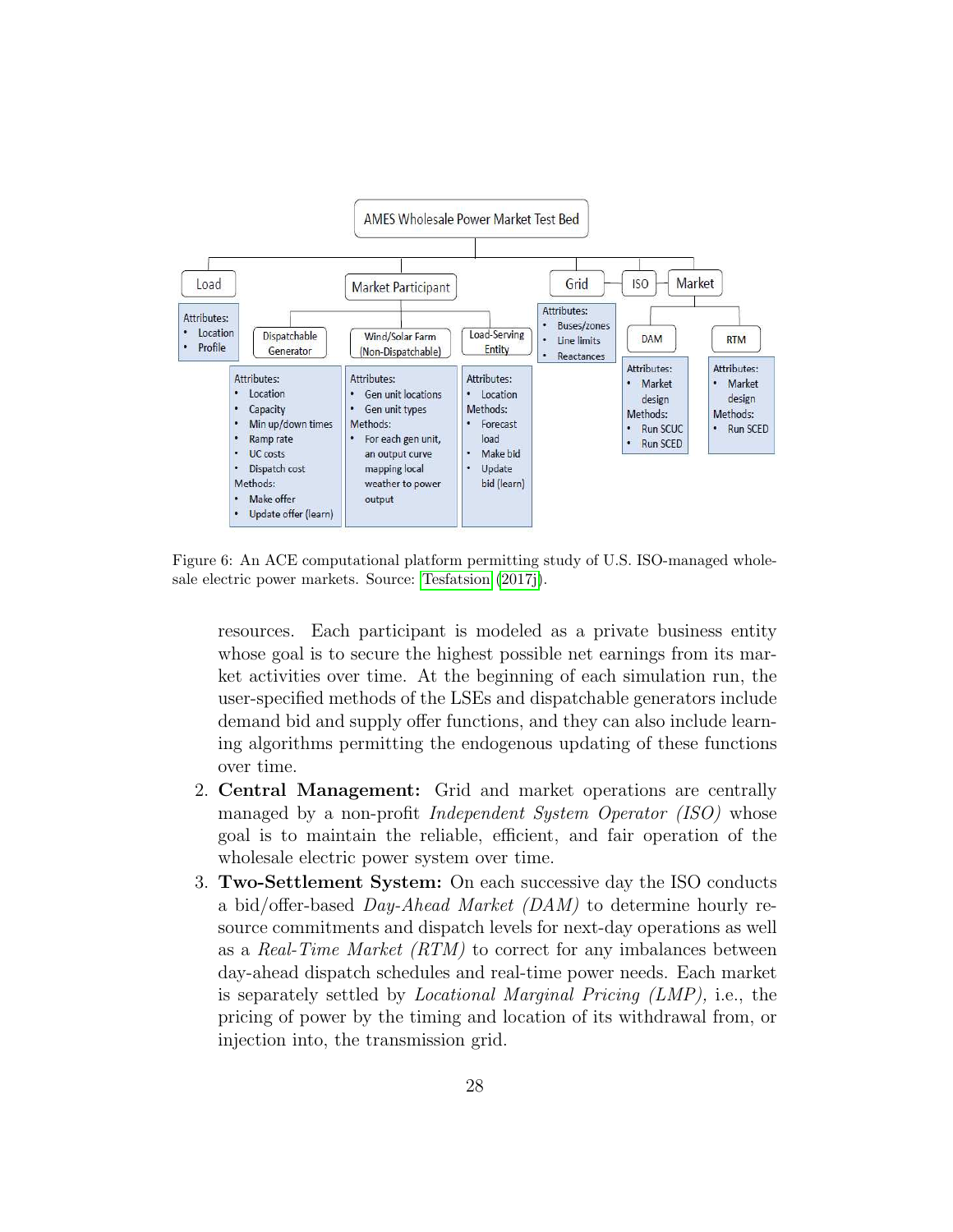

<span id="page-28-0"></span>Figure 6: An ACE computational platform permitting study of U.S. ISO-managed wholesale electric power markets. Source: [Tesfatsion](#page-38-9) [\(2017j\)](#page-38-9).

resources. Each participant is modeled as a private business entity whose goal is to secure the highest possible net earnings from its market activities over time. At the beginning of each simulation run, the user-specified methods of the LSEs and dispatchable generators include demand bid and supply offer functions, and they can also include learning algorithms permitting the endogenous updating of these functions over time.

- 2. Central Management: Grid and market operations are centrally managed by a non-profit *Independent System Operator (ISO)* whose goal is to maintain the reliable, efficient, and fair operation of the wholesale electric power system over time.
- 3. Two-Settlement System: On each successive day the ISO conducts a bid/offer-based Day-Ahead Market (DAM) to determine hourly resource commitments and dispatch levels for next-day operations as well as a Real-Time Market (RTM) to correct for any imbalances between day-ahead dispatch schedules and real-time power needs. Each market is separately settled by Locational Marginal Pricing (LMP), i.e., the pricing of power by the timing and location of its withdrawal from, or injection into, the transmission grid.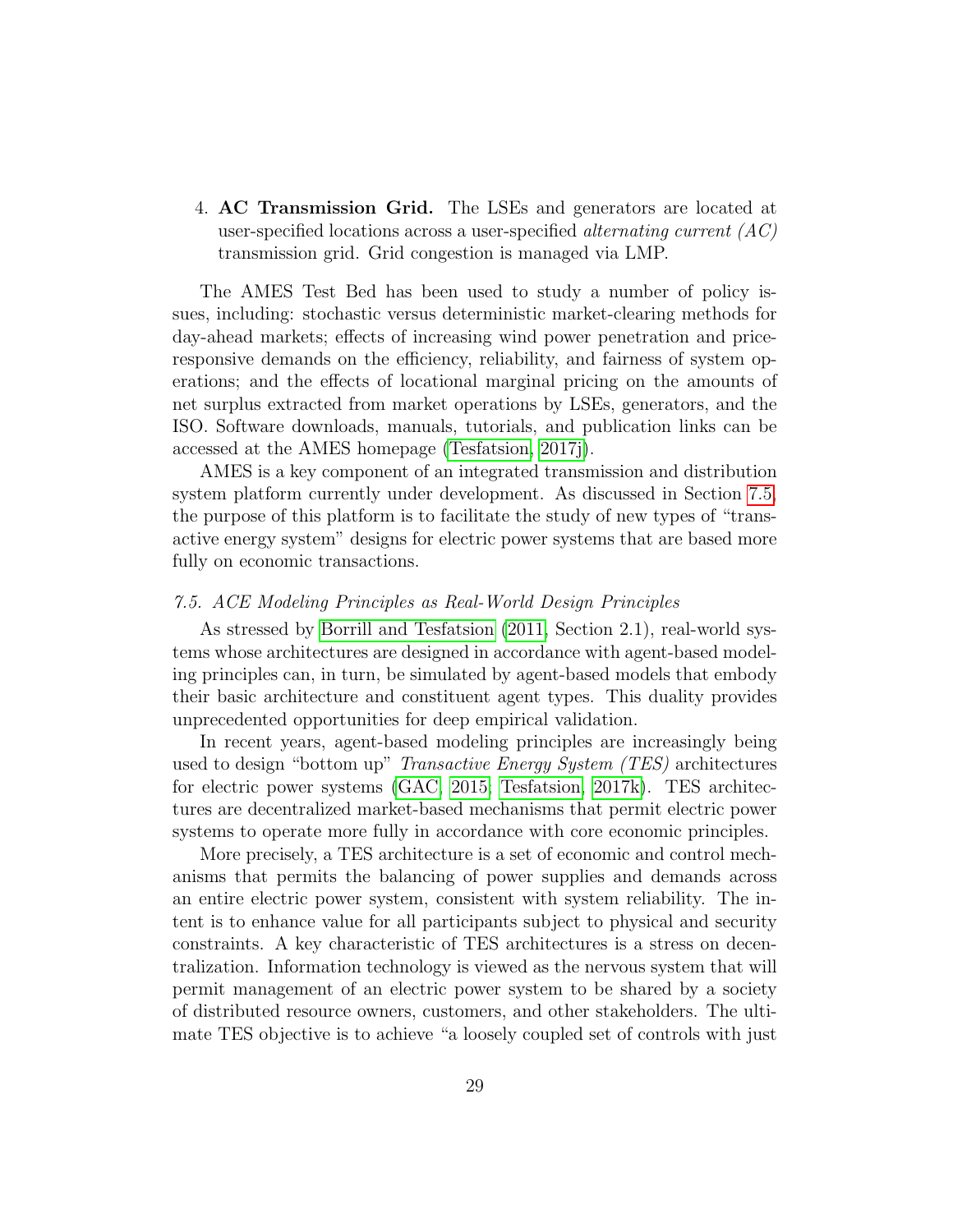4. AC Transmission Grid. The LSEs and generators are located at user-specified locations across a user-specified *alternating current*  $(AC)$ transmission grid. Grid congestion is managed via LMP.

The AMES Test Bed has been used to study a number of policy issues, including: stochastic versus deterministic market-clearing methods for day-ahead markets; effects of increasing wind power penetration and priceresponsive demands on the efficiency, reliability, and fairness of system operations; and the effects of locational marginal pricing on the amounts of net surplus extracted from market operations by LSEs, generators, and the ISO. Software downloads, manuals, tutorials, and publication links can be accessed at the AMES homepage [\(Tesfatsion, 2017j\)](#page-38-9).

AMES is a key component of an integrated transmission and distribution system platform currently under development. As discussed in Section [7.5,](#page-29-0) the purpose of this platform is to facilitate the study of new types of "transactive energy system" designs for electric power systems that are based more fully on economic transactions.

### <span id="page-29-0"></span>7.5. ACE Modeling Principles as Real-World Design Principles

As stressed by [Borrill and Tesfatsion](#page-34-3) [\(2011,](#page-34-3) Section 2.1), real-world systems whose architectures are designed in accordance with agent-based modeling principles can, in turn, be simulated by agent-based models that embody their basic architecture and constituent agent types. This duality provides unprecedented opportunities for deep empirical validation.

In recent years, agent-based modeling principles are increasingly being used to design "bottom up" Transactive Energy System (TES) architectures for electric power systems [\(GAC, 2015;](#page-35-8) [Tesfatsion, 2017k\)](#page-38-10). TES architectures are decentralized market-based mechanisms that permit electric power systems to operate more fully in accordance with core economic principles.

More precisely, a TES architecture is a set of economic and control mechanisms that permits the balancing of power supplies and demands across an entire electric power system, consistent with system reliability. The intent is to enhance value for all participants subject to physical and security constraints. A key characteristic of TES architectures is a stress on decentralization. Information technology is viewed as the nervous system that will permit management of an electric power system to be shared by a society of distributed resource owners, customers, and other stakeholders. The ultimate TES objective is to achieve "a loosely coupled set of controls with just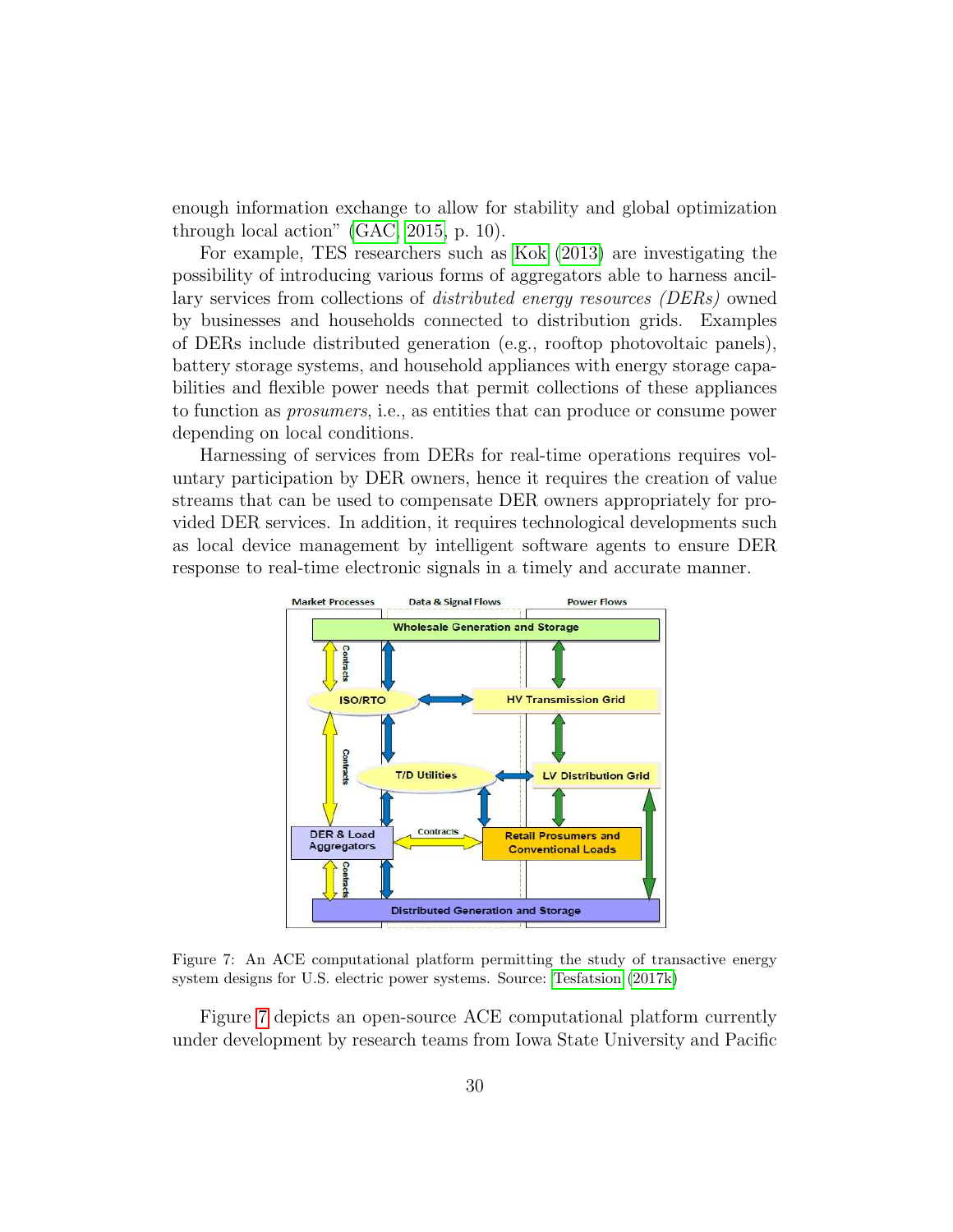enough information exchange to allow for stability and global optimization through local action" [\(GAC, 2015,](#page-35-8) p. 10).

For example, TES researchers such as [Kok](#page-36-9) [\(2013\)](#page-36-9) are investigating the possibility of introducing various forms of aggregators able to harness ancillary services from collections of distributed energy resources (DERs) owned by businesses and households connected to distribution grids. Examples of DERs include distributed generation (e.g., rooftop photovoltaic panels), battery storage systems, and household appliances with energy storage capabilities and flexible power needs that permit collections of these appliances to function as prosumers, i.e., as entities that can produce or consume power depending on local conditions.

Harnessing of services from DERs for real-time operations requires voluntary participation by DER owners, hence it requires the creation of value streams that can be used to compensate DER owners appropriately for provided DER services. In addition, it requires technological developments such as local device management by intelligent software agents to ensure DER response to real-time electronic signals in a timely and accurate manner.



<span id="page-30-0"></span>Figure 7: An ACE computational platform permitting the study of transactive energy system designs for U.S. electric power systems. Source: [Tesfatsion](#page-38-10) [\(2017k\)](#page-38-10)

Figure [7](#page-30-0) depicts an open-source ACE computational platform currently under development by research teams from Iowa State University and Pacific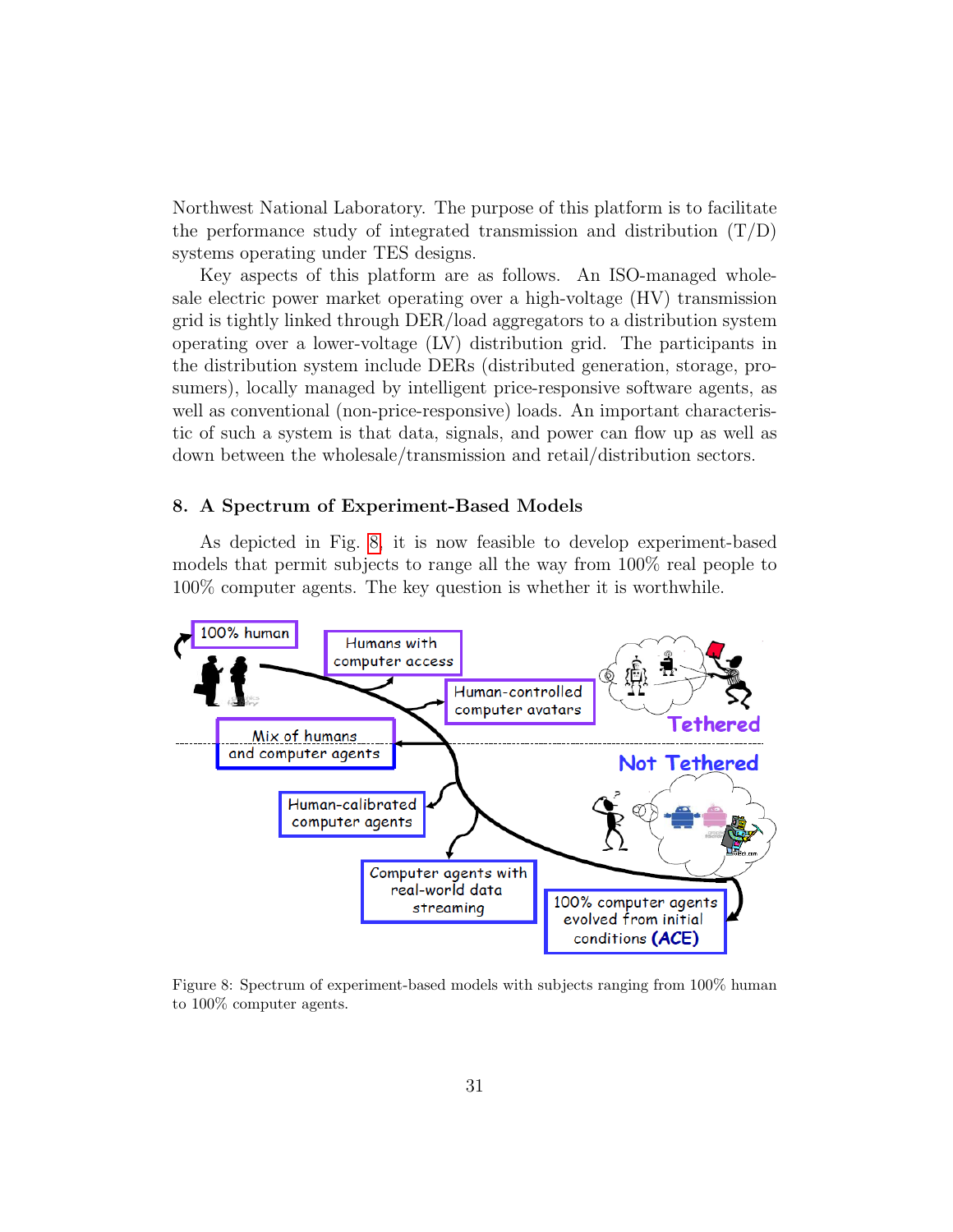Northwest National Laboratory. The purpose of this platform is to facilitate the performance study of integrated transmission and distribution  $(T/D)$ systems operating under TES designs.

Key aspects of this platform are as follows. An ISO-managed wholesale electric power market operating over a high-voltage (HV) transmission grid is tightly linked through DER/load aggregators to a distribution system operating over a lower-voltage (LV) distribution grid. The participants in the distribution system include DERs (distributed generation, storage, prosumers), locally managed by intelligent price-responsive software agents, as well as conventional (non-price-responsive) loads. An important characteristic of such a system is that data, signals, and power can flow up as well as down between the wholesale/transmission and retail/distribution sectors.

# <span id="page-31-0"></span>8. A Spectrum of Experiment-Based Models

As depicted in Fig. [8,](#page-31-1) it is now feasible to develop experiment-based models that permit subjects to range all the way from 100% real people to 100% computer agents. The key question is whether it is worthwhile.



<span id="page-31-1"></span>Figure 8: Spectrum of experiment-based models with subjects ranging from 100% human to 100% computer agents.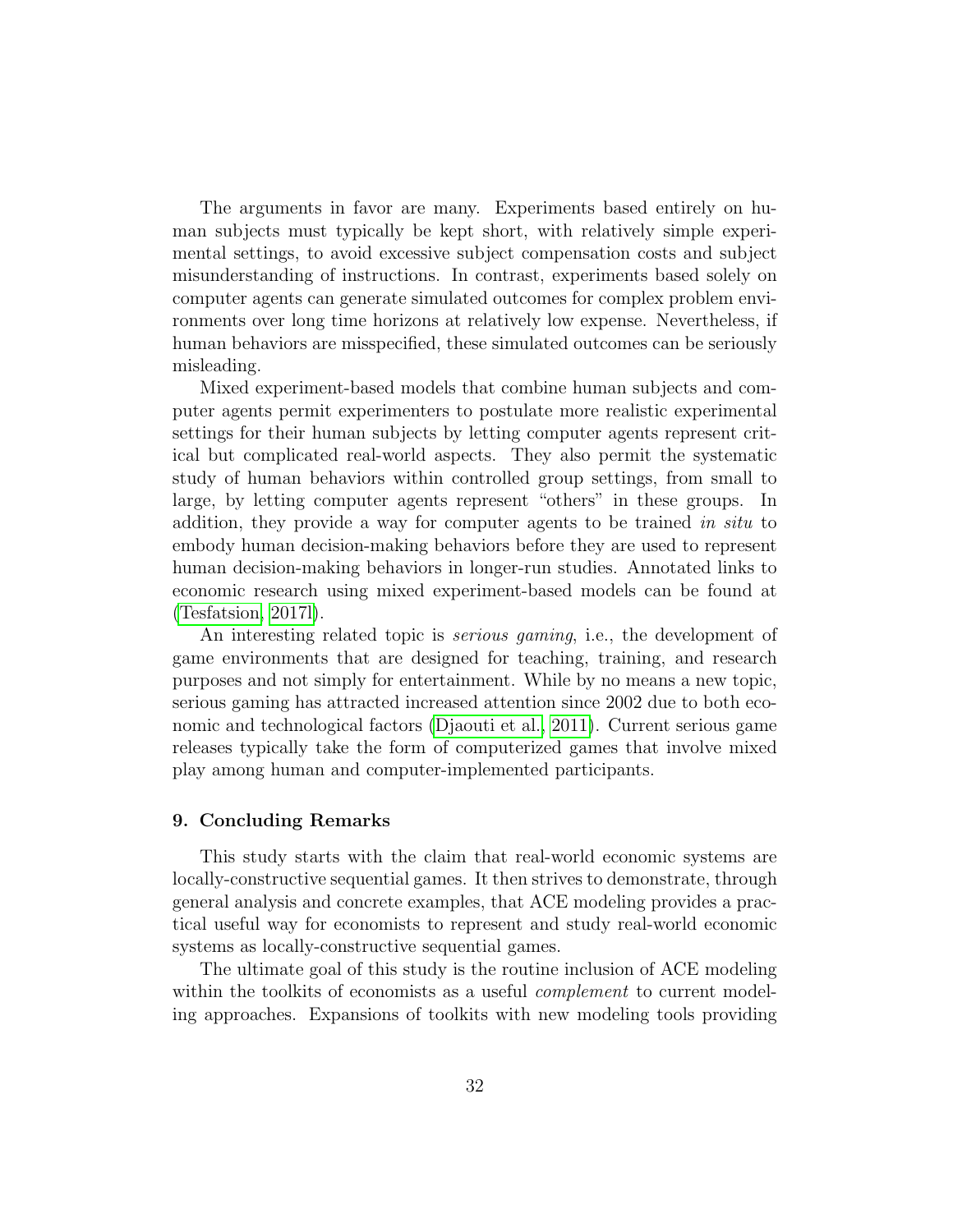The arguments in favor are many. Experiments based entirely on human subjects must typically be kept short, with relatively simple experimental settings, to avoid excessive subject compensation costs and subject misunderstanding of instructions. In contrast, experiments based solely on computer agents can generate simulated outcomes for complex problem environments over long time horizons at relatively low expense. Nevertheless, if human behaviors are misspecified, these simulated outcomes can be seriously misleading.

Mixed experiment-based models that combine human subjects and computer agents permit experimenters to postulate more realistic experimental settings for their human subjects by letting computer agents represent critical but complicated real-world aspects. They also permit the systematic study of human behaviors within controlled group settings, from small to large, by letting computer agents represent "others" in these groups. In addition, they provide a way for computer agents to be trained in situ to embody human decision-making behaviors before they are used to represent human decision-making behaviors in longer-run studies. Annotated links to economic research using mixed experiment-based models can be found at [\(Tesfatsion, 2017l\)](#page-38-11).

An interesting related topic is *serious gaming*, i.e., the development of game environments that are designed for teaching, training, and research purposes and not simply for entertainment. While by no means a new topic, serious gaming has attracted increased attention since 2002 due to both economic and technological factors [\(Djaouti et al., 2011\)](#page-34-10). Current serious game releases typically take the form of computerized games that involve mixed play among human and computer-implemented participants.

#### <span id="page-32-0"></span>9. Concluding Remarks

This study starts with the claim that real-world economic systems are locally-constructive sequential games. It then strives to demonstrate, through general analysis and concrete examples, that ACE modeling provides a practical useful way for economists to represent and study real-world economic systems as locally-constructive sequential games.

The ultimate goal of this study is the routine inclusion of ACE modeling within the toolkits of economists as a useful *complement* to current modeling approaches. Expansions of toolkits with new modeling tools providing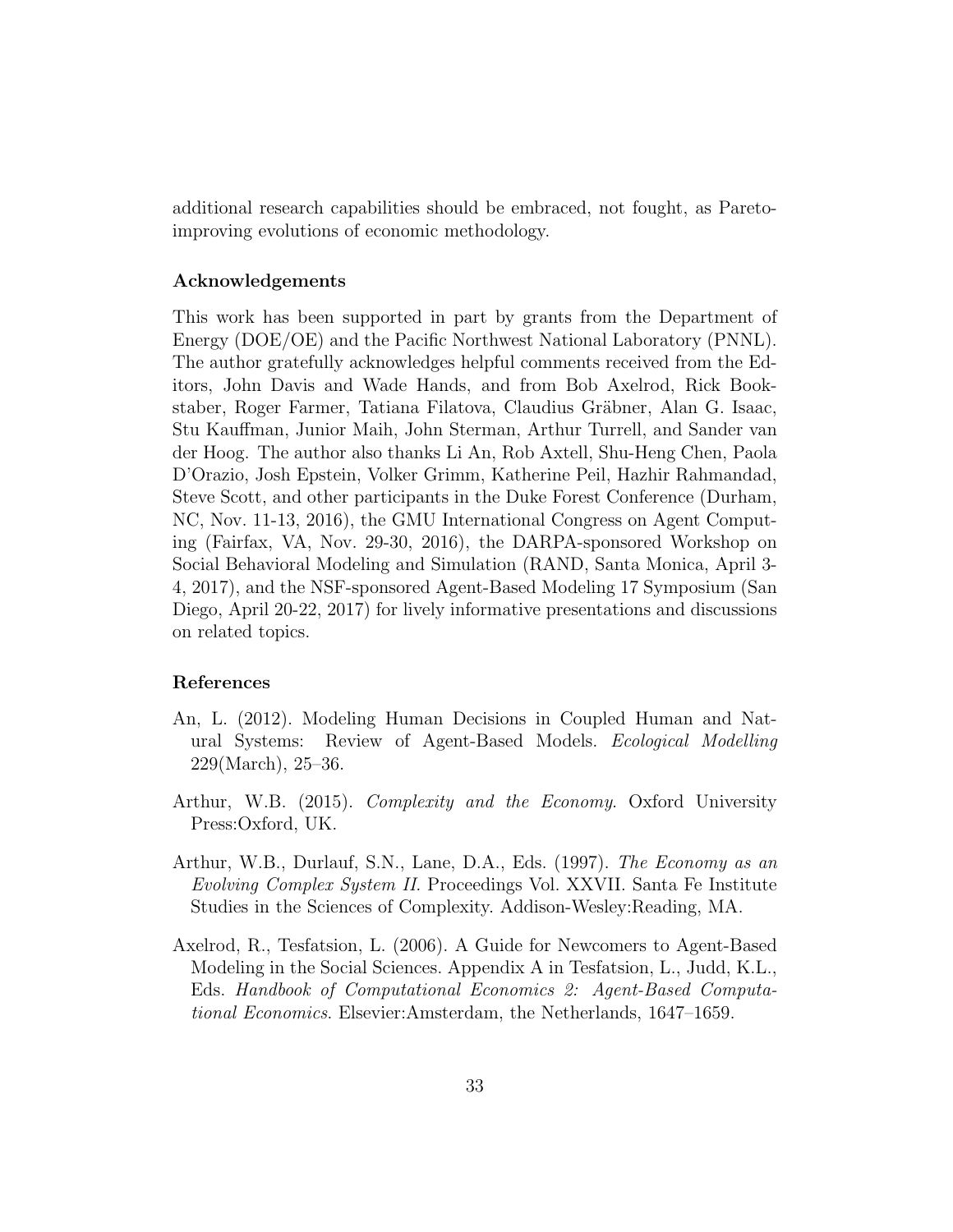additional research capabilities should be embraced, not fought, as Paretoimproving evolutions of economic methodology.

#### Acknowledgements

This work has been supported in part by grants from the Department of Energy (DOE/OE) and the Pacific Northwest National Laboratory (PNNL). The author gratefully acknowledges helpful comments received from the Editors, John Davis and Wade Hands, and from Bob Axelrod, Rick Bookstaber, Roger Farmer, Tatiana Filatova, Claudius Gräbner, Alan G. Isaac, Stu Kauffman, Junior Maih, John Sterman, Arthur Turrell, and Sander van der Hoog. The author also thanks Li An, Rob Axtell, Shu-Heng Chen, Paola D'Orazio, Josh Epstein, Volker Grimm, Katherine Peil, Hazhir Rahmandad, Steve Scott, and other participants in the Duke Forest Conference (Durham, NC, Nov. 11-13, 2016), the GMU International Congress on Agent Computing (Fairfax, VA, Nov. 29-30, 2016), the DARPA-sponsored Workshop on Social Behavioral Modeling and Simulation (RAND, Santa Monica, April 3- 4, 2017), and the NSF-sponsored Agent-Based Modeling 17 Symposium (San Diego, April 20-22, 2017) for lively informative presentations and discussions on related topics.

#### References

- <span id="page-33-3"></span>An, L. (2012). Modeling Human Decisions in Coupled Human and Natural Systems: Review of Agent-Based Models. Ecological Modelling 229(March), 25–36.
- <span id="page-33-1"></span>Arthur, W.B. (2015). Complexity and the Economy. Oxford University Press:Oxford, UK.
- <span id="page-33-2"></span>Arthur, W.B., Durlauf, S.N., Lane, D.A., Eds. (1997). The Economy as an Evolving Complex System II. Proceedings Vol. XXVII. Santa Fe Institute Studies in the Sciences of Complexity. Addison-Wesley:Reading, MA.
- <span id="page-33-0"></span>Axelrod, R., Tesfatsion, L. (2006). A Guide for Newcomers to Agent-Based Modeling in the Social Sciences. Appendix A in Tesfatsion, L., Judd, K.L., Eds. Handbook of Computational Economics 2: Agent-Based Computational Economics. Elsevier:Amsterdam, the Netherlands, 1647–1659.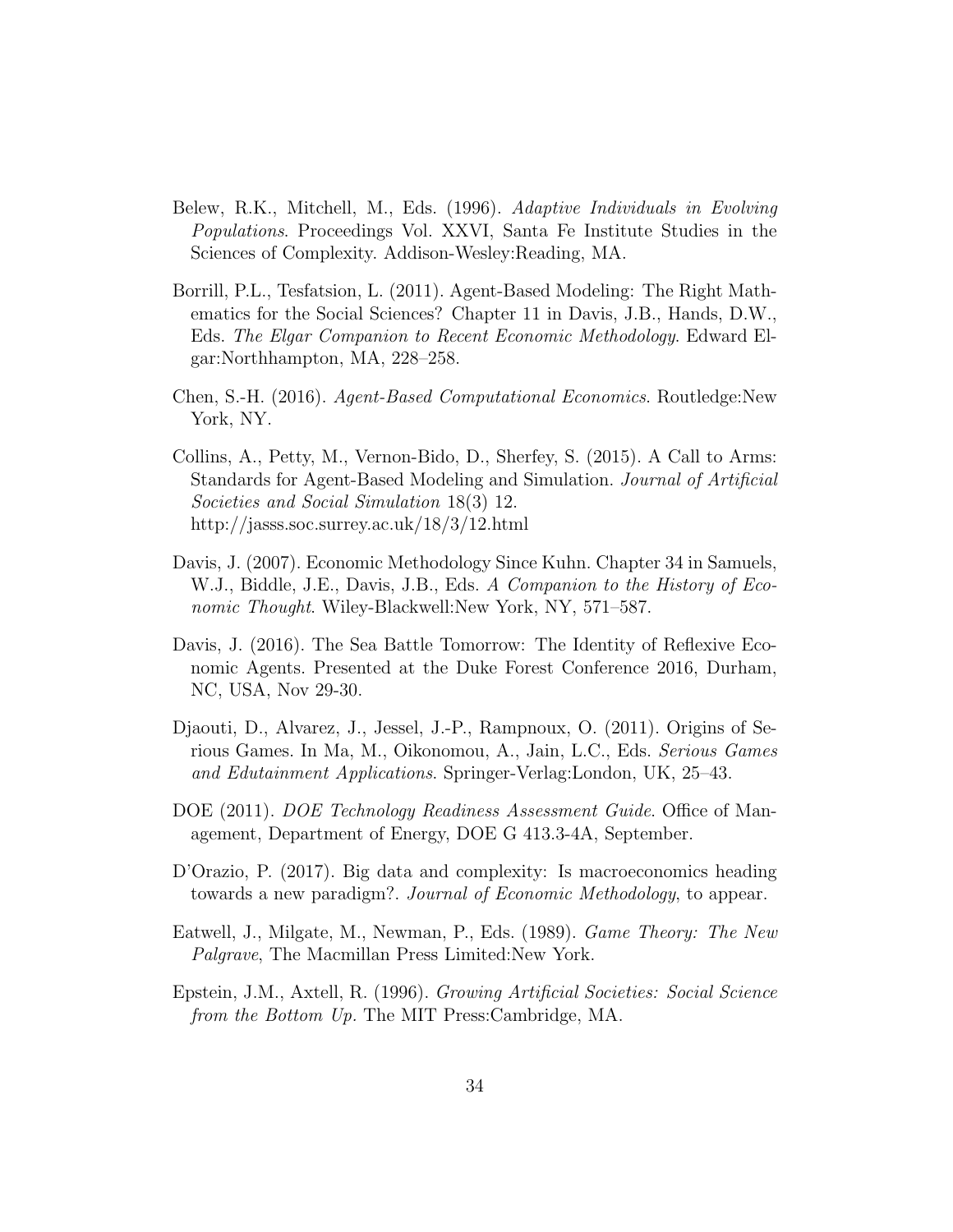- <span id="page-34-9"></span>Belew, R.K., Mitchell, M., Eds. (1996). Adaptive Individuals in Evolving Populations. Proceedings Vol. XXVI, Santa Fe Institute Studies in the Sciences of Complexity. Addison-Wesley:Reading, MA.
- <span id="page-34-3"></span>Borrill, P.L., Tesfatsion, L. (2011). Agent-Based Modeling: The Right Mathematics for the Social Sciences? Chapter 11 in Davis, J.B., Hands, D.W., Eds. The Elgar Companion to Recent Economic Methodology. Edward Elgar:Northhampton, MA, 228–258.
- <span id="page-34-4"></span>Chen, S.-H. (2016). Agent-Based Computational Economics. Routledge:New York, NY.
- <span id="page-34-7"></span>Collins, A., Petty, M., Vernon-Bido, D., Sherfey, S. (2015). A Call to Arms: Standards for Agent-Based Modeling and Simulation. Journal of Artificial Societies and Social Simulation 18(3) 12. http://jasss.soc.surrey.ac.uk/18/3/12.html
- <span id="page-34-0"></span>Davis, J. (2007). Economic Methodology Since Kuhn. Chapter 34 in Samuels, W.J., Biddle, J.E., Davis, J.B., Eds. A Companion to the History of Economic Thought. Wiley-Blackwell:New York, NY, 571–587.
- <span id="page-34-1"></span>Davis, J. (2016). The Sea Battle Tomorrow: The Identity of Reflexive Economic Agents. Presented at the Duke Forest Conference 2016, Durham, NC, USA, Nov 29-30.
- <span id="page-34-10"></span>Djaouti, D., Alvarez, J., Jessel, J.-P., Rampnoux, O. (2011). Origins of Serious Games. In Ma, M., Oikonomou, A., Jain, L.C., Eds. Serious Games and Edutainment Applications. Springer-Verlag:London, UK, 25–43.
- <span id="page-34-6"></span>DOE (2011). *DOE Technology Readiness Assessment Guide*. Office of Management, Department of Energy, DOE G 413.3-4A, September.
- <span id="page-34-5"></span>D'Orazio, P. (2017). Big data and complexity: Is macroeconomics heading towards a new paradigm?. Journal of Economic Methodology, to appear.
- <span id="page-34-2"></span>Eatwell, J., Milgate, M., Newman, P., Eds. (1989). Game Theory: The New Palgrave, The Macmillan Press Limited:New York.
- <span id="page-34-8"></span>Epstein, J.M., Axtell, R. (1996). Growing Artificial Societies: Social Science from the Bottom Up. The MIT Press:Cambridge, MA.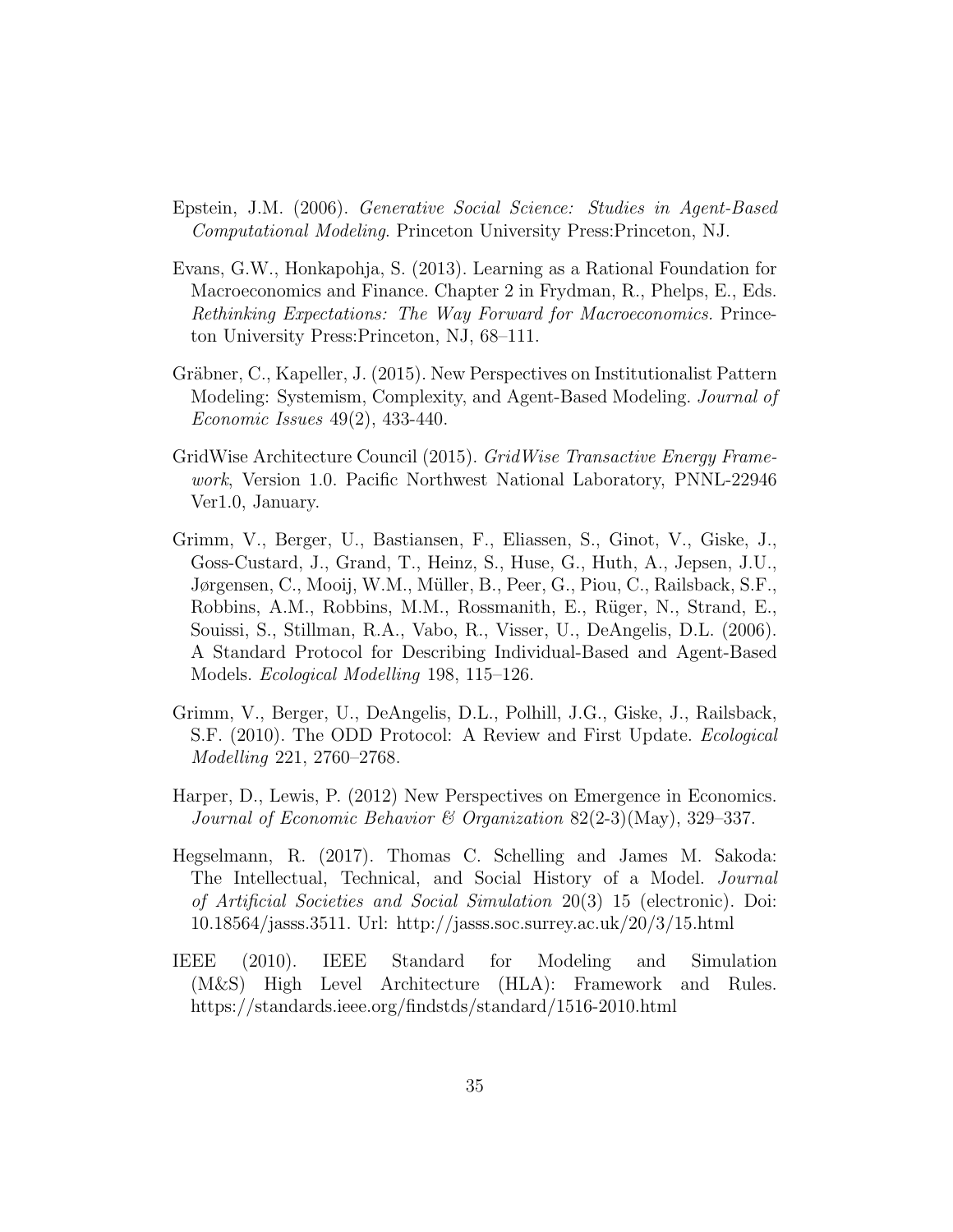- <span id="page-35-0"></span>Epstein, J.M. (2006). Generative Social Science: Studies in Agent-Based Computational Modeling. Princeton University Press:Princeton, NJ.
- <span id="page-35-7"></span>Evans, G.W., Honkapohja, S. (2013). Learning as a Rational Foundation for Macroeconomics and Finance. Chapter 2 in Frydman, R., Phelps, E., Eds. Rethinking Expectations: The Way Forward for Macroeconomics. Princeton University Press:Princeton, NJ, 68–111.
- <span id="page-35-1"></span>Gräbner, C., Kapeller, J. (2015). New Perspectives on Institutionalist Pattern Modeling: Systemism, Complexity, and Agent-Based Modeling. Journal of Economic Issues 49(2), 433-440.
- <span id="page-35-8"></span>GridWise Architecture Council (2015). GridWise Transactive Energy Framework, Version 1.0. Pacific Northwest National Laboratory, PNNL-22946 Ver1.0, January.
- <span id="page-35-4"></span>Grimm, V., Berger, U., Bastiansen, F., Eliassen, S., Ginot, V., Giske, J., Goss-Custard, J., Grand, T., Heinz, S., Huse, G., Huth, A., Jepsen, J.U., Jørgensen, C., Mooij, W.M., Müller, B., Peer, G., Piou, C., Railsback, S.F., Robbins, A.M., Robbins, M.M., Rossmanith, E., Rüger, N., Strand, E., Souissi, S., Stillman, R.A., Vabo, R., Visser, U., DeAngelis, D.L. (2006). A Standard Protocol for Describing Individual-Based and Agent-Based Models. Ecological Modelling 198, 115–126.
- <span id="page-35-5"></span>Grimm, V., Berger, U., DeAngelis, D.L., Polhill, J.G., Giske, J., Railsback, S.F. (2010). The ODD Protocol: A Review and First Update. Ecological Modelling 221, 2760–2768.
- <span id="page-35-3"></span>Harper, D., Lewis, P. (2012) New Perspectives on Emergence in Economics. Journal of Economic Behavior & Organization 82(2-3)(May), 329–337.
- <span id="page-35-6"></span>Hegselmann, R. (2017). Thomas C. Schelling and James M. Sakoda: The Intellectual, Technical, and Social History of a Model. Journal of Artificial Societies and Social Simulation 20(3) 15 (electronic). Doi: 10.18564/jasss.3511. Url: http://jasss.soc.surrey.ac.uk/20/3/15.html
- <span id="page-35-2"></span>IEEE (2010). IEEE Standard for Modeling and Simulation (M&S) High Level Architecture (HLA): Framework and Rules. https://standards.ieee.org/findstds/standard/1516-2010.html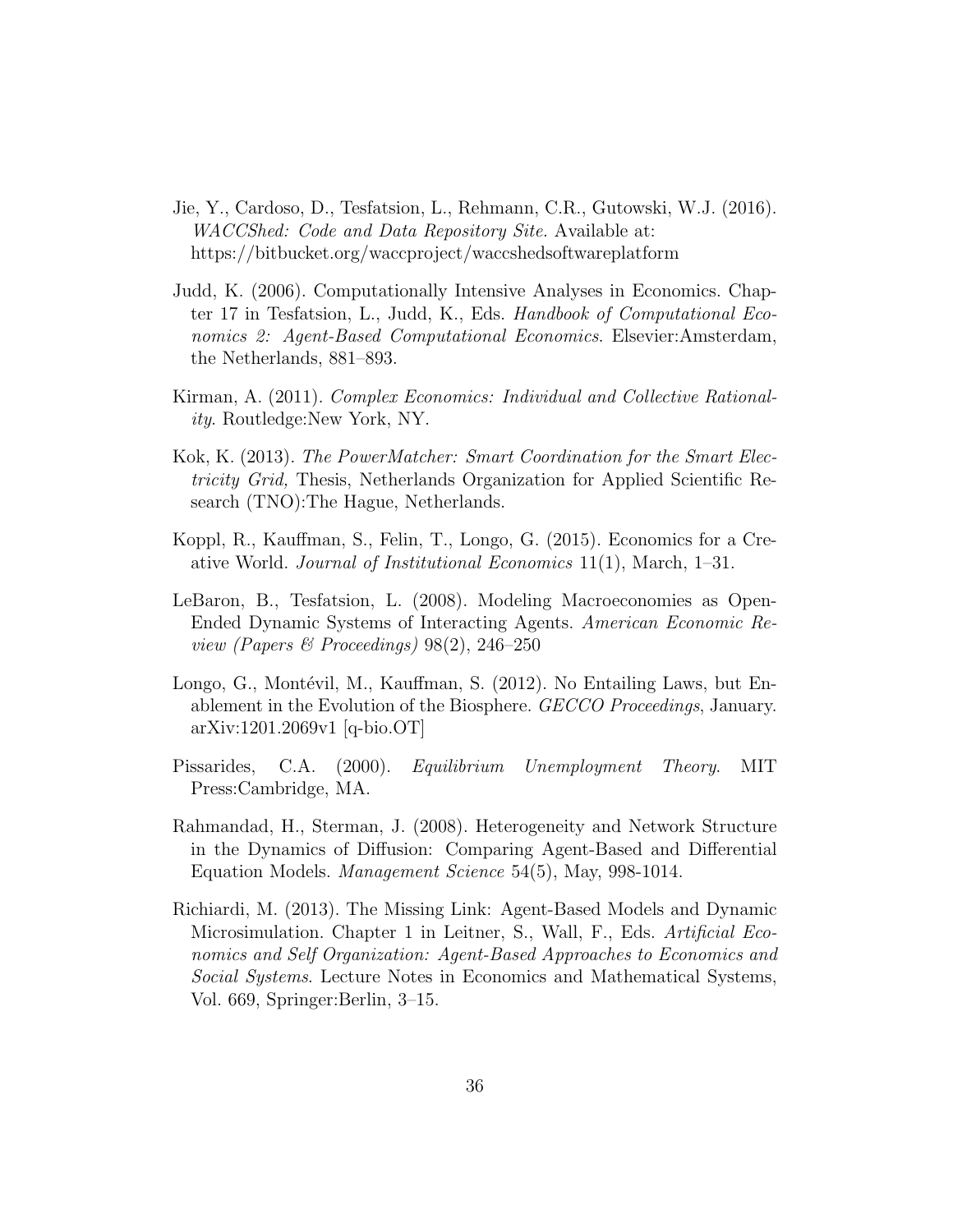- <span id="page-36-8"></span>Jie, Y., Cardoso, D., Tesfatsion, L., Rehmann, C.R., Gutowski, W.J. (2016). WACCShed: Code and Data Repository Site. Available at: https://bitbucket.org/waccproject/waccshedsoftwareplatform
- <span id="page-36-6"></span>Judd, K. (2006). Computationally Intensive Analyses in Economics. Chapter 17 in Tesfatsion, L., Judd, K., Eds. Handbook of Computational Economics 2: Agent-Based Computational Economics. Elsevier:Amsterdam, the Netherlands, 881–893.
- <span id="page-36-1"></span>Kirman, A. (2011). Complex Economics: Individual and Collective Rationality. Routledge:New York, NY.
- <span id="page-36-9"></span>Kok, K. (2013). The PowerMatcher: Smart Coordination for the Smart Electricity Grid, Thesis, Netherlands Organization for Applied Scientific Research (TNO):The Hague, Netherlands.
- <span id="page-36-5"></span>Koppl, R., Kauffman, S., Felin, T., Longo, G. (2015). Economics for a Creative World. Journal of Institutional Economics 11(1), March, 1–31.
- <span id="page-36-0"></span>LeBaron, B., Tesfatsion, L. (2008). Modeling Macroeconomies as Open-Ended Dynamic Systems of Interacting Agents. American Economic Review (Papers & Proceedings) 98(2), 246–250
- <span id="page-36-4"></span>Longo, G., Montévil, M., Kauffman, S. (2012). No Entailing Laws, but Enablement in the Evolution of the Biosphere. GECCO Proceedings, January. arXiv:1201.2069v1 [q-bio.OT]
- <span id="page-36-7"></span>Pissarides, C.A. (2000). Equilibrium Unemployment Theory. MIT Press:Cambridge, MA.
- <span id="page-36-2"></span>Rahmandad, H., Sterman, J. (2008). Heterogeneity and Network Structure in the Dynamics of Diffusion: Comparing Agent-Based and Differential Equation Models. Management Science 54(5), May, 998-1014.
- <span id="page-36-3"></span>Richiardi, M. (2013). The Missing Link: Agent-Based Models and Dynamic Microsimulation. Chapter 1 in Leitner, S., Wall, F., Eds. Artificial Economics and Self Organization: Agent-Based Approaches to Economics and Social Systems. Lecture Notes in Economics and Mathematical Systems, Vol. 669, Springer:Berlin, 3–15.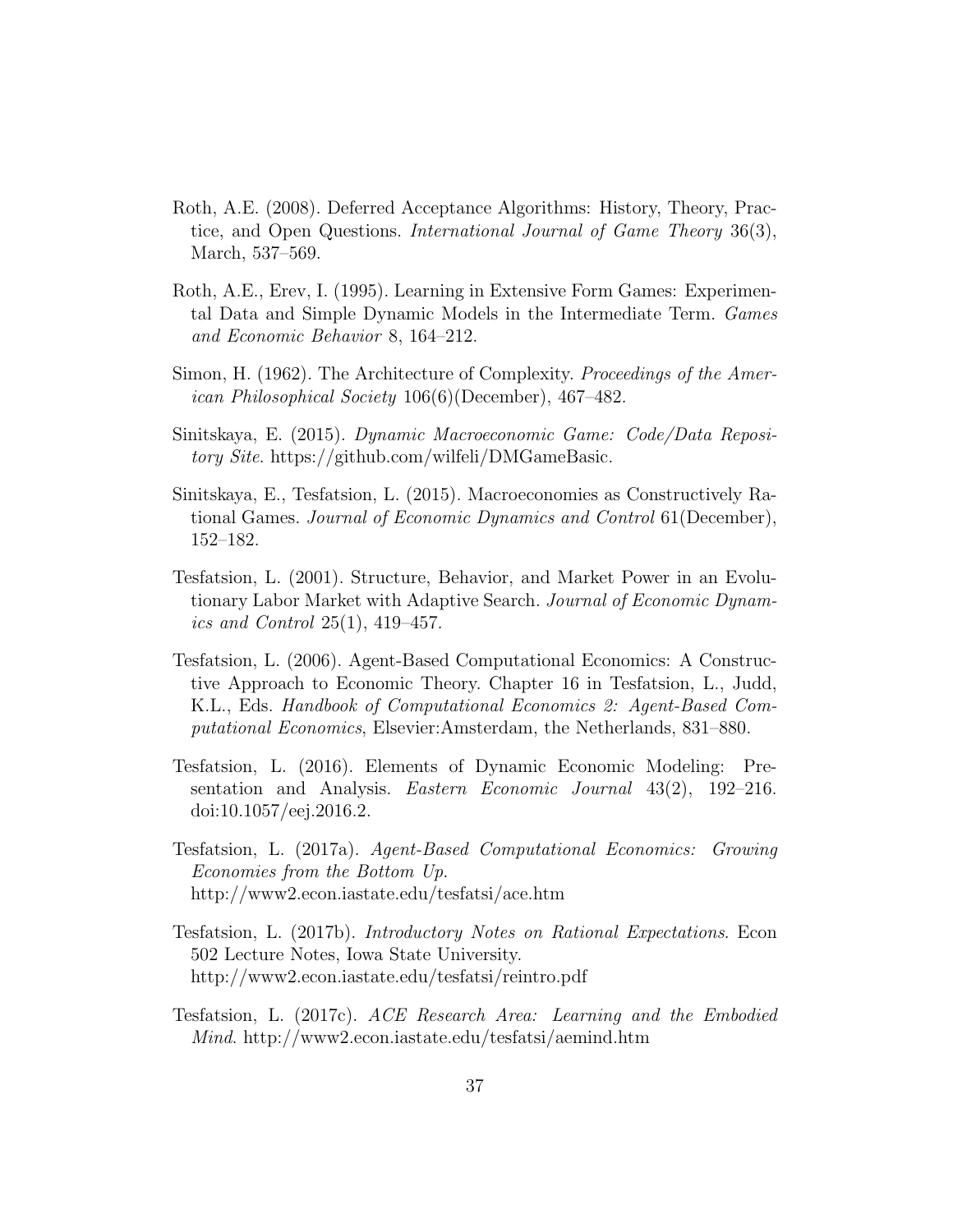- <span id="page-37-7"></span>Roth, A.E. (2008). Deferred Acceptance Algorithms: History, Theory, Practice, and Open Questions. *International Journal of Game Theory* 36(3), March, 537–569.
- <span id="page-37-9"></span>Roth, A.E., Erev, I. (1995). Learning in Extensive Form Games: Experimental Data and Simple Dynamic Models in the Intermediate Term. Games and Economic Behavior 8, 164–212.
- <span id="page-37-2"></span>Simon, H. (1962). The Architecture of Complexity. *Proceedings of the Amer*ican Philosophical Society 106(6)(December), 467–482.
- <span id="page-37-10"></span>Sinitskaya, E. (2015). Dynamic Macroeconomic Game: Code/Data Repository Site. https://github.com/wilfeli/DMGameBasic.
- <span id="page-37-8"></span>Sinitskaya, E., Tesfatsion, L. (2015). Macroeconomies as Constructively Rational Games. Journal of Economic Dynamics and Control 61(December), 152–182.
- <span id="page-37-6"></span>Tesfatsion, L. (2001). Structure, Behavior, and Market Power in an Evolutionary Labor Market with Adaptive Search. Journal of Economic Dynamics and Control 25(1), 419–457.
- <span id="page-37-1"></span>Tesfatsion, L. (2006). Agent-Based Computational Economics: A Constructive Approach to Economic Theory. Chapter 16 in Tesfatsion, L., Judd, K.L., Eds. Handbook of Computational Economics 2: Agent-Based Computational Economics, Elsevier:Amsterdam, the Netherlands, 831–880.
- <span id="page-37-3"></span>Tesfatsion, L. (2016). Elements of Dynamic Economic Modeling: Presentation and Analysis. *Eastern Economic Journal* 43(2), 192–216. doi:10.1057/eej.2016.2.
- <span id="page-37-0"></span>Tesfatsion, L. (2017a). Agent-Based Computational Economics: Growing Economies from the Bottom Up. http://www2.econ.iastate.edu/tesfatsi/ace.htm
- <span id="page-37-4"></span>Tesfatsion, L. (2017b). Introductory Notes on Rational Expectations. Econ 502 Lecture Notes, Iowa State University. http://www2.econ.iastate.edu/tesfatsi/reintro.pdf
- <span id="page-37-5"></span>Tesfatsion, L. (2017c). ACE Research Area: Learning and the Embodied Mind. http://www2.econ.iastate.edu/tesfatsi/aemind.htm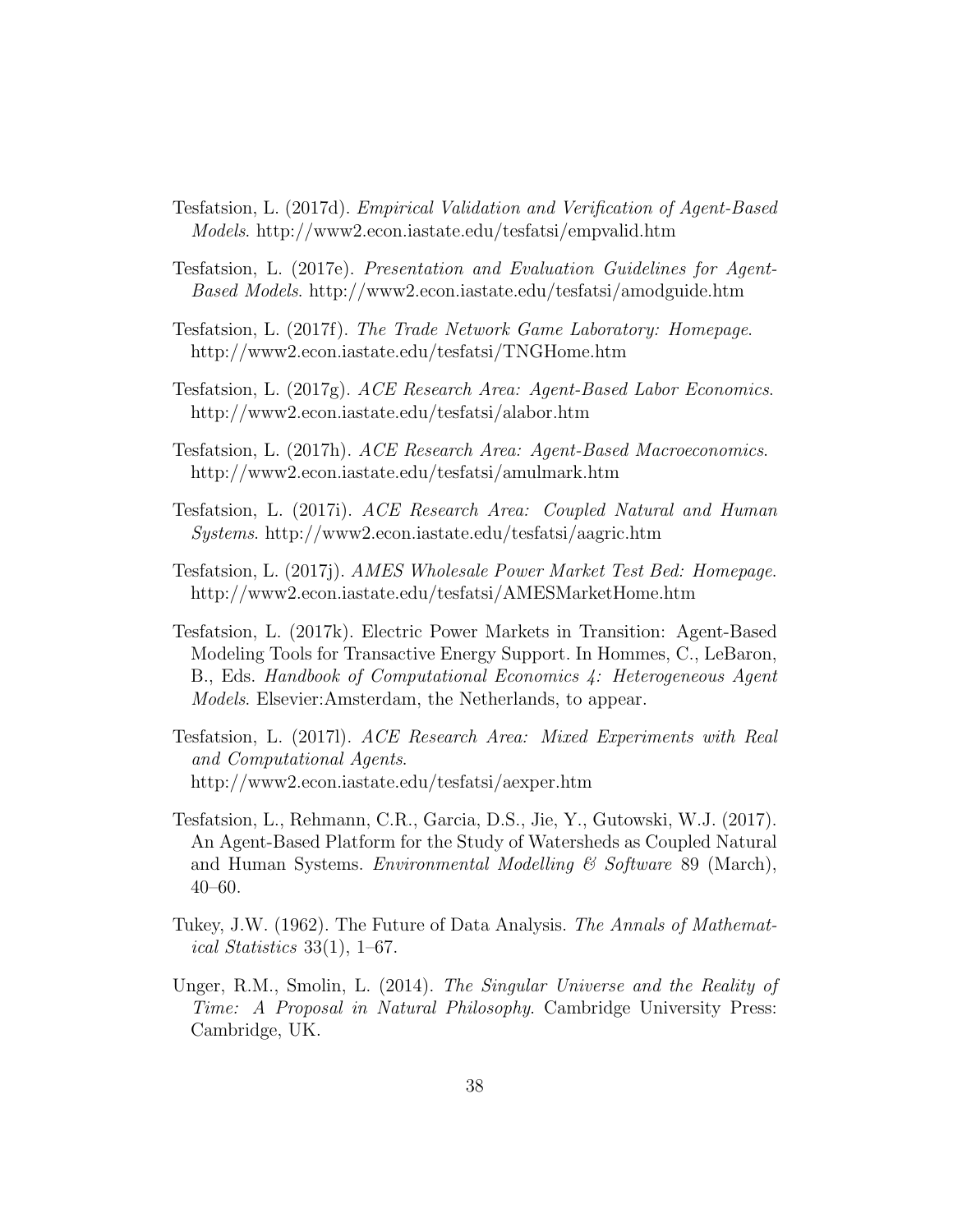- <span id="page-38-3"></span>Tesfatsion, L. (2017d). Empirical Validation and Verification of Agent-Based Models. http://www2.econ.iastate.edu/tesfatsi/empvalid.htm
- <span id="page-38-4"></span>Tesfatsion, L. (2017e). Presentation and Evaluation Guidelines for Agent-Based Models. http://www2.econ.iastate.edu/tesfatsi/amodguide.htm
- <span id="page-38-5"></span>Tesfatsion, L. (2017f). The Trade Network Game Laboratory: Homepage. http://www2.econ.iastate.edu/tesfatsi/TNGHome.htm
- <span id="page-38-6"></span>Tesfatsion, L. (2017g). ACE Research Area: Agent-Based Labor Economics. http://www2.econ.iastate.edu/tesfatsi/alabor.htm
- <span id="page-38-7"></span>Tesfatsion, L. (2017h). ACE Research Area: Agent-Based Macroeconomics. http://www2.econ.iastate.edu/tesfatsi/amulmark.htm
- <span id="page-38-8"></span>Tesfatsion, L. (2017i). ACE Research Area: Coupled Natural and Human Systems. http://www2.econ.iastate.edu/tesfatsi/aagric.htm
- <span id="page-38-9"></span>Tesfatsion, L. (2017j). AMES Wholesale Power Market Test Bed: Homepage. http://www2.econ.iastate.edu/tesfatsi/AMESMarketHome.htm
- <span id="page-38-10"></span>Tesfatsion, L. (2017k). Electric Power Markets in Transition: Agent-Based Modeling Tools for Transactive Energy Support. In Hommes, C., LeBaron, B., Eds. Handbook of Computational Economics 4: Heterogeneous Agent Models. Elsevier:Amsterdam, the Netherlands, to appear.
- <span id="page-38-11"></span>Tesfatsion, L. (2017l). ACE Research Area: Mixed Experiments with Real and Computational Agents. http://www2.econ.iastate.edu/tesfatsi/aexper.htm
- <span id="page-38-0"></span>Tesfatsion, L., Rehmann, C.R., Garcia, D.S., Jie, Y., Gutowski, W.J. (2017). An Agent-Based Platform for the Study of Watersheds as Coupled Natural and Human Systems. Environmental Modelling & Software 89 (March), 40–60.
- <span id="page-38-2"></span>Tukey, J.W. (1962). The Future of Data Analysis. The Annals of Mathematical Statistics  $33(1)$ ,  $1-67$ .
- <span id="page-38-1"></span>Unger, R.M., Smolin, L. (2014). The Singular Universe and the Reality of Time: A Proposal in Natural Philosophy. Cambridge University Press: Cambridge, UK.